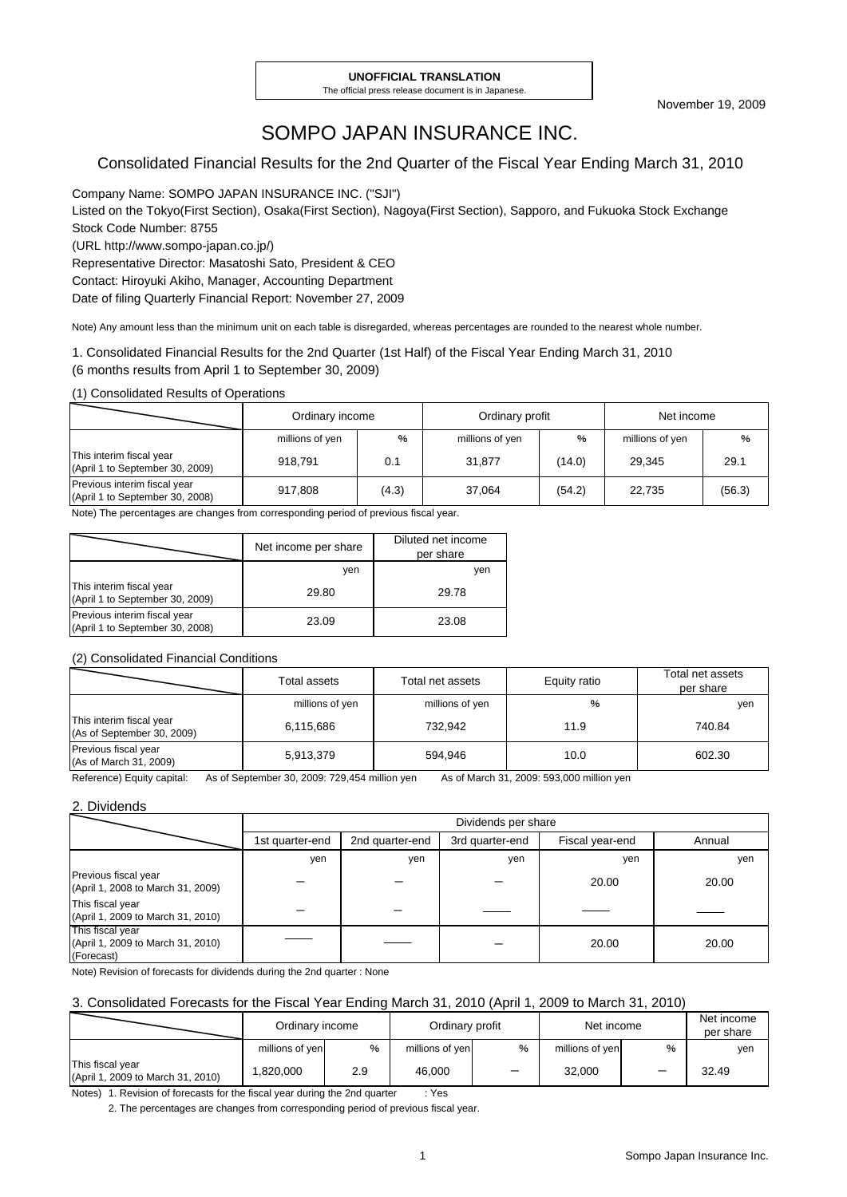# SOMPO JAPAN INSURANCE INC.

#### Consolidated Financial Results for the 2nd Quarter of the Fiscal Year Ending March 31, 2010

Company Name: SOMPO JAPAN INSURANCE INC. ("SJI")

Listed on the Tokyo(First Section), Osaka(First Section), Nagoya(First Section), Sapporo, and Fukuoka Stock Exchange Stock Code Number: 8755

(URL http://www.sompo-japan.co.jp/)

Representative Director: Masatoshi Sato, President & CEO

Contact: Hiroyuki Akiho, Manager, Accounting Department

Date of filing Quarterly Financial Report: November 27, 2009

Note) Any amount less than the minimum unit on each table is disregarded, whereas percentages are rounded to the nearest whole number.

1. Consolidated Financial Results for the 2nd Quarter (1st Half) of the Fiscal Year Ending March 31, 2010

(6 months results from April 1 to September 30, 2009)

(1) Consolidated Results of Operations

|                                                                 | Ordinary income |       | Ordinary profit |               | Net income      |        |
|-----------------------------------------------------------------|-----------------|-------|-----------------|---------------|-----------------|--------|
|                                                                 | millions of yen | %     | millions of yen | $\frac{0}{0}$ | millions of yen | %      |
| This interim fiscal year<br>(April 1 to September 30, 2009)     | 918.791         | 0.1   | 31.877          | (14.0)        | 29.345          | 29.1   |
| Previous interim fiscal year<br>(April 1 to September 30, 2008) | 917.808         | (4.3) | 37.064          | (54.2)        | 22.735          | (56.3) |

Note) The percentages are changes from corresponding period of previous fiscal year.

|                                                                 | Net income per share | Diluted net income<br>per share |
|-----------------------------------------------------------------|----------------------|---------------------------------|
|                                                                 | yen                  | ven                             |
| This interim fiscal year<br>(April 1 to September 30, 2009)     | 29.80                | 29.78                           |
| Previous interim fiscal year<br>(April 1 to September 30, 2008) | 23.09                | 23.08                           |

#### (2) Consolidated Financial Conditions

|                                                        | Total assets    | Total net assets | Equity ratio | Total net assets<br>per share |
|--------------------------------------------------------|-----------------|------------------|--------------|-------------------------------|
|                                                        | millions of yen | millions of yen  | %            | yen                           |
| This interim fiscal year<br>(As of September 30, 2009) | 6,115,686       | 732.942          | 11.9         | 740.84                        |
| Previous fiscal year<br>(As of March 31, 2009)         | 5,913,379       | 594.946          | 10.0         | 602.30                        |

Reference) Equity capital: As of September 30, 2009: 729,454 million yen As of March 31, 2009: 593,000 million yen

#### 2. Dividends

|                                                                     | Dividends per share |                 |                 |                 |        |  |  |
|---------------------------------------------------------------------|---------------------|-----------------|-----------------|-----------------|--------|--|--|
|                                                                     | 1st quarter-end     | 2nd quarter-end | 3rd quarter-end | Fiscal year-end | Annual |  |  |
|                                                                     | yen                 | yen             | yen             | yen             | yen    |  |  |
| Previous fiscal year<br>(April 1, 2008 to March 31, 2009)           |                     |                 |                 | 20.00           | 20.00  |  |  |
| This fiscal year<br>(April 1, 2009 to March 31, 2010)               |                     |                 |                 |                 |        |  |  |
| This fiscal year<br>(April 1, 2009 to March 31, 2010)<br>(Forecast) |                     |                 |                 | 20.00           | 20.00  |  |  |

Note) Revision of forecasts for dividends during the 2nd quarter : None

#### 3. Consolidated Forecasts for the Fiscal Year Ending March 31, 2010 (April 1, 2009 to March 31, 2010)

|                                                       | Ordinary income |     | Ordinary profit |   | Net income      |   | Net income<br>per share |
|-------------------------------------------------------|-----------------|-----|-----------------|---|-----------------|---|-------------------------|
|                                                       | millions of yen | %   | millions of yen | % | millions of yen | % | yen                     |
| This fiscal year<br>(April 1, 2009 to March 31, 2010) | 1.820.000       | 2.9 | 46.000          |   | 32.000          |   | 32.49                   |

Notes) 1. Revision of forecasts for the fiscal year during the 2nd quarter : Yes

2. The percentages are changes from corresponding period of previous fiscal year.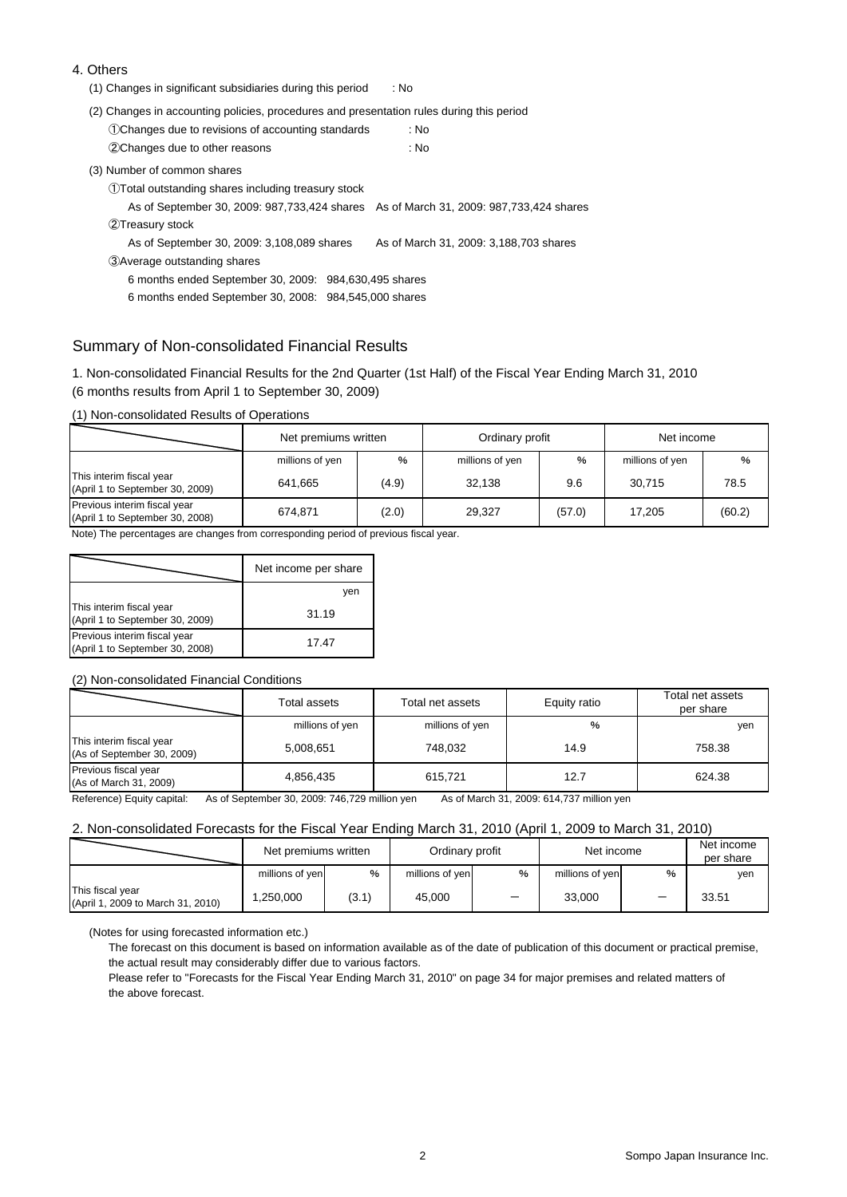#### 4. Others

- (1) Changes in significant subsidiaries during this period : No
- (2) Changes in accounting policies, procedures and presentation rules during this period

| 1 Changes due to revisions of accounting standards | : No |
|----------------------------------------------------|------|
| 2Changes due to other reasons                      | : No |

(3) Number of common shares

①Total outstanding shares including treasury stock

As of September 30, 2009: 987,733,424 shares As of March 31, 2009: 987,733,424 shares

②Treasury stock

As of September 30, 2009: 3,108,089 shares As of March 31, 2009: 3,188,703 shares

③Average outstanding shares

6 months ended September 30, 2009: 984,630,495 shares

6 months ended September 30, 2008: 984,545,000 shares

#### Summary of Non-consolidated Financial Results

1. Non-consolidated Financial Results for the 2nd Quarter (1st Half) of the Fiscal Year Ending March 31, 2010 (6 months results from April 1 to September 30, 2009)

(1) Non-consolidated Results of Operations

|                                                                 | Net premiums written |               | Ordinary profit |               | Net income      |        |
|-----------------------------------------------------------------|----------------------|---------------|-----------------|---------------|-----------------|--------|
|                                                                 | millions of yen      | $\frac{9}{6}$ | millions of yen | $\frac{9}{6}$ | millions of yen | %      |
| This interim fiscal year<br>(April 1 to September 30, 2009)     | 641.665              | (4.9)         | 32.138          | 9.6           | 30.715          | 78.5   |
| Previous interim fiscal year<br>(April 1 to September 30, 2008) | 674.871              | (2.0)         | 29.327          | (57.0)        | 17.205          | (60.2) |

Note) The percentages are changes from corresponding period of previous fiscal year.

|                                                                 | Net income per share |
|-----------------------------------------------------------------|----------------------|
|                                                                 | yen                  |
| This interim fiscal year<br>(April 1 to September 30, 2009)     | 31.19                |
| Previous interim fiscal year<br>(April 1 to September 30, 2008) | 17.47                |

#### (2) Non-consolidated Financial Conditions

|                                                        | Total assets    | Total net assets | Equity ratio | Total net assets<br>per share |
|--------------------------------------------------------|-----------------|------------------|--------------|-------------------------------|
|                                                        | millions of yen | millions of yen  | %            | yen                           |
| This interim fiscal year<br>(As of September 30, 2009) | 5,008,651       | 748.032          | 14.9         | 758.38                        |
| Previous fiscal year<br>(As of March 31, 2009)         | 4,856,435       | 615.721          | 12.7         | 624.38                        |

Reference) Equity capital: As of September 30, 2009: 746,729 million yen As of March 31, 2009: 614,737 million yen

#### 2. Non-consolidated Forecasts for the Fiscal Year Ending March 31, 2010 (April 1, 2009 to March 31, 2010)

|                                                       | Net premiums written |               | Ordinary profit |   | Net income      |      | Net income<br>per share |
|-------------------------------------------------------|----------------------|---------------|-----------------|---|-----------------|------|-------------------------|
|                                                       | millions of ven      | $\frac{9}{6}$ | millions of yen | % | millions of ven | $\%$ | yen                     |
| This fiscal year<br>(April 1, 2009 to March 31, 2010) | .250.000             | (3.1)         | 45.000          | — | 33.000          |      | 33.51                   |

(Notes for using forecasted information etc.)

The forecast on this document is based on information available as of the date of publication of this document or practical premise, the actual result may considerably differ due to various factors.

Please refer to "Forecasts for the Fiscal Year Ending March 31, 2010" on page 34 for major premises and related matters of the above forecast.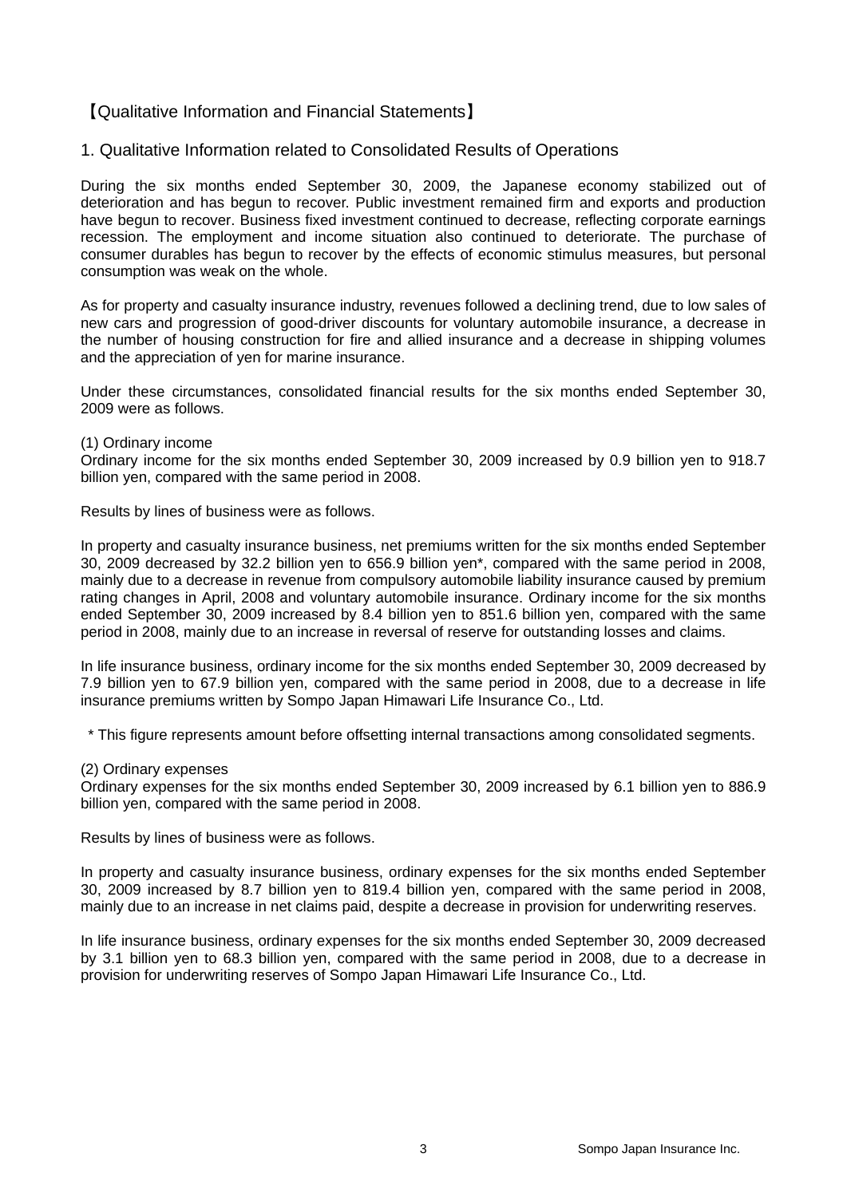## 【Qualitative Information and Financial Statements】

#### 1. Qualitative Information related to Consolidated Results of Operations

During the six months ended September 30, 2009, the Japanese economy stabilized out of deterioration and has begun to recover. Public investment remained firm and exports and production have begun to recover. Business fixed investment continued to decrease, reflecting corporate earnings recession. The employment and income situation also continued to deteriorate. The purchase of consumer durables has begun to recover by the effects of economic stimulus measures, but personal consumption was weak on the whole.

As for property and casualty insurance industry, revenues followed a declining trend, due to low sales of new cars and progression of good-driver discounts for voluntary automobile insurance, a decrease in the number of housing construction for fire and allied insurance and a decrease in shipping volumes and the appreciation of yen for marine insurance.

Under these circumstances, consolidated financial results for the six months ended September 30, 2009 were as follows.

#### (1) Ordinary income

Ordinary income for the six months ended September 30, 2009 increased by 0.9 billion yen to 918.7 billion yen, compared with the same period in 2008.

Results by lines of business were as follows.

In property and casualty insurance business, net premiums written for the six months ended September 30, 2009 decreased by 32.2 billion yen to 656.9 billion yen\*, compared with the same period in 2008, mainly due to a decrease in revenue from compulsory automobile liability insurance caused by premium rating changes in April, 2008 and voluntary automobile insurance. Ordinary income for the six months ended September 30, 2009 increased by 8.4 billion yen to 851.6 billion yen, compared with the same period in 2008, mainly due to an increase in reversal of reserve for outstanding losses and claims.

In life insurance business, ordinary income for the six months ended September 30, 2009 decreased by 7.9 billion yen to 67.9 billion yen, compared with the same period in 2008, due to a decrease in life insurance premiums written by Sompo Japan Himawari Life Insurance Co., Ltd.

\* This figure represents amount before offsetting internal transactions among consolidated segments.

(2) Ordinary expenses

Ordinary expenses for the six months ended September 30, 2009 increased by 6.1 billion yen to 886.9 billion yen, compared with the same period in 2008.

Results by lines of business were as follows.

In property and casualty insurance business, ordinary expenses for the six months ended September 30, 2009 increased by 8.7 billion yen to 819.4 billion yen, compared with the same period in 2008, mainly due to an increase in net claims paid, despite a decrease in provision for underwriting reserves.

In life insurance business, ordinary expenses for the six months ended September 30, 2009 decreased by 3.1 billion yen to 68.3 billion yen, compared with the same period in 2008, due to a decrease in provision for underwriting reserves of Sompo Japan Himawari Life Insurance Co., Ltd.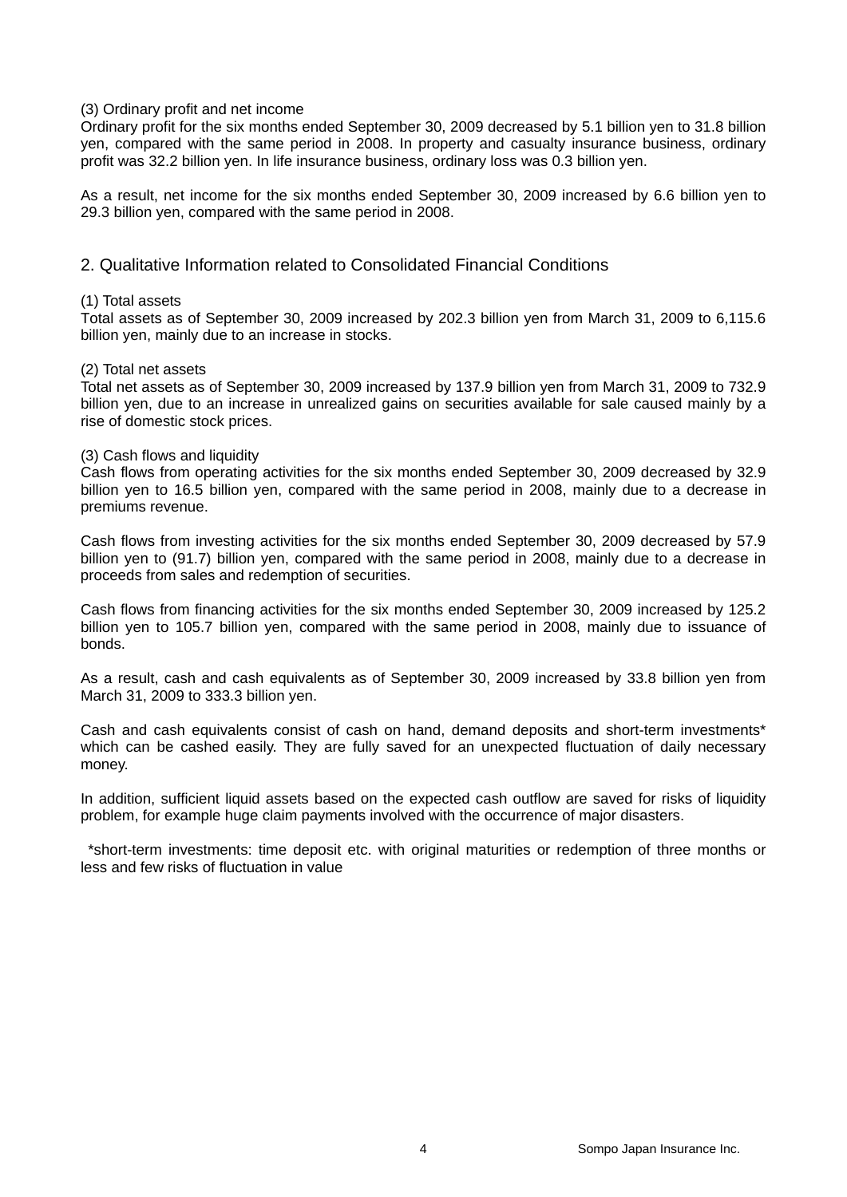#### (3) Ordinary profit and net income

Ordinary profit for the six months ended September 30, 2009 decreased by 5.1 billion yen to 31.8 billion yen, compared with the same period in 2008. In property and casualty insurance business, ordinary profit was 32.2 billion yen. In life insurance business, ordinary loss was 0.3 billion yen.

As a result, net income for the six months ended September 30, 2009 increased by 6.6 billion yen to 29.3 billion yen, compared with the same period in 2008.

#### 2. Qualitative Information related to Consolidated Financial Conditions

#### (1) Total assets

Total assets as of September 30, 2009 increased by 202.3 billion yen from March 31, 2009 to 6,115.6 billion yen, mainly due to an increase in stocks.

#### (2) Total net assets

Total net assets as of September 30, 2009 increased by 137.9 billion yen from March 31, 2009 to 732.9 billion yen, due to an increase in unrealized gains on securities available for sale caused mainly by a rise of domestic stock prices.

#### (3) Cash flows and liquidity

Cash flows from operating activities for the six months ended September 30, 2009 decreased by 32.9 billion yen to 16.5 billion yen, compared with the same period in 2008, mainly due to a decrease in premiums revenue.

Cash flows from investing activities for the six months ended September 30, 2009 decreased by 57.9 billion yen to (91.7) billion yen, compared with the same period in 2008, mainly due to a decrease in proceeds from sales and redemption of securities.

Cash flows from financing activities for the six months ended September 30, 2009 increased by 125.2 billion yen to 105.7 billion yen, compared with the same period in 2008, mainly due to issuance of bonds.

As a result, cash and cash equivalents as of September 30, 2009 increased by 33.8 billion yen from March 31, 2009 to 333.3 billion yen.

Cash and cash equivalents consist of cash on hand, demand deposits and short-term investments\* which can be cashed easily. They are fully saved for an unexpected fluctuation of daily necessary money.

In addition, sufficient liquid assets based on the expected cash outflow are saved for risks of liquidity problem, for example huge claim payments involved with the occurrence of major disasters.

\*short-term investments: time deposit etc. with original maturities or redemption of three months or less and few risks of fluctuation in value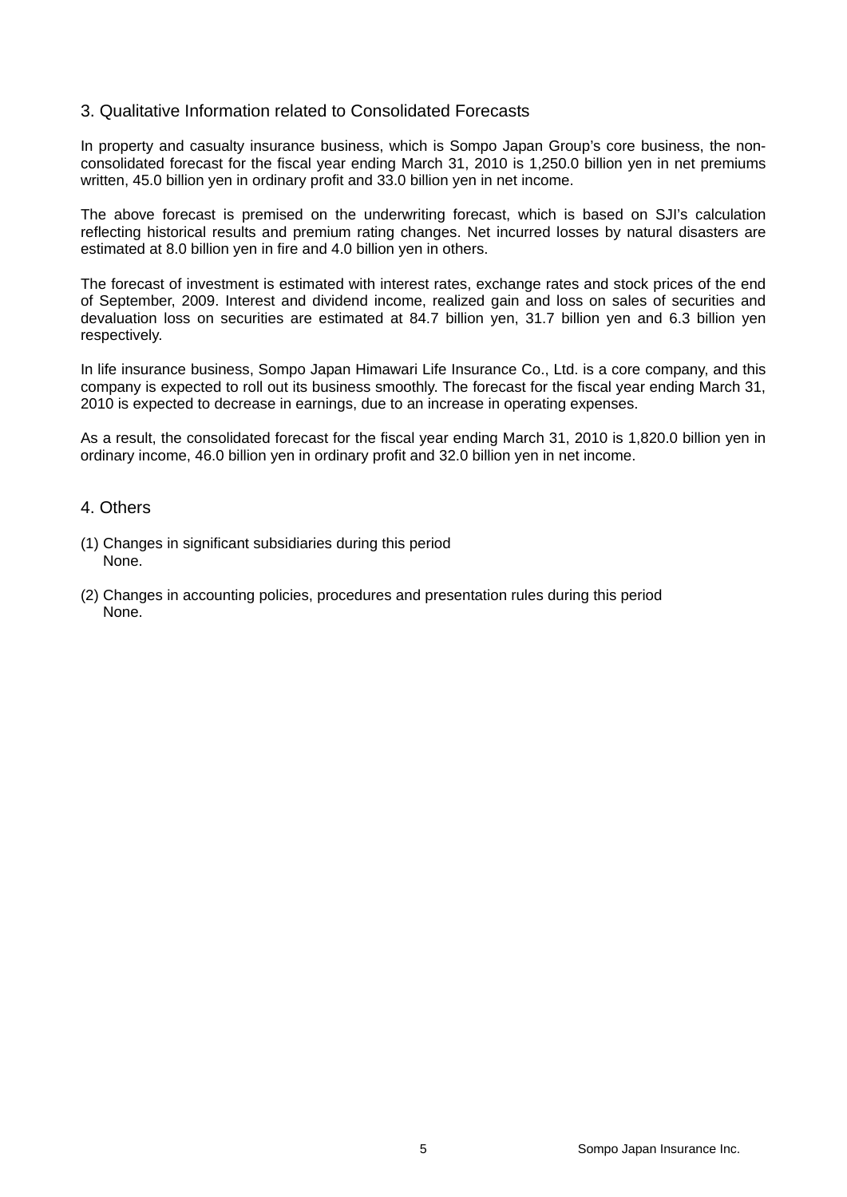#### 3. Qualitative Information related to Consolidated Forecasts

In property and casualty insurance business, which is Sompo Japan Group's core business, the nonconsolidated forecast for the fiscal year ending March 31, 2010 is 1,250.0 billion yen in net premiums written, 45.0 billion yen in ordinary profit and 33.0 billion yen in net income.

The above forecast is premised on the underwriting forecast, which is based on SJI's calculation reflecting historical results and premium rating changes. Net incurred losses by natural disasters are estimated at 8.0 billion yen in fire and 4.0 billion yen in others.

The forecast of investment is estimated with interest rates, exchange rates and stock prices of the end of September, 2009. Interest and dividend income, realized gain and loss on sales of securities and devaluation loss on securities are estimated at 84.7 billion yen, 31.7 billion yen and 6.3 billion yen respectively.

In life insurance business, Sompo Japan Himawari Life Insurance Co., Ltd. is a core company, and this company is expected to roll out its business smoothly. The forecast for the fiscal year ending March 31, 2010 is expected to decrease in earnings, due to an increase in operating expenses.

As a result, the consolidated forecast for the fiscal year ending March 31, 2010 is 1,820.0 billion yen in ordinary income, 46.0 billion yen in ordinary profit and 32.0 billion yen in net income.

#### 4. Others

- (1) Changes in significant subsidiaries during this period None.
- (2) Changes in accounting policies, procedures and presentation rules during this period None.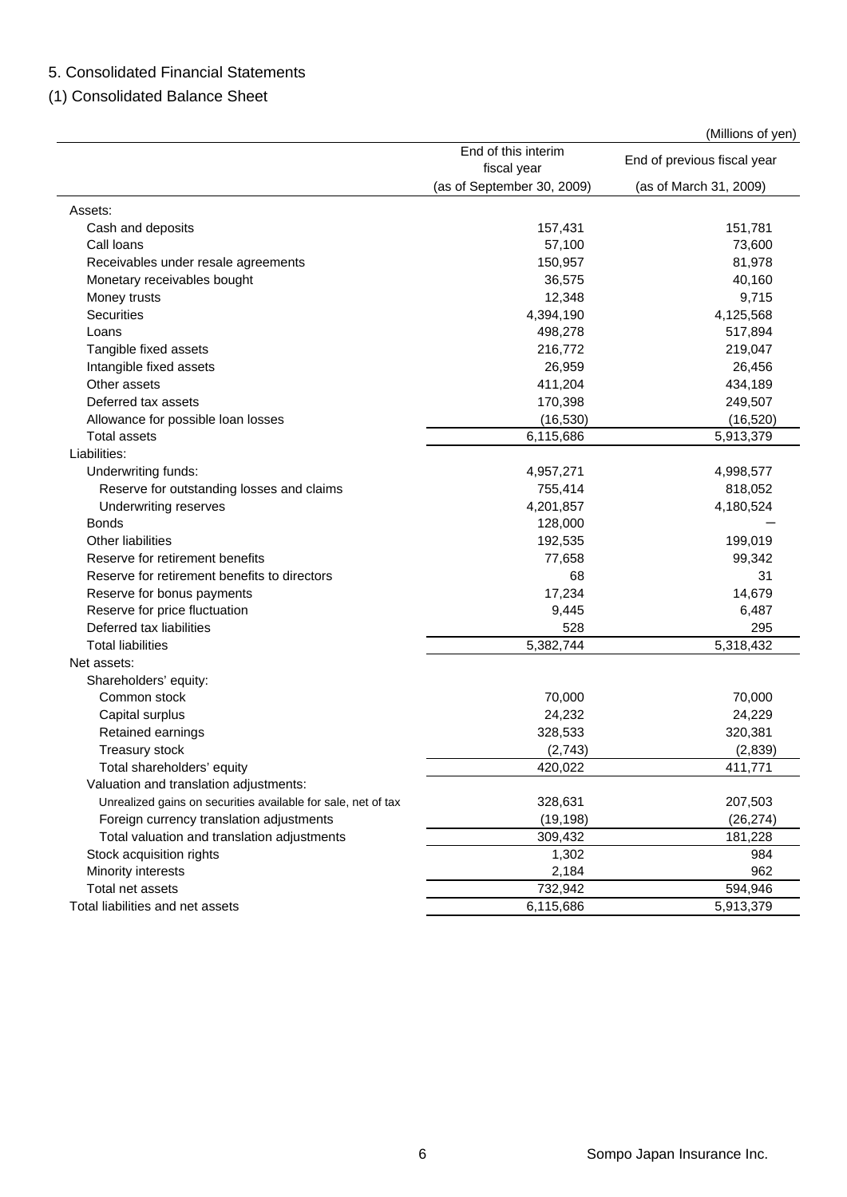## 5. Consolidated Financial Statements

(1) Consolidated Balance Sheet

(Millions of yen)

|                                                               | End of this interim<br>fiscal year | End of previous fiscal year |
|---------------------------------------------------------------|------------------------------------|-----------------------------|
|                                                               | (as of September 30, 2009)         | (as of March 31, 2009)      |
| Assets:                                                       |                                    |                             |
| Cash and deposits                                             | 157,431                            | 151,781                     |
| Call loans                                                    | 57,100                             | 73,600                      |
| Receivables under resale agreements                           | 150,957                            | 81,978                      |
| Monetary receivables bought                                   | 36,575                             | 40,160                      |
| Money trusts                                                  | 12,348                             | 9,715                       |
| <b>Securities</b>                                             | 4,394,190                          | 4,125,568                   |
| Loans                                                         | 498,278                            | 517,894                     |
| Tangible fixed assets                                         | 216,772                            | 219,047                     |
| Intangible fixed assets                                       | 26,959                             | 26,456                      |
| Other assets                                                  | 411,204                            | 434,189                     |
| Deferred tax assets                                           | 170,398                            | 249,507                     |
| Allowance for possible loan losses                            | (16, 530)                          | (16, 520)                   |
| <b>Total assets</b>                                           | 6,115,686                          | 5,913,379                   |
| Liabilities:                                                  |                                    |                             |
| Underwriting funds:                                           | 4,957,271                          | 4,998,577                   |
| Reserve for outstanding losses and claims                     | 755,414                            | 818,052                     |
| Underwriting reserves                                         | 4,201,857                          | 4,180,524                   |
| <b>Bonds</b>                                                  | 128,000                            |                             |
| <b>Other liabilities</b>                                      | 192,535                            | 199,019                     |
| Reserve for retirement benefits                               | 77,658                             | 99,342                      |
| Reserve for retirement benefits to directors                  | 68                                 | 31                          |
| Reserve for bonus payments                                    | 17,234                             | 14,679                      |
| Reserve for price fluctuation                                 | 9,445                              | 6,487                       |
| Deferred tax liabilities                                      | 528                                | 295                         |
| <b>Total liabilities</b>                                      | 5,382,744                          | 5,318,432                   |
| Net assets:                                                   |                                    |                             |
| Shareholders' equity:                                         |                                    |                             |
| Common stock                                                  | 70,000                             | 70,000                      |
| Capital surplus                                               | 24,232                             | 24,229                      |
| Retained earnings                                             | 328,533                            | 320,381                     |
| Treasury stock                                                | (2,743)                            | (2,839)                     |
| Total shareholders' equity                                    | 420,022                            | 411,771                     |
| Valuation and translation adjustments:                        |                                    |                             |
| Unrealized gains on securities available for sale, net of tax | 328,631                            | 207,503                     |
| Foreign currency translation adjustments                      | (19, 198)                          | (26, 274)                   |
| Total valuation and translation adjustments                   | 309,432                            | 181,228                     |
| Stock acquisition rights                                      | 1,302                              | 984                         |
| Minority interests                                            | 2,184                              | 962                         |
| Total net assets                                              | 732,942                            | 594,946                     |
| Total liabilities and net assets                              | 6,115,686                          | 5,913,379                   |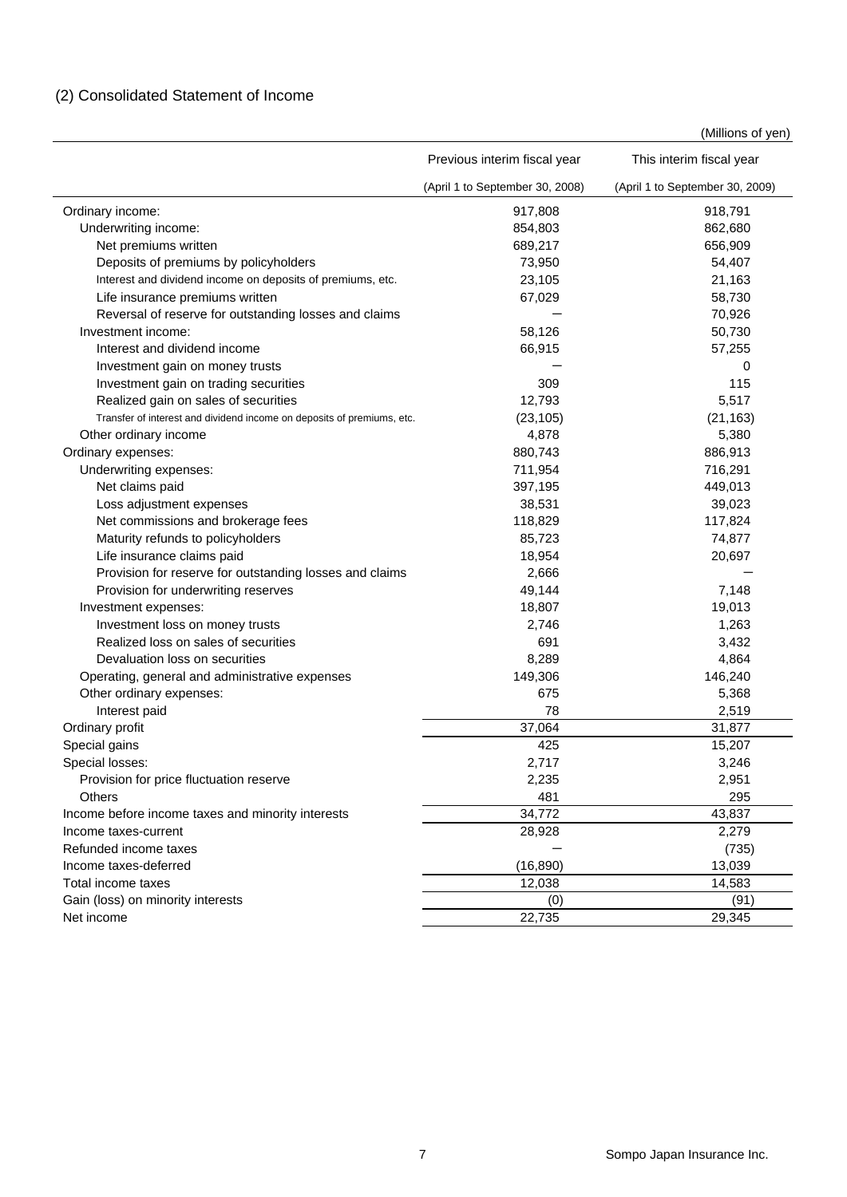|  |  | (2) Consolidated Statement of Income |  |  |  |
|--|--|--------------------------------------|--|--|--|
|--|--|--------------------------------------|--|--|--|

(Millions of yen)

|                                                                        | Previous interim fiscal year    | This interim fiscal year        |
|------------------------------------------------------------------------|---------------------------------|---------------------------------|
|                                                                        | (April 1 to September 30, 2008) | (April 1 to September 30, 2009) |
| Ordinary income:                                                       | 917,808                         | 918,791                         |
| Underwriting income:                                                   | 854,803                         | 862,680                         |
| Net premiums written                                                   | 689,217                         | 656,909                         |
| Deposits of premiums by policyholders                                  | 73,950                          | 54,407                          |
| Interest and dividend income on deposits of premiums, etc.             | 23,105                          | 21,163                          |
| Life insurance premiums written                                        | 67,029                          | 58,730                          |
| Reversal of reserve for outstanding losses and claims                  |                                 | 70,926                          |
| Investment income:                                                     | 58,126                          | 50,730                          |
| Interest and dividend income                                           | 66,915                          | 57,255                          |
| Investment gain on money trusts                                        |                                 | 0                               |
| Investment gain on trading securities                                  | 309                             | 115                             |
| Realized gain on sales of securities                                   | 12,793                          | 5,517                           |
| Transfer of interest and dividend income on deposits of premiums, etc. | (23, 105)                       | (21, 163)                       |
| Other ordinary income                                                  | 4,878                           | 5,380                           |
| Ordinary expenses:                                                     | 880,743                         | 886,913                         |
| Underwriting expenses:                                                 | 711,954                         | 716,291                         |
| Net claims paid                                                        | 397,195                         | 449,013                         |
| Loss adjustment expenses                                               | 38,531                          | 39,023                          |
| Net commissions and brokerage fees                                     | 118,829                         | 117,824                         |
| Maturity refunds to policyholders                                      | 85,723                          | 74,877                          |
| Life insurance claims paid                                             | 18,954                          | 20,697                          |
| Provision for reserve for outstanding losses and claims                | 2,666                           |                                 |
| Provision for underwriting reserves                                    | 49,144                          | 7,148                           |
| Investment expenses:                                                   | 18,807                          | 19,013                          |
| Investment loss on money trusts                                        | 2,746                           | 1,263                           |
| Realized loss on sales of securities                                   | 691                             | 3,432                           |
| Devaluation loss on securities                                         | 8,289                           | 4,864                           |
| Operating, general and administrative expenses                         | 149,306                         | 146,240                         |
| Other ordinary expenses:                                               | 675                             | 5,368                           |
| Interest paid                                                          | 78                              | 2,519                           |
| Ordinary profit                                                        | 37,064                          | 31,877                          |
| Special gains                                                          | 425                             | 15,207                          |
| Special losses:                                                        | 2,717                           | 3,246                           |
| Provision for price fluctuation reserve                                | 2,235                           | 2,951                           |
| <b>Others</b>                                                          | 481                             | 295                             |
| Income before income taxes and minority interests                      | 34,772                          | 43,837                          |
| Income taxes-current                                                   | 28,928                          | 2,279                           |
| Refunded income taxes                                                  |                                 | (735)                           |
| Income taxes-deferred                                                  | (16, 890)                       | 13,039                          |
| Total income taxes                                                     | 12,038                          | 14,583                          |
| Gain (loss) on minority interests                                      | (0)                             | (91)                            |
| Net income                                                             | 22,735                          | 29,345                          |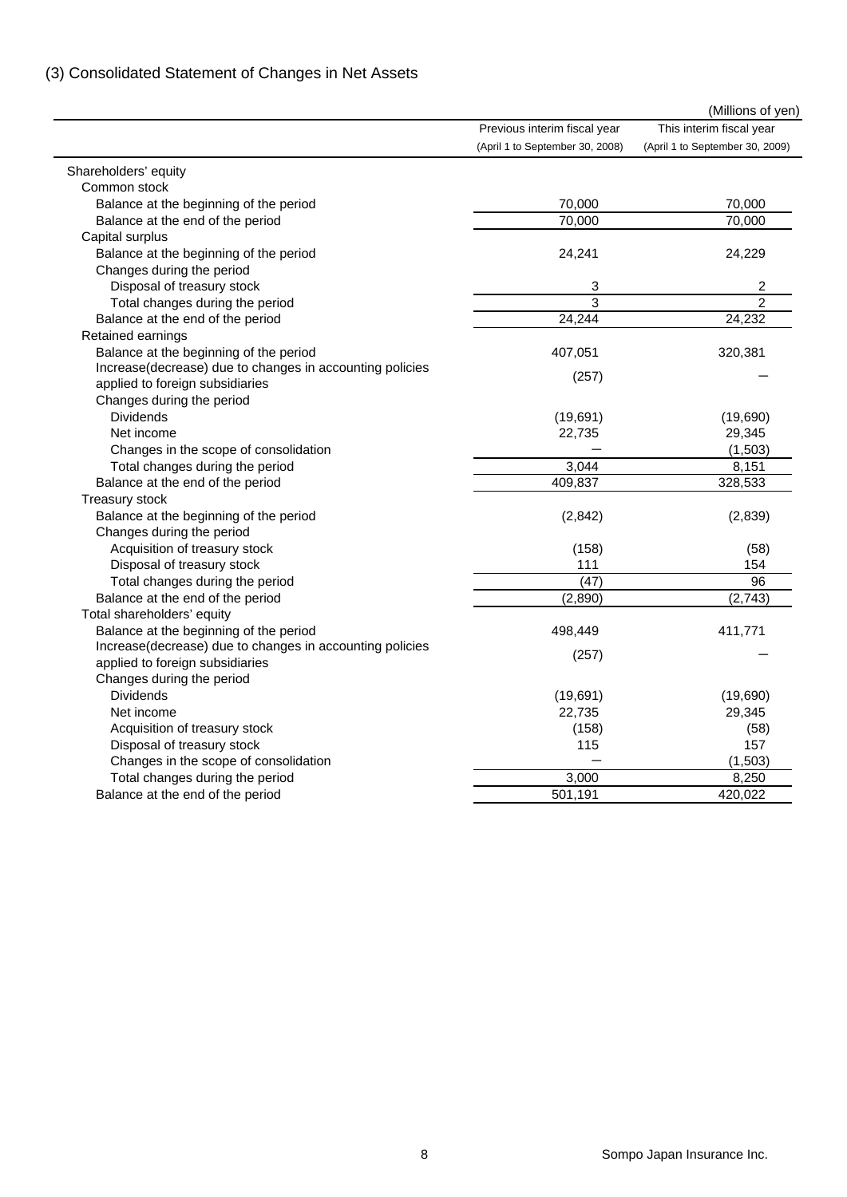# (3) Consolidated Statement of Changes in Net Assets

|                                                                     | Previous interim fiscal year    | (IVIIIIIONS OF YEN)<br>This interim fiscal year |
|---------------------------------------------------------------------|---------------------------------|-------------------------------------------------|
|                                                                     | (April 1 to September 30, 2008) | (April 1 to September 30, 2009)                 |
|                                                                     |                                 |                                                 |
| Shareholders' equity<br>Common stock                                |                                 |                                                 |
| Balance at the beginning of the period                              | 70,000                          | 70,000                                          |
| Balance at the end of the period                                    | 70,000                          | 70,000                                          |
| Capital surplus                                                     |                                 |                                                 |
| Balance at the beginning of the period                              | 24,241                          | 24,229                                          |
| Changes during the period                                           |                                 |                                                 |
| Disposal of treasury stock                                          | 3                               | $\overline{\mathbf{c}}$                         |
| Total changes during the period                                     | 3                               | $\overline{2}$                                  |
| Balance at the end of the period                                    | 24,244                          | 24,232                                          |
| Retained earnings                                                   |                                 |                                                 |
| Balance at the beginning of the period                              | 407,051                         | 320,381                                         |
| Increase(decrease) due to changes in accounting policies            |                                 |                                                 |
| applied to foreign subsidiaries                                     | (257)                           |                                                 |
| Changes during the period                                           |                                 |                                                 |
| <b>Dividends</b>                                                    | (19, 691)                       | (19,690)                                        |
| Net income                                                          | 22,735                          | 29,345                                          |
| Changes in the scope of consolidation                               |                                 | (1,503)                                         |
| Total changes during the period                                     | 3,044                           | 8,151                                           |
| Balance at the end of the period                                    | 409,837                         | 328,533                                         |
|                                                                     |                                 |                                                 |
| Treasury stock                                                      |                                 | (2,839)                                         |
| Balance at the beginning of the period<br>Changes during the period | (2, 842)                        |                                                 |
|                                                                     |                                 |                                                 |
| Acquisition of treasury stock                                       | (158)<br>111                    | (58)<br>154                                     |
| Disposal of treasury stock                                          | (47)                            | 96                                              |
| Total changes during the period                                     |                                 |                                                 |
| Balance at the end of the period                                    | (2,890)                         | (2,743)                                         |
| Total shareholders' equity                                          |                                 |                                                 |
| Balance at the beginning of the period                              | 498,449                         | 411,771                                         |
| Increase(decrease) due to changes in accounting policies            | (257)                           |                                                 |
| applied to foreign subsidiaries                                     |                                 |                                                 |
| Changes during the period                                           |                                 |                                                 |
| <b>Dividends</b>                                                    | (19, 691)                       | (19,690)                                        |
| Net income                                                          | 22,735                          | 29,345                                          |
| Acquisition of treasury stock                                       | (158)                           | (58)                                            |
| Disposal of treasury stock                                          | 115                             | 157                                             |
| Changes in the scope of consolidation                               |                                 | (1, 503)                                        |
| Total changes during the period                                     | 3,000                           | 8,250                                           |
| Balance at the end of the period                                    | 501,191                         | 420,022                                         |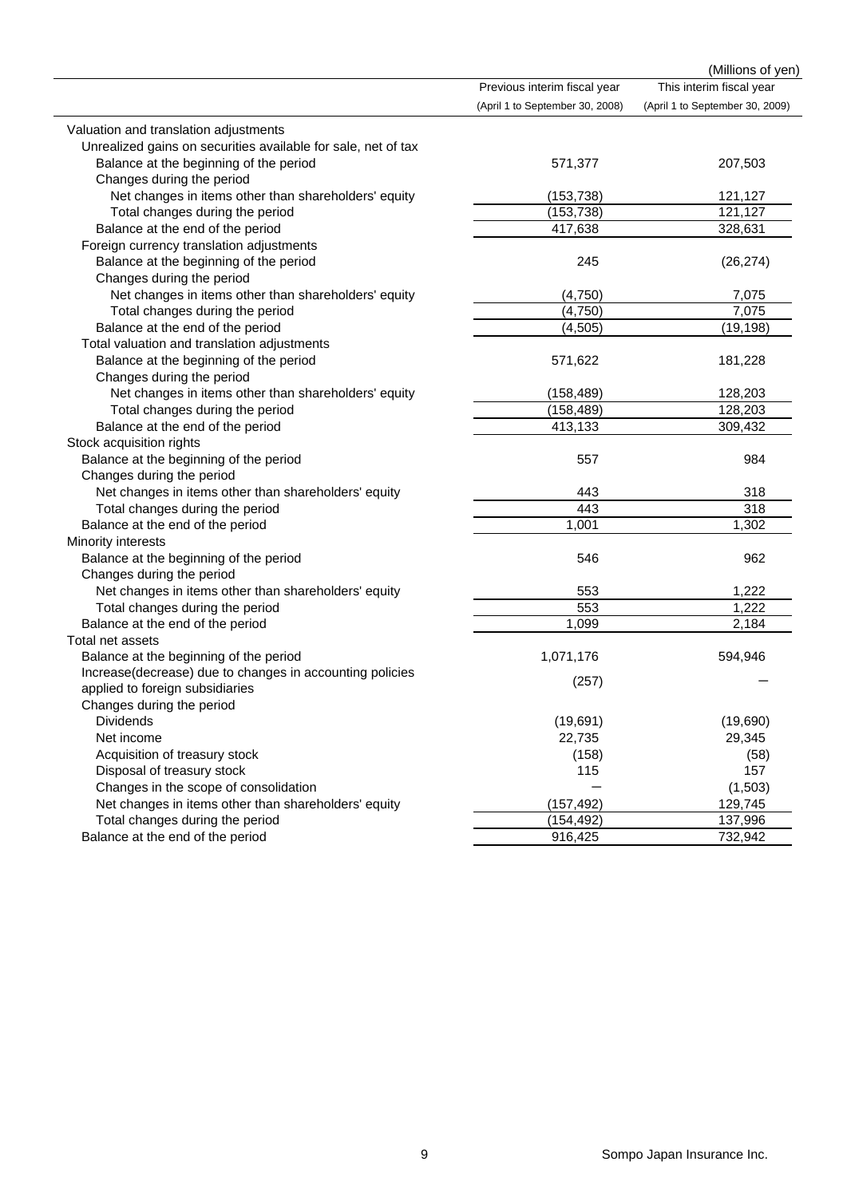|                                                                                         |                                 | (Millions of yen)               |
|-----------------------------------------------------------------------------------------|---------------------------------|---------------------------------|
|                                                                                         | Previous interim fiscal year    | This interim fiscal year        |
|                                                                                         | (April 1 to September 30, 2008) | (April 1 to September 30, 2009) |
| Valuation and translation adjustments                                                   |                                 |                                 |
| Unrealized gains on securities available for sale, net of tax                           |                                 |                                 |
| Balance at the beginning of the period                                                  | 571,377                         | 207,503                         |
| Changes during the period                                                               |                                 |                                 |
| Net changes in items other than shareholders' equity                                    | (153, 738)                      | 121,127                         |
| Total changes during the period                                                         | (153, 738)                      | 121,127                         |
| Balance at the end of the period                                                        | 417,638                         | 328,631                         |
| Foreign currency translation adjustments                                                |                                 |                                 |
| Balance at the beginning of the period                                                  | 245                             | (26, 274)                       |
| Changes during the period                                                               |                                 |                                 |
| Net changes in items other than shareholders' equity                                    | (4,750)                         | 7,075                           |
| Total changes during the period                                                         | (4,750)                         | 7,075                           |
| Balance at the end of the period                                                        | (4, 505)                        | (19, 198)                       |
| Total valuation and translation adjustments                                             |                                 |                                 |
| Balance at the beginning of the period                                                  | 571,622                         | 181,228                         |
| Changes during the period                                                               |                                 |                                 |
| Net changes in items other than shareholders' equity                                    | (158, 489)                      | 128,203                         |
| Total changes during the period                                                         | (158, 489)                      | 128,203                         |
| Balance at the end of the period                                                        | 413,133                         | 309,432                         |
| Stock acquisition rights                                                                |                                 |                                 |
| Balance at the beginning of the period                                                  | 557                             | 984                             |
| Changes during the period                                                               |                                 |                                 |
| Net changes in items other than shareholders' equity                                    | 443                             | 318                             |
| Total changes during the period                                                         | 443                             | 318                             |
| Balance at the end of the period                                                        | 1,001                           | 1,302                           |
| Minority interests                                                                      |                                 |                                 |
| Balance at the beginning of the period                                                  | 546                             | 962                             |
| Changes during the period                                                               |                                 |                                 |
| Net changes in items other than shareholders' equity                                    | 553                             | 1,222                           |
| Total changes during the period                                                         | 553                             | 1,222                           |
| Balance at the end of the period                                                        | 1,099                           | 2,184                           |
| Total net assets                                                                        |                                 |                                 |
| Balance at the beginning of the period                                                  | 1,071,176                       | 594,946                         |
| Increase(decrease) due to changes in accounting policies                                | (257)                           |                                 |
| applied to foreign subsidiaries                                                         |                                 |                                 |
| Changes during the period<br><b>Dividends</b>                                           |                                 |                                 |
|                                                                                         | (19,691)                        | (19,690)                        |
| Net income                                                                              | 22,735                          | 29,345                          |
| Acquisition of treasury stock                                                           | (158)<br>115                    | (58)<br>157                     |
| Disposal of treasury stock<br>Changes in the scope of consolidation                     |                                 |                                 |
|                                                                                         |                                 | (1, 503)                        |
| Net changes in items other than shareholders' equity<br>Total changes during the period | (157, 492)                      | 129,745                         |
|                                                                                         | (154, 492)                      | 137,996                         |
| Balance at the end of the period                                                        | 916,425                         | 732,942                         |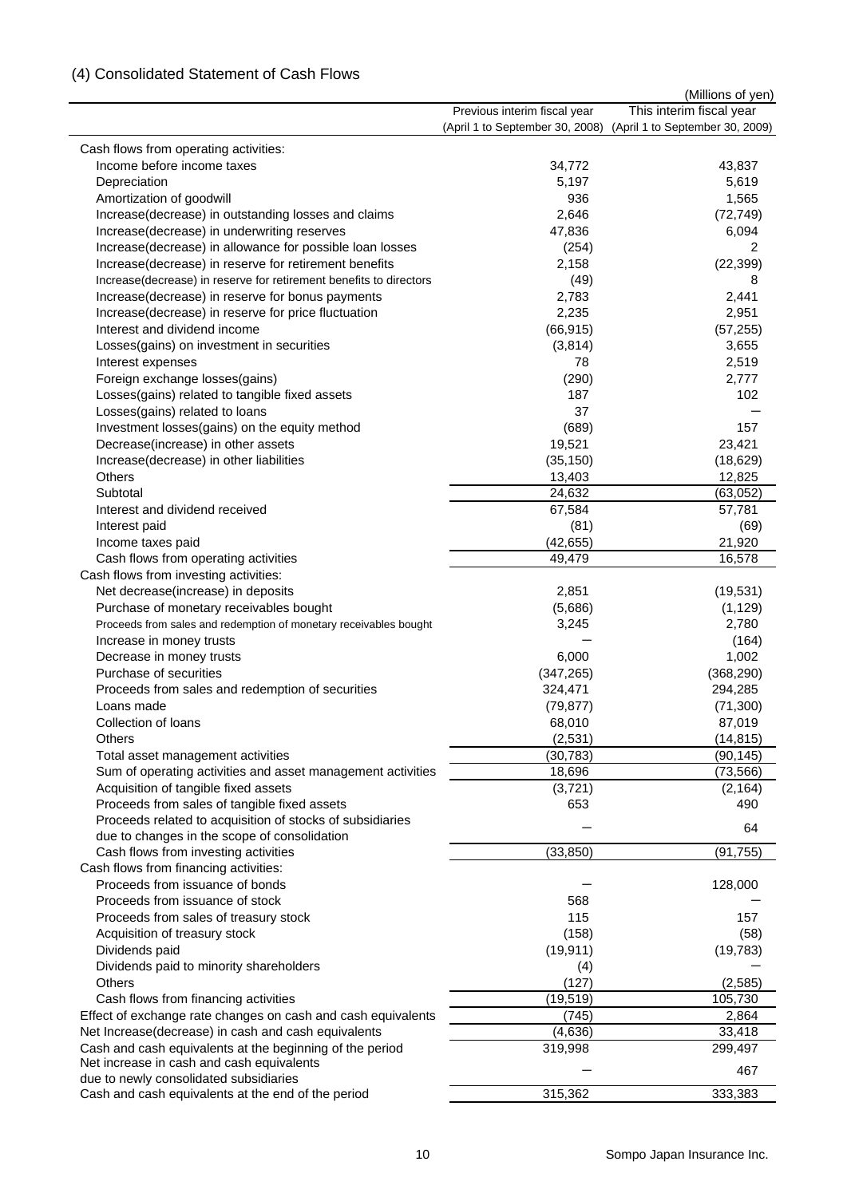## (4) Consolidated Statement of Cash Flows

|                                                                                                                     |                                 | (Millions of yen)               |
|---------------------------------------------------------------------------------------------------------------------|---------------------------------|---------------------------------|
|                                                                                                                     | Previous interim fiscal year    | This interim fiscal year        |
|                                                                                                                     | (April 1 to September 30, 2008) | (April 1 to September 30, 2009) |
| Cash flows from operating activities:                                                                               |                                 |                                 |
| Income before income taxes                                                                                          | 34,772                          | 43,837                          |
| Depreciation                                                                                                        | 5,197                           | 5,619                           |
| Amortization of goodwill                                                                                            | 936                             | 1,565                           |
| Increase(decrease) in outstanding losses and claims                                                                 | 2,646                           | (72, 749)                       |
| Increase(decrease) in underwriting reserves                                                                         | 47,836                          | 6,094                           |
| Increase(decrease) in allowance for possible loan losses                                                            | (254)                           | 2                               |
| Increase(decrease) in reserve for retirement benefits                                                               | 2,158                           | (22, 399)                       |
| Increase(decrease) in reserve for retirement benefits to directors                                                  | (49)                            | 8                               |
| Increase(decrease) in reserve for bonus payments                                                                    | 2,783                           | 2,441                           |
| Increase(decrease) in reserve for price fluctuation                                                                 | 2,235                           | 2,951                           |
| Interest and dividend income                                                                                        | (66, 915)                       | (57, 255)                       |
| Losses(gains) on investment in securities                                                                           | (3,814)                         | 3,655                           |
| Interest expenses                                                                                                   | 78                              | 2,519                           |
| Foreign exchange losses(gains)                                                                                      | (290)                           | 2,777                           |
| Losses(gains) related to tangible fixed assets                                                                      | 187                             | 102                             |
| Losses(gains) related to loans                                                                                      | 37                              |                                 |
| Investment losses(gains) on the equity method                                                                       | (689)                           | 157                             |
| Decrease(increase) in other assets                                                                                  | 19,521                          | 23,421                          |
| Increase(decrease) in other liabilities                                                                             | (35, 150)                       | (18, 629)                       |
| <b>Others</b>                                                                                                       | 13,403                          | 12,825                          |
| Subtotal                                                                                                            | 24,632                          | (63,052)                        |
| Interest and dividend received                                                                                      | 67,584                          | 57,781                          |
| Interest paid                                                                                                       | (81)                            | (69)                            |
| Income taxes paid                                                                                                   | (42, 655)                       | 21,920                          |
| Cash flows from operating activities                                                                                | 49,479                          | 16,578                          |
| Cash flows from investing activities:                                                                               |                                 |                                 |
| Net decrease(increase) in deposits                                                                                  | 2,851                           | (19, 531)                       |
| Purchase of monetary receivables bought                                                                             | (5,686)                         | (1, 129)                        |
| Proceeds from sales and redemption of monetary receivables bought                                                   | 3,245                           | 2,780                           |
| Increase in money trusts                                                                                            |                                 | (164)                           |
| Decrease in money trusts                                                                                            | 6,000                           | 1,002                           |
| Purchase of securities                                                                                              | (347, 265)                      | (368, 290)                      |
| Proceeds from sales and redemption of securities                                                                    | 324,471                         | 294,285                         |
| Loans made                                                                                                          | (79, 877)                       | (71, 300)                       |
| Collection of loans                                                                                                 | 68,010                          | 87,019                          |
| Others                                                                                                              | (2,531)                         | (14, 815)                       |
| Total asset management activities                                                                                   | (30, 783)                       | (90, 145)                       |
| Sum of operating activities and asset management activities                                                         | 18,696                          | (73, 566)                       |
| Acquisition of tangible fixed assets                                                                                | (3,721)                         | (2, 164)                        |
| Proceeds from sales of tangible fixed assets                                                                        | 653                             | 490                             |
| Proceeds related to acquisition of stocks of subsidiaries<br>due to changes in the scope of consolidation           |                                 | 64                              |
| Cash flows from investing activities                                                                                | (33, 850)                       | (91, 755)                       |
| Cash flows from financing activities:                                                                               |                                 |                                 |
| Proceeds from issuance of bonds                                                                                     |                                 | 128,000                         |
| Proceeds from issuance of stock                                                                                     | 568                             |                                 |
| Proceeds from sales of treasury stock                                                                               | 115                             | 157                             |
| Acquisition of treasury stock                                                                                       | (158)                           | (58)                            |
| Dividends paid                                                                                                      | (19, 911)                       | (19, 783)                       |
| Dividends paid to minority shareholders                                                                             |                                 |                                 |
| <b>Others</b>                                                                                                       | (4)<br>(127)                    | (2, 585)                        |
| Cash flows from financing activities                                                                                | (19, 519)                       | 105,730                         |
|                                                                                                                     |                                 |                                 |
| Effect of exchange rate changes on cash and cash equivalents<br>Net Increase(decrease) in cash and cash equivalents | (745)                           | 2,864                           |
|                                                                                                                     | (4,636)                         | 33,418                          |
| Cash and cash equivalents at the beginning of the period<br>Net increase in cash and cash equivalents               | 319,998                         | 299,497                         |
| due to newly consolidated subsidiaries                                                                              |                                 | 467                             |
| Cash and cash equivalents at the end of the period                                                                  | 315,362                         | 333,383                         |
|                                                                                                                     |                                 |                                 |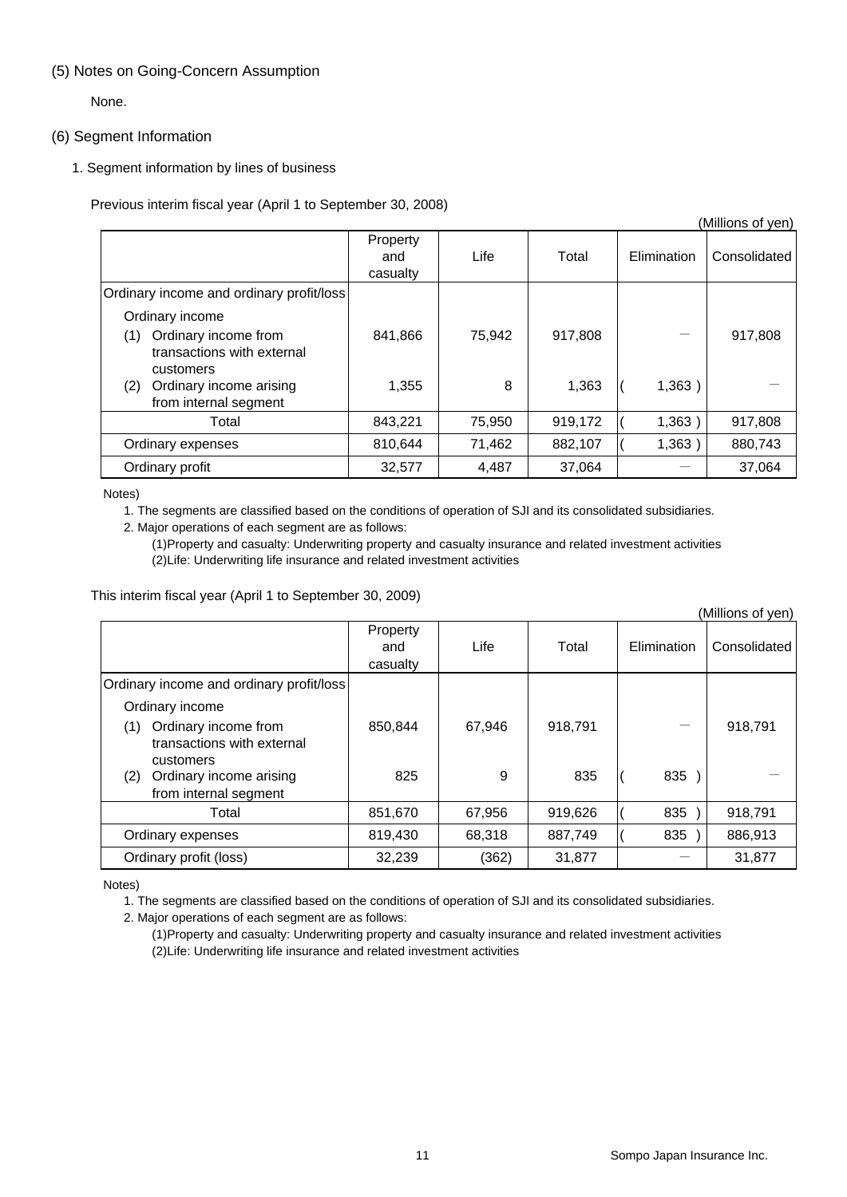#### (5) Notes on Going-Concern Assumption

None.

#### (6) Segment Information

1. Segment information by lines of business

Previous interim fiscal year (April 1 to September 30, 2008)

|                                                                        |                             |        |         |             | (Millions of yen) |
|------------------------------------------------------------------------|-----------------------------|--------|---------|-------------|-------------------|
|                                                                        | Property<br>and<br>casualty | Life   | Total   | Elimination | Consolidated      |
| Ordinary income and ordinary profit/loss                               |                             |        |         |             |                   |
| Ordinary income                                                        |                             |        |         |             |                   |
| Ordinary income from<br>(1)<br>transactions with external<br>customers | 841,866                     | 75.942 | 917.808 |             | 917,808           |
| Ordinary income arising<br>(2)<br>from internal segment                | 1,355                       | 8      | 1,363   | 1,363)      |                   |
| Total                                                                  | 843,221                     | 75,950 | 919,172 | 1,363)      | 917,808           |
| Ordinary expenses                                                      | 810,644                     | 71,462 | 882,107 | 1,363)      | 880,743           |
| Ordinary profit                                                        | 32,577                      | 4,487  | 37,064  |             | 37,064            |

Notes)

1. The segments are classified based on the conditions of operation of SJI and its consolidated subsidiaries.

2. Major operations of each segment are as follows:

(1)Property and casualty: Underwriting property and casualty insurance and related investment activities (2)Life: Underwriting life insurance and related investment activities

This interim fiscal year (April 1 to September 30, 2009)

|                                                                        |                             |        |         |             | (Millions of yen) |
|------------------------------------------------------------------------|-----------------------------|--------|---------|-------------|-------------------|
|                                                                        | Property<br>and<br>casualty | Life   | Total   | Elimination | Consolidated      |
| Ordinary income and ordinary profit/loss                               |                             |        |         |             |                   |
| Ordinary income                                                        |                             |        |         |             |                   |
| Ordinary income from<br>(1)<br>transactions with external<br>customers | 850,844                     | 67,946 | 918.791 |             | 918,791           |
| Ordinary income arising<br>(2)<br>from internal segment                | 825                         | 9      | 835     | 835         |                   |
| Total                                                                  | 851,670                     | 67,956 | 919,626 | 835         | 918,791           |
| Ordinary expenses                                                      | 819,430                     | 68,318 | 887,749 | 835         | 886,913           |
| Ordinary profit (loss)                                                 | 32,239                      | (362)  | 31,877  |             | 31,877            |

Notes)

1. The segments are classified based on the conditions of operation of SJI and its consolidated subsidiaries.

2. Major operations of each segment are as follows:

(1)Property and casualty: Underwriting property and casualty insurance and related investment activities (2)Life: Underwriting life insurance and related investment activities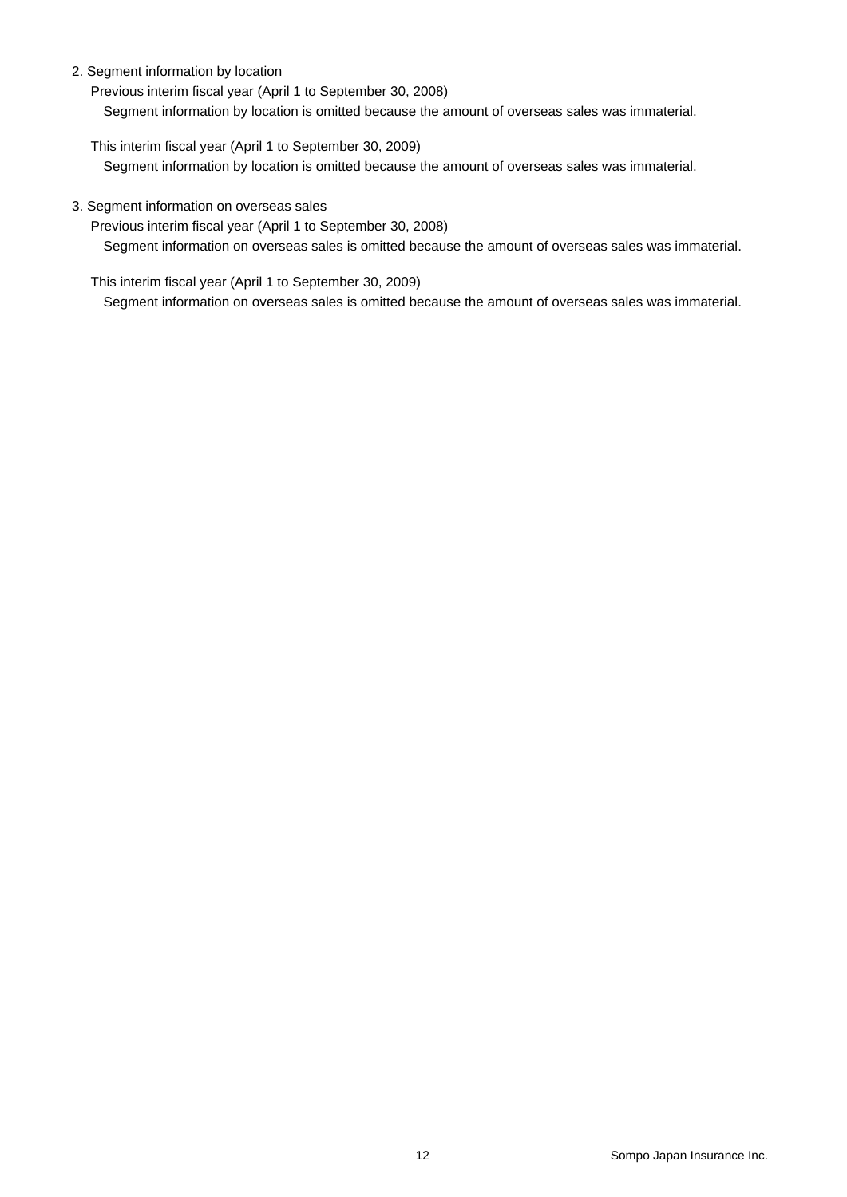#### 2. Segment information by location

Previous interim fiscal year (April 1 to September 30, 2008)

Segment information by location is omitted because the amount of overseas sales was immaterial.

This interim fiscal year (April 1 to September 30, 2009)

Segment information by location is omitted because the amount of overseas sales was immaterial.

#### 3. Segment information on overseas sales

Previous interim fiscal year (April 1 to September 30, 2008) Segment information on overseas sales is omitted because the amount of overseas sales was immaterial.

This interim fiscal year (April 1 to September 30, 2009)

Segment information on overseas sales is omitted because the amount of overseas sales was immaterial.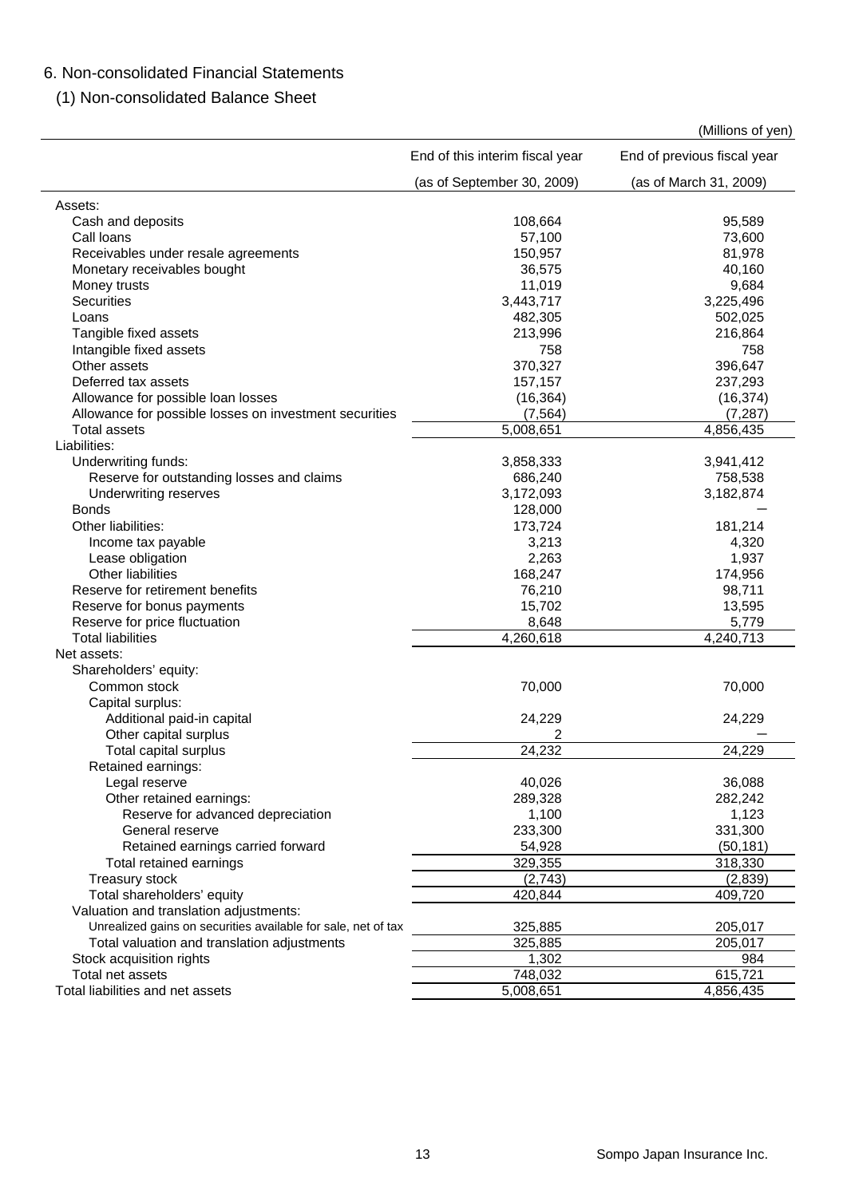# 6. Non-consolidated Financial Statements

(1) Non-consolidated Balance Sheet

|                                                               |                                 | (Millions of yen)           |
|---------------------------------------------------------------|---------------------------------|-----------------------------|
|                                                               | End of this interim fiscal year | End of previous fiscal year |
|                                                               | (as of September 30, 2009)      | (as of March 31, 2009)      |
| Assets:                                                       |                                 |                             |
| Cash and deposits                                             | 108,664                         | 95,589                      |
| Call loans                                                    | 57,100                          | 73,600                      |
| Receivables under resale agreements                           | 150,957                         | 81,978                      |
| Monetary receivables bought                                   | 36,575                          | 40,160                      |
| Money trusts                                                  | 11,019                          | 9,684                       |
| <b>Securities</b>                                             | 3,443,717                       | 3,225,496                   |
| Loans                                                         | 482,305                         | 502,025                     |
| Tangible fixed assets                                         | 213,996                         | 216,864                     |
| Intangible fixed assets                                       | 758                             | 758                         |
| Other assets                                                  | 370,327                         | 396,647                     |
| Deferred tax assets                                           | 157,157                         | 237,293                     |
| Allowance for possible loan losses                            | (16, 364)                       | (16, 374)                   |
| Allowance for possible losses on investment securities        | (7, 564)                        | (7, 287)                    |
| <b>Total assets</b>                                           | 5,008,651                       | 4,856,435                   |
| Liabilities:                                                  |                                 |                             |
|                                                               |                                 |                             |
| Underwriting funds:                                           | 3,858,333                       | 3,941,412                   |
| Reserve for outstanding losses and claims                     | 686,240                         | 758,538                     |
| Underwriting reserves                                         | 3,172,093                       | 3,182,874                   |
| <b>Bonds</b>                                                  | 128,000                         |                             |
| Other liabilities:                                            | 173,724                         | 181,214                     |
| Income tax payable                                            | 3,213                           | 4,320                       |
| Lease obligation                                              | 2,263                           | 1,937                       |
| Other liabilities                                             | 168,247                         | 174,956                     |
| Reserve for retirement benefits                               | 76,210                          | 98,711                      |
| Reserve for bonus payments                                    | 15,702                          | 13,595                      |
| Reserve for price fluctuation                                 | 8,648                           | 5,779                       |
| <b>Total liabilities</b>                                      | 4,260,618                       | 4,240,713                   |
| Net assets:                                                   |                                 |                             |
| Shareholders' equity:                                         |                                 |                             |
| Common stock                                                  | 70,000                          | 70,000                      |
| Capital surplus:                                              |                                 |                             |
| Additional paid-in capital                                    | 24,229                          | 24,229                      |
| Other capital surplus                                         | 2                               |                             |
| Total capital surplus                                         | 24,232                          | 24,229                      |
| Retained earnings:                                            |                                 |                             |
| Legal reserve                                                 | 40,026                          | 36,088                      |
| Other retained earnings:                                      | 289,328                         | 282,242                     |
| Reserve for advanced depreciation                             | 1,100                           | 1,123                       |
| General reserve                                               | 233,300                         | 331,300                     |
| Retained earnings carried forward                             | 54,928                          | (50, 181)                   |
| Total retained earnings                                       | 329,355                         | 318,330                     |
|                                                               | (2,743)                         | (2,839)                     |
| Treasury stock<br>Total shareholders' equity                  | 420,844                         | 409,720                     |
|                                                               |                                 |                             |
| Valuation and translation adjustments:                        |                                 |                             |
| Unrealized gains on securities available for sale, net of tax | 325,885                         | 205,017                     |
| Total valuation and translation adjustments                   | 325,885                         | 205,017                     |
| Stock acquisition rights                                      | 1,302                           | 984                         |
| Total net assets                                              | 748,032                         | 615,721                     |
| Total liabilities and net assets                              | 5,008,651                       | 4,856,435                   |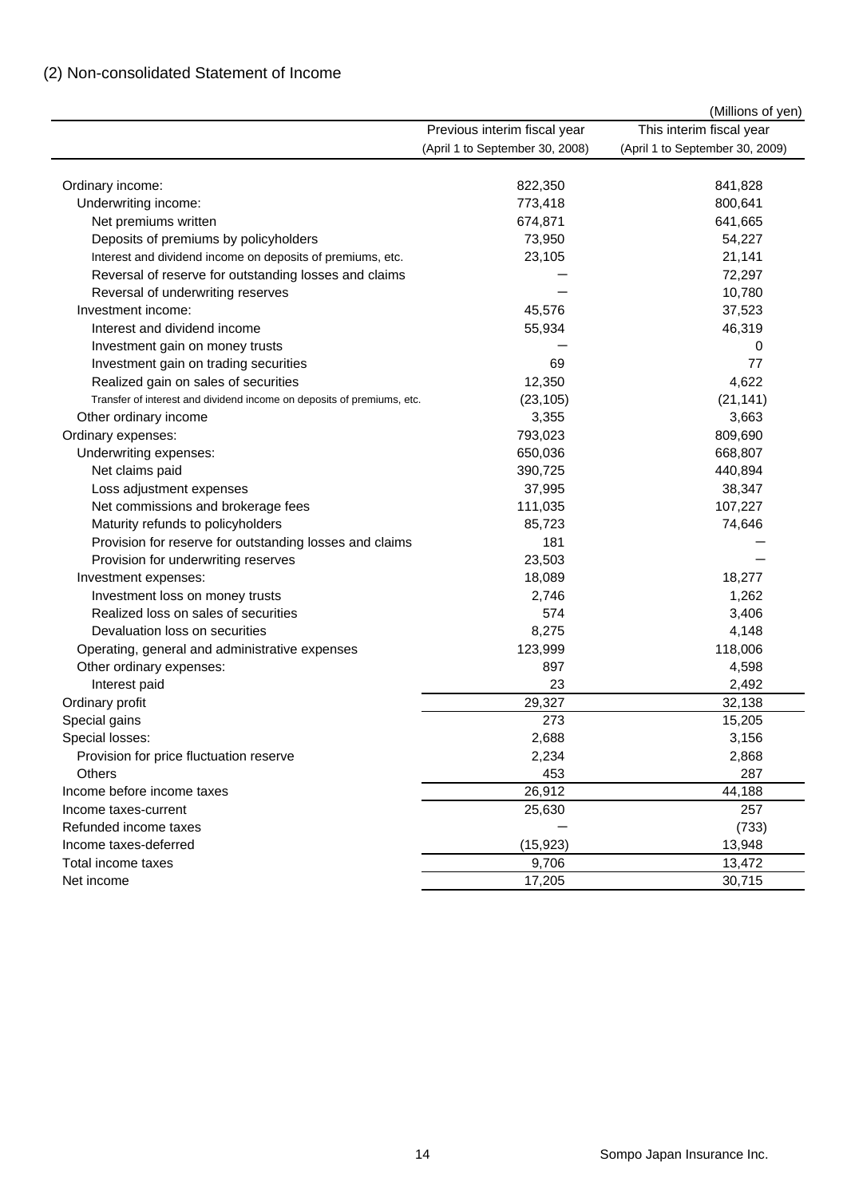|                                                                        |                                 | (Millions of yen)               |
|------------------------------------------------------------------------|---------------------------------|---------------------------------|
|                                                                        | Previous interim fiscal year    | This interim fiscal year        |
|                                                                        | (April 1 to September 30, 2008) | (April 1 to September 30, 2009) |
|                                                                        |                                 |                                 |
| Ordinary income:                                                       | 822,350                         | 841,828                         |
| Underwriting income:                                                   | 773,418                         | 800,641                         |
| Net premiums written                                                   | 674,871                         | 641,665                         |
| Deposits of premiums by policyholders                                  | 73,950                          | 54,227                          |
| Interest and dividend income on deposits of premiums, etc.             | 23,105                          | 21,141                          |
| Reversal of reserve for outstanding losses and claims                  |                                 | 72,297                          |
| Reversal of underwriting reserves                                      |                                 | 10,780                          |
| Investment income:                                                     | 45,576                          | 37,523                          |
| Interest and dividend income                                           | 55,934                          | 46,319                          |
| Investment gain on money trusts                                        |                                 | 0                               |
| Investment gain on trading securities                                  | 69                              | 77                              |
| Realized gain on sales of securities                                   | 12,350                          | 4,622                           |
| Transfer of interest and dividend income on deposits of premiums, etc. | (23, 105)                       | (21, 141)                       |
| Other ordinary income                                                  | 3,355                           | 3,663                           |
| Ordinary expenses:                                                     | 793,023                         | 809,690                         |
| Underwriting expenses:                                                 | 650,036                         | 668,807                         |
| Net claims paid                                                        | 390,725                         | 440,894                         |
| Loss adjustment expenses                                               | 37,995                          | 38,347                          |
| Net commissions and brokerage fees                                     | 111,035                         | 107,227                         |
| Maturity refunds to policyholders                                      | 85,723                          | 74,646                          |
| Provision for reserve for outstanding losses and claims                | 181                             |                                 |
| Provision for underwriting reserves                                    | 23,503                          |                                 |
| Investment expenses:                                                   | 18,089                          | 18,277                          |
| Investment loss on money trusts                                        | 2,746                           | 1,262                           |
| Realized loss on sales of securities                                   | 574                             | 3,406                           |
| Devaluation loss on securities                                         | 8,275                           | 4,148                           |
| Operating, general and administrative expenses                         | 123,999                         | 118,006                         |
| Other ordinary expenses:                                               | 897                             | 4,598                           |
| Interest paid                                                          | 23                              | 2,492                           |
| Ordinary profit                                                        | 29,327                          | 32,138                          |
| Special gains                                                          | 273                             | 15,205                          |
| Special losses:                                                        | 2,688                           | 3,156                           |
| Provision for price fluctuation reserve                                | 2,234                           | 2,868                           |
| Others                                                                 | 453                             | 287                             |
| Income before income taxes                                             | 26,912                          | 44,188                          |
| Income taxes-current                                                   | 25,630                          | 257                             |
| Refunded income taxes                                                  |                                 | (733)                           |
| Income taxes-deferred                                                  | (15, 923)                       | 13,948                          |
| Total income taxes                                                     | 9,706                           | 13,472                          |
| Net income                                                             | 17,205                          | 30,715                          |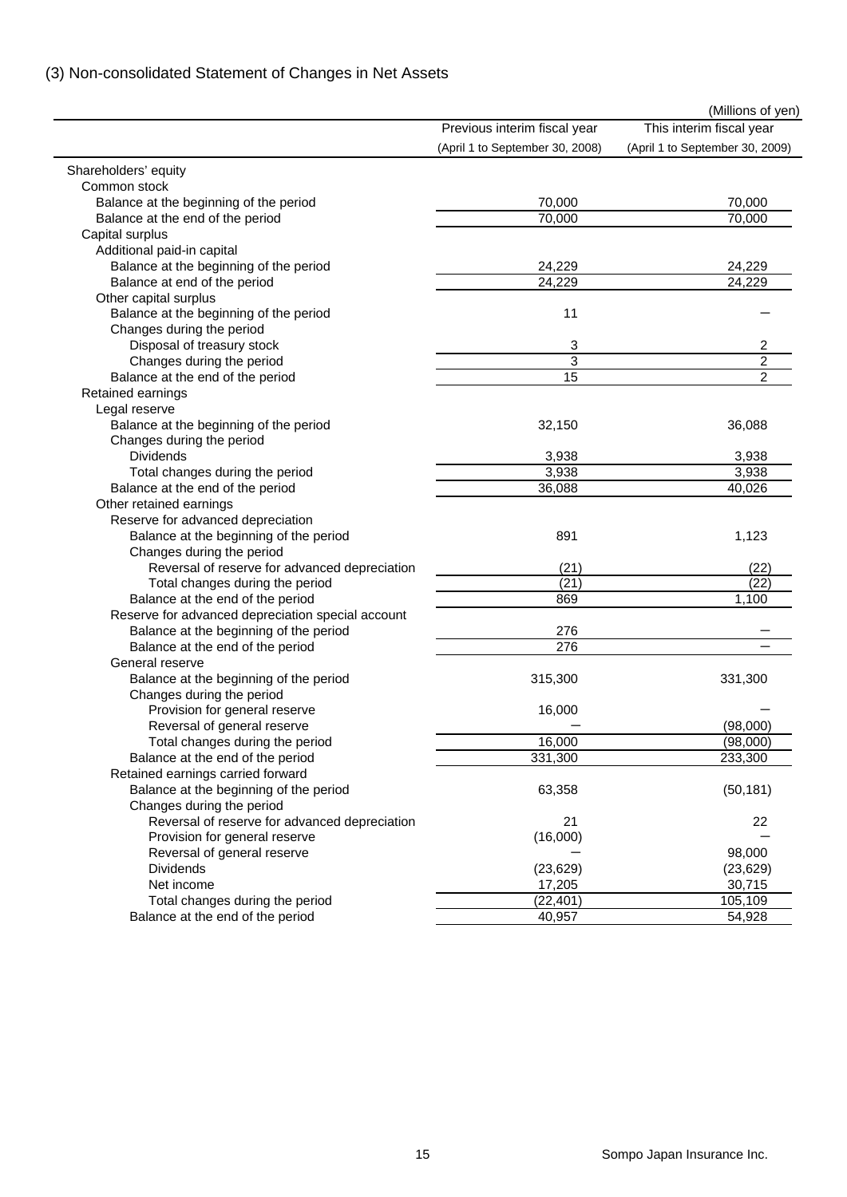# (3) Non-consolidated Statement of Changes in Net Assets

|                                                   |                                 | (Millions of yen)               |
|---------------------------------------------------|---------------------------------|---------------------------------|
|                                                   | Previous interim fiscal year    | This interim fiscal year        |
|                                                   | (April 1 to September 30, 2008) | (April 1 to September 30, 2009) |
| Shareholders' equity                              |                                 |                                 |
| Common stock                                      |                                 |                                 |
| Balance at the beginning of the period            | 70,000                          | 70,000                          |
| Balance at the end of the period                  | 70,000                          | 70,000                          |
| Capital surplus                                   |                                 |                                 |
| Additional paid-in capital                        |                                 |                                 |
| Balance at the beginning of the period            | 24,229                          | 24,229                          |
| Balance at end of the period                      | 24,229                          | 24,229                          |
| Other capital surplus                             |                                 |                                 |
| Balance at the beginning of the period            | 11                              |                                 |
| Changes during the period                         |                                 |                                 |
| Disposal of treasury stock                        | 3                               | 2                               |
| Changes during the period                         | 3                               | $\overline{c}$                  |
| Balance at the end of the period                  | 15                              | $\overline{2}$                  |
| Retained earnings                                 |                                 |                                 |
| Legal reserve                                     |                                 |                                 |
| Balance at the beginning of the period            | 32,150                          | 36,088                          |
| Changes during the period                         |                                 |                                 |
| <b>Dividends</b>                                  | 3,938                           | 3,938                           |
| Total changes during the period                   | 3,938                           | 3,938                           |
| Balance at the end of the period                  | 36,088                          | 40,026                          |
| Other retained earnings                           |                                 |                                 |
| Reserve for advanced depreciation                 |                                 |                                 |
| Balance at the beginning of the period            | 891                             | 1,123                           |
| Changes during the period                         |                                 |                                 |
| Reversal of reserve for advanced depreciation     | (21)                            | (22)                            |
| Total changes during the period                   | (21)                            | (22)                            |
| Balance at the end of the period                  | 869                             | 1,100                           |
| Reserve for advanced depreciation special account |                                 |                                 |
| Balance at the beginning of the period            | 276                             |                                 |
| Balance at the end of the period                  | 276                             |                                 |
| General reserve                                   |                                 |                                 |
| Balance at the beginning of the period            | 315,300                         | 331,300                         |
| Changes during the period                         |                                 |                                 |
| Provision for general reserve                     | 16,000                          |                                 |
| Reversal of general reserve                       |                                 | (98,000)                        |
| Total changes during the period                   | 16,000                          | (98,000)                        |
| Balance at the end of the period                  | 331,300                         | 233,300                         |
| Retained earnings carried forward                 |                                 |                                 |
| Balance at the beginning of the period            | 63,358                          | (50, 181)                       |
| Changes during the period                         |                                 |                                 |
|                                                   | 21                              | 22                              |
| Reversal of reserve for advanced depreciation     |                                 |                                 |
| Provision for general reserve                     | (16,000)                        |                                 |
| Reversal of general reserve                       |                                 | 98,000                          |
| <b>Dividends</b>                                  | (23, 629)                       | (23, 629)                       |
| Net income                                        | 17,205                          | 30,715                          |
| Total changes during the period                   | (22, 401)                       | 105,109                         |
| Balance at the end of the period                  | 40,957                          | 54,928                          |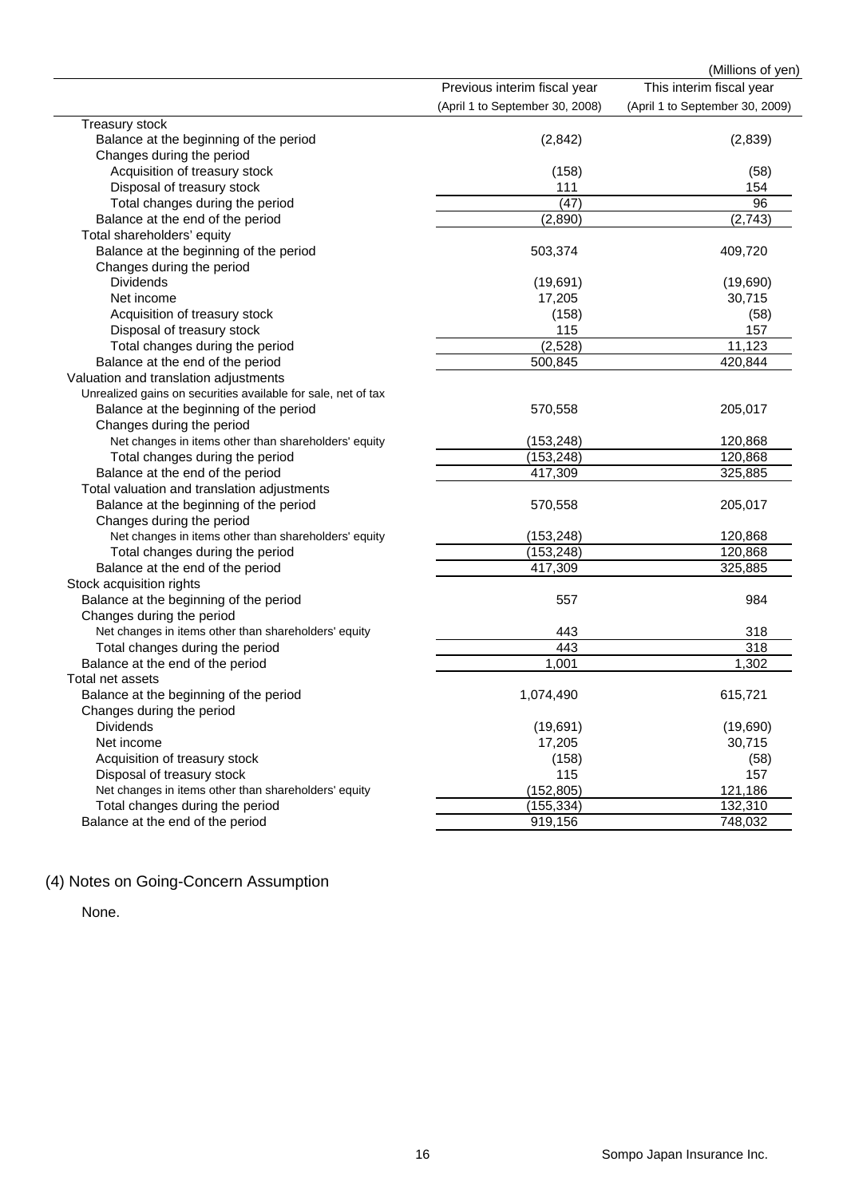|                                                               |                                 | (Millions of yen)               |
|---------------------------------------------------------------|---------------------------------|---------------------------------|
|                                                               | Previous interim fiscal year    | This interim fiscal year        |
|                                                               | (April 1 to September 30, 2008) | (April 1 to September 30, 2009) |
| Treasury stock                                                |                                 |                                 |
| Balance at the beginning of the period                        | (2, 842)                        | (2,839)                         |
| Changes during the period                                     |                                 |                                 |
| Acquisition of treasury stock                                 | (158)                           | (58)                            |
| Disposal of treasury stock                                    | 111                             | 154                             |
| Total changes during the period                               | (47)                            | 96                              |
| Balance at the end of the period                              | (2,890)                         | (2,743)                         |
| Total shareholders' equity                                    |                                 |                                 |
| Balance at the beginning of the period                        | 503,374                         | 409,720                         |
| Changes during the period                                     |                                 |                                 |
| <b>Dividends</b>                                              | (19,691)                        | (19,690)                        |
| Net income                                                    | 17,205                          | 30,715                          |
| Acquisition of treasury stock                                 | (158)                           | (58)                            |
| Disposal of treasury stock                                    | 115                             | 157                             |
| Total changes during the period                               | (2, 528)                        | 11,123                          |
| Balance at the end of the period                              | 500,845                         | 420,844                         |
| Valuation and translation adjustments                         |                                 |                                 |
| Unrealized gains on securities available for sale, net of tax |                                 |                                 |
| Balance at the beginning of the period                        | 570,558                         | 205,017                         |
| Changes during the period                                     |                                 |                                 |
| Net changes in items other than shareholders' equity          | (153, 248)                      | 120,868                         |
| Total changes during the period                               | (153, 248)                      | 120,868                         |
| Balance at the end of the period                              | 417,309                         | 325,885                         |
| Total valuation and translation adjustments                   |                                 |                                 |
| Balance at the beginning of the period                        | 570,558                         | 205,017                         |
| Changes during the period                                     |                                 |                                 |
| Net changes in items other than shareholders' equity          | (153, 248)                      | 120,868                         |
| Total changes during the period                               | (153, 248)                      | 120,868                         |
| Balance at the end of the period                              | 417,309                         | 325,885                         |
| Stock acquisition rights                                      |                                 |                                 |
| Balance at the beginning of the period                        | 557                             | 984                             |
| Changes during the period                                     |                                 |                                 |
| Net changes in items other than shareholders' equity          | 443                             | 318                             |
| Total changes during the period                               | 443                             | 318                             |
| Balance at the end of the period                              | 1,001                           | 1,302                           |
| Total net assets                                              |                                 |                                 |
| Balance at the beginning of the period                        | 1,074,490                       | 615,721                         |
| Changes during the period                                     |                                 |                                 |
| <b>Dividends</b>                                              | (19, 691)                       | (19,690)                        |
| Net income                                                    | 17,205                          | 30,715                          |
| Acquisition of treasury stock                                 | (158)                           | (58)                            |
| Disposal of treasury stock                                    | 115                             | 157                             |
| Net changes in items other than shareholders' equity          | (152, 805)                      | 121,186                         |
| Total changes during the period                               | (155, 334)                      | 132,310                         |
| Balance at the end of the period                              | 919,156                         | 748,032                         |

# (4) Notes on Going-Concern Assumption

None.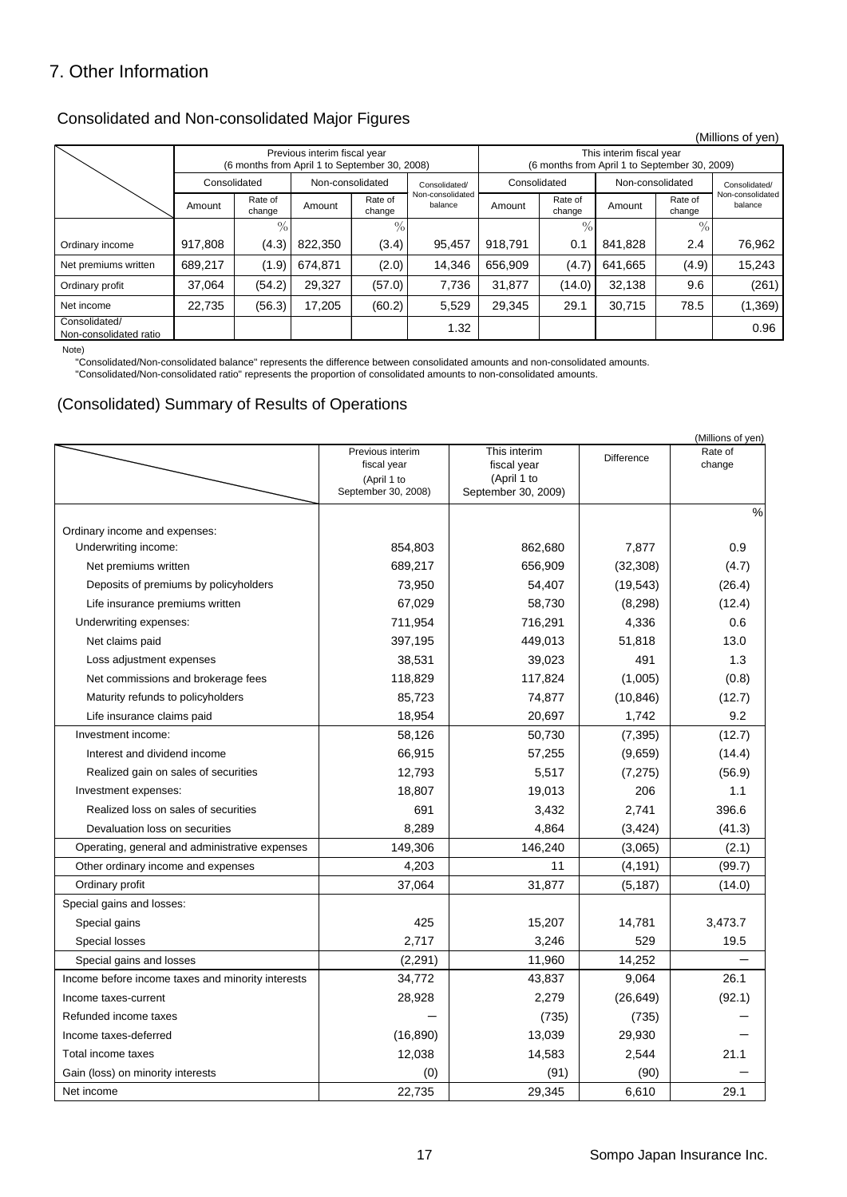# 7. Other Information

## Consolidated and Non-consolidated Major Figures

|                                                                               |              |                   |                  |                                                                           |                             |         |                   |                  |                   | (Millions of yen)           |
|-------------------------------------------------------------------------------|--------------|-------------------|------------------|---------------------------------------------------------------------------|-----------------------------|---------|-------------------|------------------|-------------------|-----------------------------|
| Previous interim fiscal year<br>(6 months from April 1 to September 30, 2008) |              |                   |                  | This interim fiscal year<br>(6 months from April 1 to September 30, 2009) |                             |         |                   |                  |                   |                             |
|                                                                               | Consolidated |                   | Non-consolidated |                                                                           | Consolidated/               |         | Consolidated      | Non-consolidated |                   | Consolidated/               |
|                                                                               | Amount       | Rate of<br>change | Amount           | Rate of<br>change                                                         | Non-consolidated<br>balance | Amount  | Rate of<br>change | Amount           | Rate of<br>change | Non-consolidated<br>balance |
|                                                                               |              | $\mathcal{O}/$    |                  | $\%$                                                                      |                             |         | $\%$              |                  | $\frac{0}{0}$     |                             |
| Ordinary income                                                               | 917,808      | (4.3)             | 822,350          | (3.4)                                                                     | 95,457                      | 918.791 | 0.1               | 841.828          | 2.4               | 76,962                      |
| Net premiums written                                                          | 689,217      | (1.9)             | 674,871          | (2.0)                                                                     | 14.346                      | 656,909 | (4.7)             | 641,665          | (4.9)             | 15,243                      |
| Ordinary profit                                                               | 37.064       | (54.2)            | 29,327           | (57.0)                                                                    | 7,736                       | 31,877  | (14.0)            | 32,138           | 9.6               | (261)                       |
| Net income                                                                    | 22,735       | (56.3)            | 17,205           | (60.2)                                                                    | 5,529                       | 29,345  | 29.1              | 30,715           | 78.5              | (1, 369)                    |
| Consolidated/<br>Non-consolidated ratio                                       |              |                   |                  |                                                                           | 1.32                        |         |                   |                  |                   | 0.96                        |

Note)

"Consolidated/Non-consolidated balance" represents the difference between consolidated amounts and non-consolidated amounts.

"Consolidated/Non-consolidated ratio" represents the proportion of consolidated amounts to non-consolidated amounts.

### (Consolidated) Summary of Results of Operations

|                                                   |                                                |                                            |            | (Millions of yen) |
|---------------------------------------------------|------------------------------------------------|--------------------------------------------|------------|-------------------|
|                                                   | Previous interim<br>fiscal year<br>(April 1 to | This interim<br>fiscal year<br>(April 1 to | Difference | Rate of<br>change |
|                                                   | September 30, 2008)                            | September 30, 2009)                        |            |                   |
|                                                   |                                                |                                            |            | $\%$              |
| Ordinary income and expenses:                     |                                                |                                            |            |                   |
| Underwriting income:                              | 854,803                                        | 862.680                                    | 7,877      | 0.9               |
| Net premiums written                              | 689,217                                        | 656,909                                    | (32, 308)  | (4.7)             |
| Deposits of premiums by policyholders             | 73,950                                         | 54,407                                     | (19, 543)  | (26.4)            |
| Life insurance premiums written                   | 67,029                                         | 58,730                                     | (8, 298)   | (12.4)            |
| Underwriting expenses:                            | 711,954                                        | 716,291                                    | 4,336      | 0.6               |
| Net claims paid                                   | 397,195                                        | 449,013                                    | 51,818     | 13.0              |
| Loss adjustment expenses                          | 38,531                                         | 39,023                                     | 491        | 1.3               |
| Net commissions and brokerage fees                | 118,829                                        | 117,824                                    | (1,005)    | (0.8)             |
| Maturity refunds to policyholders                 | 85,723                                         | 74,877                                     | (10, 846)  | (12.7)            |
| Life insurance claims paid                        | 18,954                                         | 20,697                                     | 1,742      | 9.2               |
| Investment income:                                | 58,126                                         | 50,730                                     | (7, 395)   | (12.7)            |
| Interest and dividend income                      | 66,915                                         | 57,255                                     | (9,659)    | (14.4)            |
| Realized gain on sales of securities              | 12,793                                         | 5,517                                      | (7, 275)   | (56.9)            |
| Investment expenses:                              | 18,807                                         | 19,013                                     | 206        | 1.1               |
| Realized loss on sales of securities              | 691                                            | 3,432                                      | 2,741      | 396.6             |
| Devaluation loss on securities                    | 8,289                                          | 4,864                                      | (3, 424)   | (41.3)            |
| Operating, general and administrative expenses    | 149,306                                        | 146,240                                    | (3,065)    | (2.1)             |
| Other ordinary income and expenses                | 4,203                                          | 11                                         | (4, 191)   | (99.7)            |
| Ordinary profit                                   | 37,064                                         | 31,877                                     | (5, 187)   | (14.0)            |
| Special gains and losses:                         |                                                |                                            |            |                   |
| Special gains                                     | 425                                            | 15,207                                     | 14,781     | 3,473.7           |
| Special losses                                    | 2,717                                          | 3,246                                      | 529        | 19.5              |
| Special gains and losses                          | (2, 291)                                       | 11,960                                     | 14,252     |                   |
| Income before income taxes and minority interests | 34,772                                         | 43,837                                     | 9,064      | 26.1              |
| Income taxes-current                              | 28,928                                         | 2,279                                      | (26, 649)  | (92.1)            |
| Refunded income taxes                             |                                                | (735)                                      | (735)      |                   |
| Income taxes-deferred                             | (16, 890)                                      | 13,039                                     | 29,930     |                   |
| Total income taxes                                | 12,038                                         | 14,583                                     | 2,544      | 21.1              |
| Gain (loss) on minority interests                 | (0)                                            | (91)                                       | (90)       |                   |
| Net income                                        | 22.735                                         | 29.345                                     | 6.610      | 29.1              |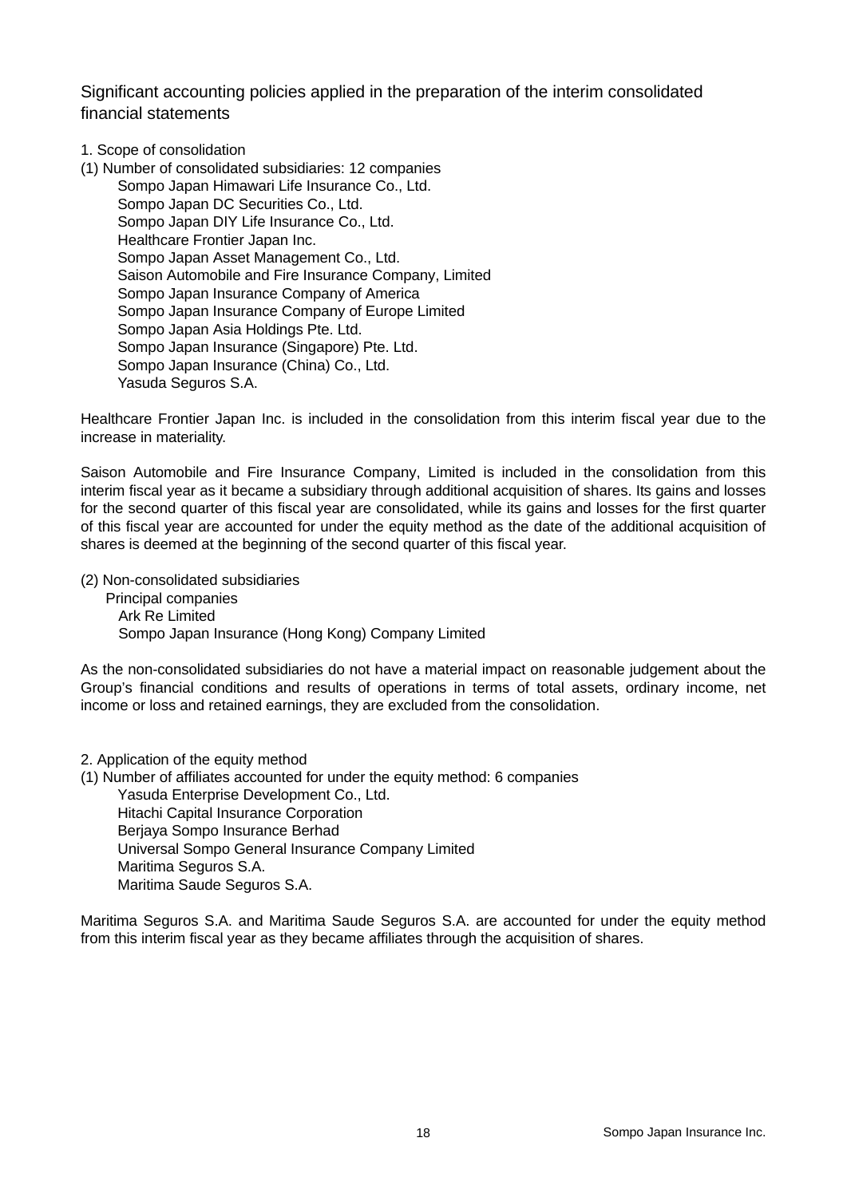Significant accounting policies applied in the preparation of the interim consolidated financial statements

- 1. Scope of consolidation
- (1) Number of consolidated subsidiaries: 12 companies Sompo Japan Himawari Life Insurance Co., Ltd. Sompo Japan DC Securities Co., Ltd. Sompo Japan DIY Life Insurance Co., Ltd. Healthcare Frontier Japan Inc. Sompo Japan Asset Management Co., Ltd. Saison Automobile and Fire Insurance Company, Limited Sompo Japan Insurance Company of America Sompo Japan Insurance Company of Europe Limited Sompo Japan Asia Holdings Pte. Ltd. Sompo Japan Insurance (Singapore) Pte. Ltd. Sompo Japan Insurance (China) Co., Ltd. Yasuda Seguros S.A.

Healthcare Frontier Japan Inc. is included in the consolidation from this interim fiscal year due to the increase in materiality.

Saison Automobile and Fire Insurance Company, Limited is included in the consolidation from this interim fiscal year as it became a subsidiary through additional acquisition of shares. Its gains and losses for the second quarter of this fiscal year are consolidated, while its gains and losses for the first quarter of this fiscal year are accounted for under the equity method as the date of the additional acquisition of shares is deemed at the beginning of the second quarter of this fiscal year.

(2) Non-consolidated subsidiaries

Principal companies Ark Re Limited Sompo Japan Insurance (Hong Kong) Company Limited

As the non-consolidated subsidiaries do not have a material impact on reasonable judgement about the Group's financial conditions and results of operations in terms of total assets, ordinary income, net income or loss and retained earnings, they are excluded from the consolidation.

#### 2. Application of the equity method

(1) Number of affiliates accounted for under the equity method: 6 companies

Yasuda Enterprise Development Co., Ltd. Hitachi Capital Insurance Corporation Berjaya Sompo Insurance Berhad Universal Sompo General Insurance Company Limited Maritima Seguros S.A. Maritima Saude Seguros S.A.

Maritima Seguros S.A. and Maritima Saude Seguros S.A. are accounted for under the equity method from this interim fiscal year as they became affiliates through the acquisition of shares.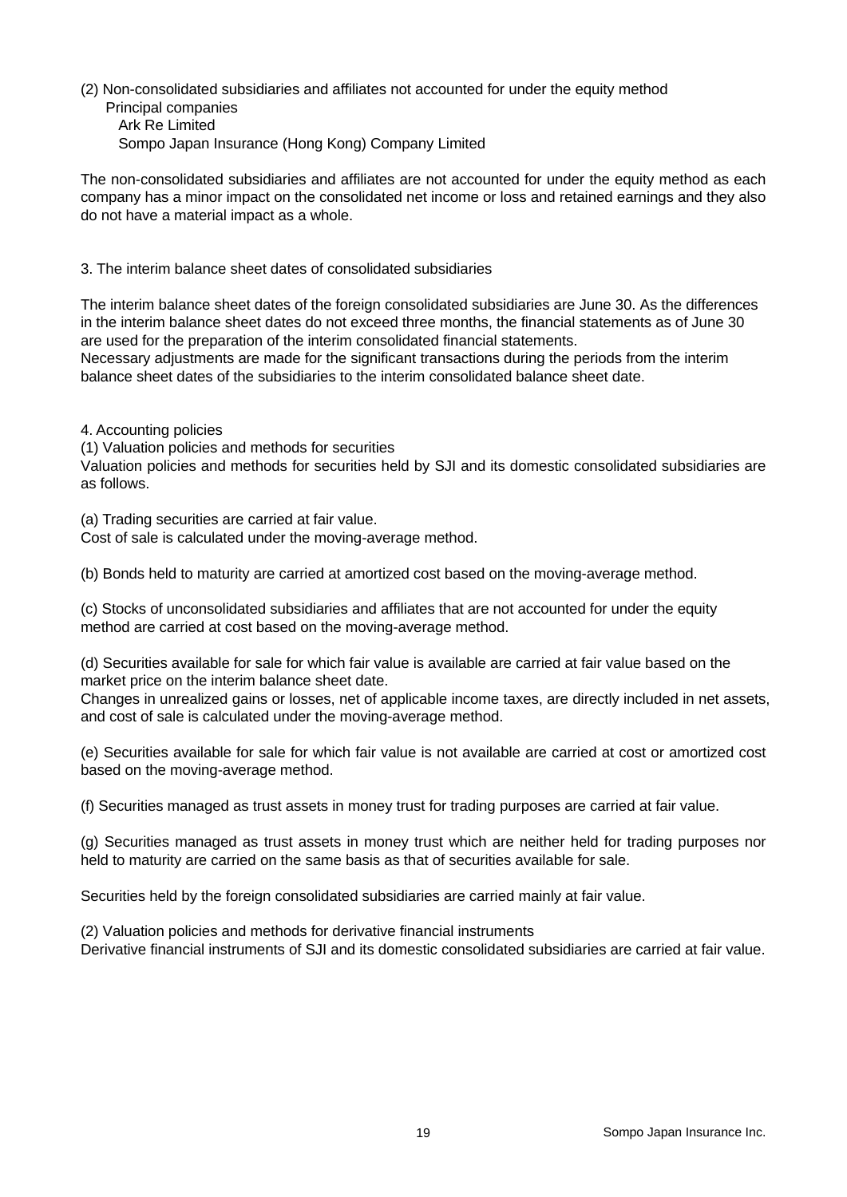(2) Non-consolidated subsidiaries and affiliates not accounted for under the equity method Principal companies Ark Re Limited Sompo Japan Insurance (Hong Kong) Company Limited

The non-consolidated subsidiaries and affiliates are not accounted for under the equity method as each company has a minor impact on the consolidated net income or loss and retained earnings and they also do not have a material impact as a whole.

3. The interim balance sheet dates of consolidated subsidiaries

The interim balance sheet dates of the foreign consolidated subsidiaries are June 30. As the differences in the interim balance sheet dates do not exceed three months, the financial statements as of June 30 are used for the preparation of the interim consolidated financial statements.

Necessary adjustments are made for the significant transactions during the periods from the interim balance sheet dates of the subsidiaries to the interim consolidated balance sheet date.

4. Accounting policies

(1) Valuation policies and methods for securities

Valuation policies and methods for securities held by SJI and its domestic consolidated subsidiaries are as follows.

(a) Trading securities are carried at fair value.

Cost of sale is calculated under the moving-average method.

(b) Bonds held to maturity are carried at amortized cost based on the moving-average method.

(c) Stocks of unconsolidated subsidiaries and affiliates that are not accounted for under the equity method are carried at cost based on the moving-average method.

(d) Securities available for sale for which fair value is available are carried at fair value based on the market price on the interim balance sheet date.

Changes in unrealized gains or losses, net of applicable income taxes, are directly included in net assets, and cost of sale is calculated under the moving-average method.

(e) Securities available for sale for which fair value is not available are carried at cost or amortized cost based on the moving-average method.

(f) Securities managed as trust assets in money trust for trading purposes are carried at fair value.

(g) Securities managed as trust assets in money trust which are neither held for trading purposes nor held to maturity are carried on the same basis as that of securities available for sale.

Securities held by the foreign consolidated subsidiaries are carried mainly at fair value.

(2) Valuation policies and methods for derivative financial instruments

Derivative financial instruments of SJI and its domestic consolidated subsidiaries are carried at fair value.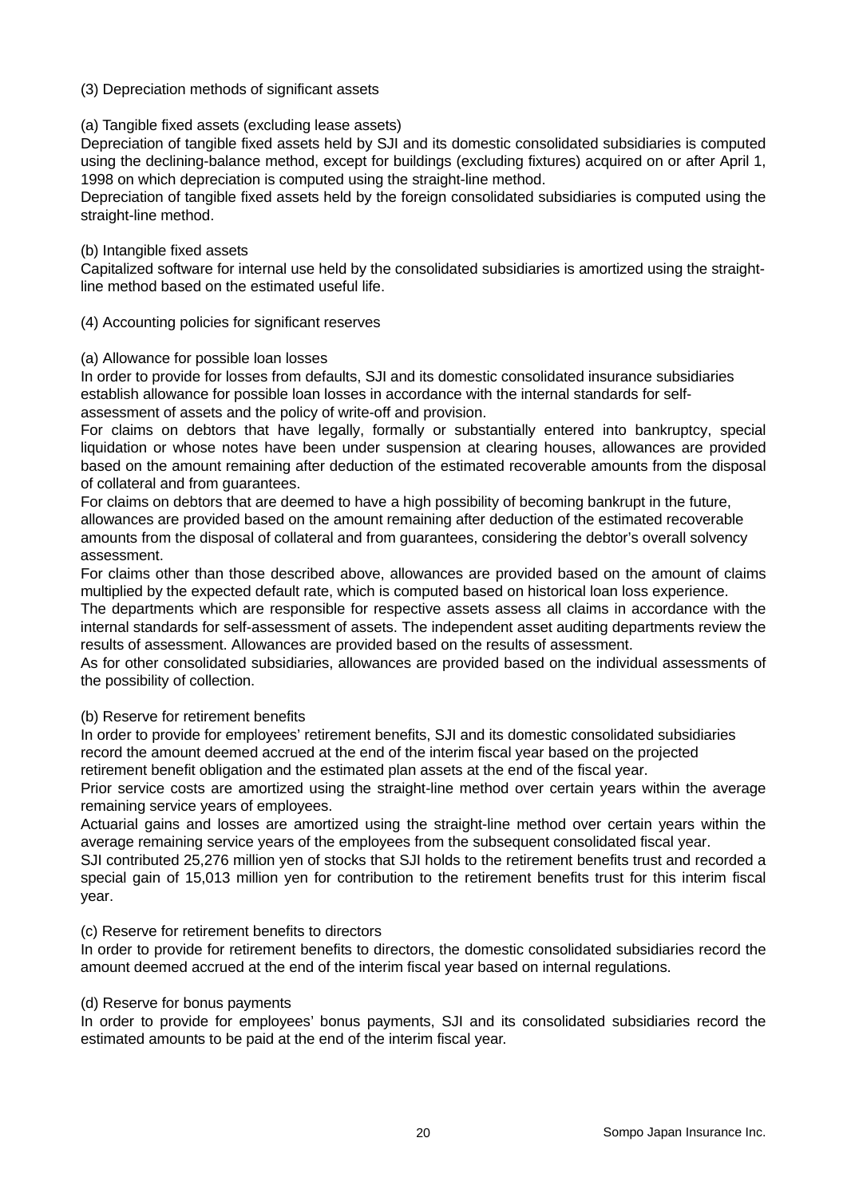#### (3) Depreciation methods of significant assets

#### (a) Tangible fixed assets (excluding lease assets)

Depreciation of tangible fixed assets held by SJI and its domestic consolidated subsidiaries is computed using the declining-balance method, except for buildings (excluding fixtures) acquired on or after April 1, 1998 on which depreciation is computed using the straight-line method.

Depreciation of tangible fixed assets held by the foreign consolidated subsidiaries is computed using the straight-line method.

#### (b) Intangible fixed assets

Capitalized software for internal use held by the consolidated subsidiaries is amortized using the straightline method based on the estimated useful life.

#### (4) Accounting policies for significant reserves

#### (a) Allowance for possible loan losses

In order to provide for losses from defaults, SJI and its domestic consolidated insurance subsidiaries establish allowance for possible loan losses in accordance with the internal standards for selfassessment of assets and the policy of write-off and provision.

For claims on debtors that have legally, formally or substantially entered into bankruptcy, special liquidation or whose notes have been under suspension at clearing houses, allowances are provided based on the amount remaining after deduction of the estimated recoverable amounts from the disposal of collateral and from guarantees.

For claims on debtors that are deemed to have a high possibility of becoming bankrupt in the future, allowances are provided based on the amount remaining after deduction of the estimated recoverable amounts from the disposal of collateral and from guarantees, considering the debtor's overall solvency assessment.

For claims other than those described above, allowances are provided based on the amount of claims multiplied by the expected default rate, which is computed based on historical loan loss experience.

The departments which are responsible for respective assets assess all claims in accordance with the internal standards for self-assessment of assets. The independent asset auditing departments review the results of assessment. Allowances are provided based on the results of assessment.

As for other consolidated subsidiaries, allowances are provided based on the individual assessments of the possibility of collection.

#### (b) Reserve for retirement benefits

In order to provide for employees' retirement benefits, SJI and its domestic consolidated subsidiaries record the amount deemed accrued at the end of the interim fiscal year based on the projected

retirement benefit obligation and the estimated plan assets at the end of the fiscal year.

Prior service costs are amortized using the straight-line method over certain years within the average remaining service years of employees.

Actuarial gains and losses are amortized using the straight-line method over certain years within the average remaining service years of the employees from the subsequent consolidated fiscal year.

SJI contributed 25,276 million yen of stocks that SJI holds to the retirement benefits trust and recorded a special gain of 15,013 million yen for contribution to the retirement benefits trust for this interim fiscal year.

#### (c) Reserve for retirement benefits to directors

In order to provide for retirement benefits to directors, the domestic consolidated subsidiaries record the amount deemed accrued at the end of the interim fiscal year based on internal regulations.

#### (d) Reserve for bonus payments

In order to provide for employees' bonus payments, SJI and its consolidated subsidiaries record the estimated amounts to be paid at the end of the interim fiscal year.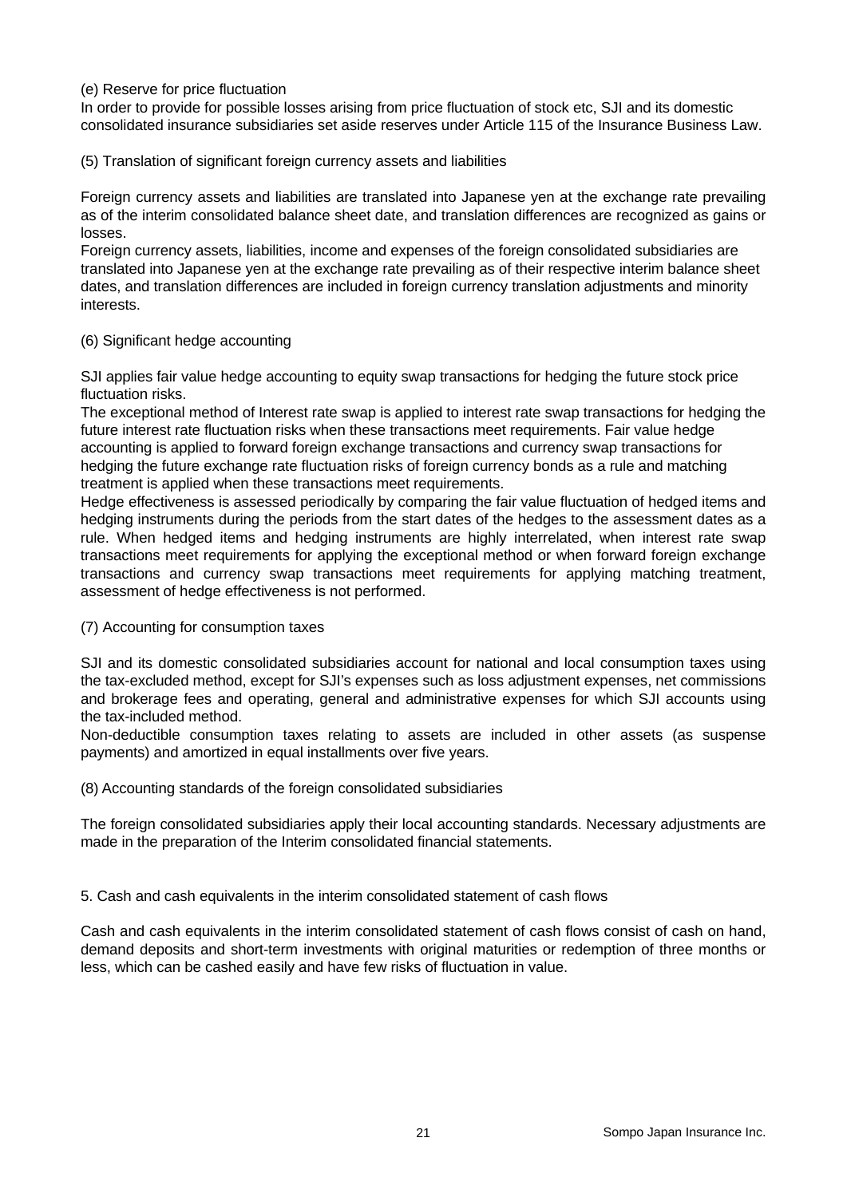#### (e) Reserve for price fluctuation

In order to provide for possible losses arising from price fluctuation of stock etc, SJI and its domestic consolidated insurance subsidiaries set aside reserves under Article 115 of the Insurance Business Law.

(5) Translation of significant foreign currency assets and liabilities

Foreign currency assets and liabilities are translated into Japanese yen at the exchange rate prevailing as of the interim consolidated balance sheet date, and translation differences are recognized as gains or losses.

Foreign currency assets, liabilities, income and expenses of the foreign consolidated subsidiaries are translated into Japanese yen at the exchange rate prevailing as of their respective interim balance sheet dates, and translation differences are included in foreign currency translation adjustments and minority interests.

#### (6) Significant hedge accounting

SJI applies fair value hedge accounting to equity swap transactions for hedging the future stock price fluctuation risks.

The exceptional method of Interest rate swap is applied to interest rate swap transactions for hedging the future interest rate fluctuation risks when these transactions meet requirements. Fair value hedge accounting is applied to forward foreign exchange transactions and currency swap transactions for hedging the future exchange rate fluctuation risks of foreign currency bonds as a rule and matching treatment is applied when these transactions meet requirements.

Hedge effectiveness is assessed periodically by comparing the fair value fluctuation of hedged items and hedging instruments during the periods from the start dates of the hedges to the assessment dates as a rule. When hedged items and hedging instruments are highly interrelated, when interest rate swap transactions meet requirements for applying the exceptional method or when forward foreign exchange transactions and currency swap transactions meet requirements for applying matching treatment, assessment of hedge effectiveness is not performed.

(7) Accounting for consumption taxes

SJI and its domestic consolidated subsidiaries account for national and local consumption taxes using the tax-excluded method, except for SJI's expenses such as loss adjustment expenses, net commissions and brokerage fees and operating, general and administrative expenses for which SJI accounts using the tax-included method.

Non-deductible consumption taxes relating to assets are included in other assets (as suspense payments) and amortized in equal installments over five years.

(8) Accounting standards of the foreign consolidated subsidiaries

The foreign consolidated subsidiaries apply their local accounting standards. Necessary adjustments are made in the preparation of the Interim consolidated financial statements.

5. Cash and cash equivalents in the interim consolidated statement of cash flows

Cash and cash equivalents in the interim consolidated statement of cash flows consist of cash on hand, demand deposits and short-term investments with original maturities or redemption of three months or less, which can be cashed easily and have few risks of fluctuation in value.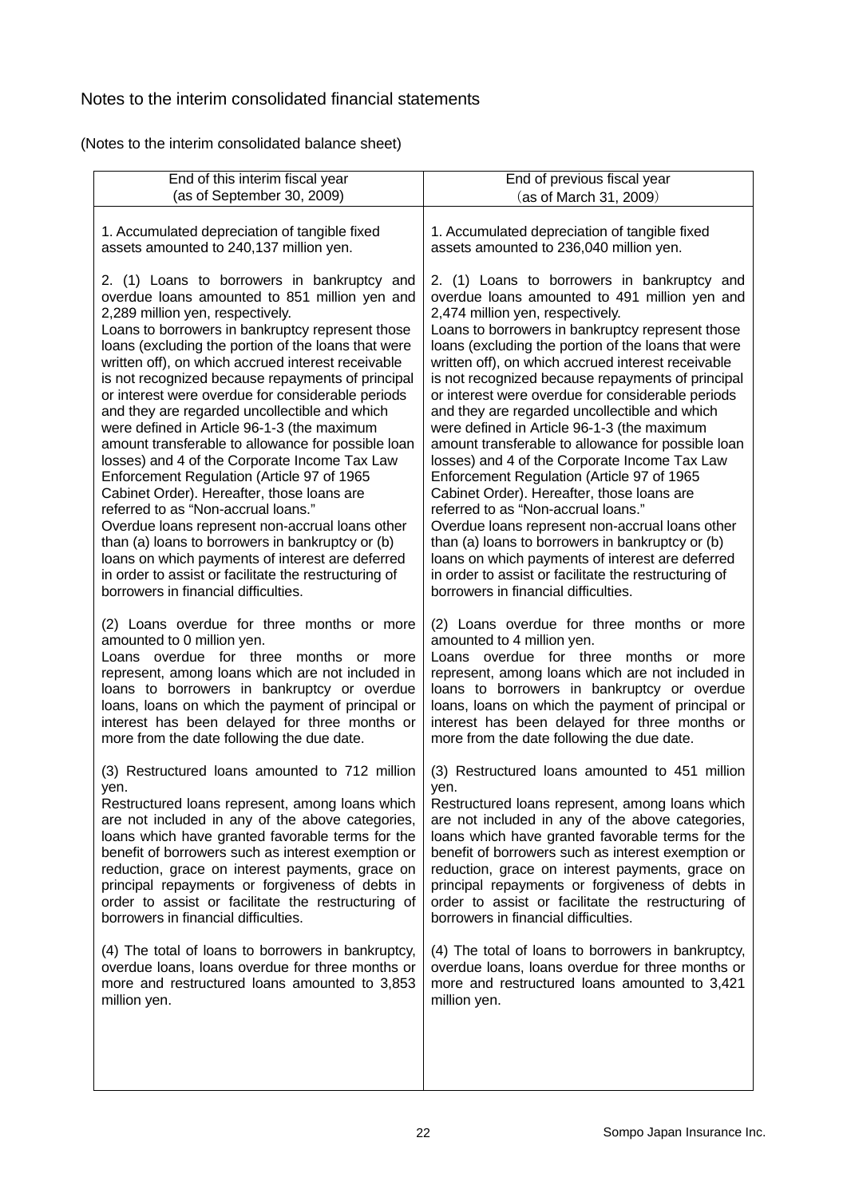# Notes to the interim consolidated financial statements

(Notes to the interim consolidated balance sheet)

| End of this interim fiscal year                       | End of previous fiscal year                           |
|-------------------------------------------------------|-------------------------------------------------------|
| (as of September 30, 2009)                            | (as of March 31, 2009)                                |
| 1. Accumulated depreciation of tangible fixed         | 1. Accumulated depreciation of tangible fixed         |
| assets amounted to 240,137 million yen.               | assets amounted to 236,040 million yen.               |
| 2. (1) Loans to borrowers in bankruptcy and           | 2. (1) Loans to borrowers in bankruptcy and           |
| overdue loans amounted to 851 million yen and         | overdue loans amounted to 491 million yen and         |
| 2,289 million yen, respectively.                      | 2,474 million yen, respectively.                      |
| Loans to borrowers in bankruptcy represent those      | Loans to borrowers in bankruptcy represent those      |
| loans (excluding the portion of the loans that were   | loans (excluding the portion of the loans that were   |
| written off), on which accrued interest receivable    | written off), on which accrued interest receivable    |
| is not recognized because repayments of principal     | is not recognized because repayments of principal     |
| or interest were overdue for considerable periods     | or interest were overdue for considerable periods     |
| and they are regarded uncollectible and which         | and they are regarded uncollectible and which         |
| were defined in Article 96-1-3 (the maximum           | were defined in Article 96-1-3 (the maximum           |
| amount transferable to allowance for possible loan    | amount transferable to allowance for possible loan    |
| losses) and 4 of the Corporate Income Tax Law         | losses) and 4 of the Corporate Income Tax Law         |
| Enforcement Regulation (Article 97 of 1965            | Enforcement Regulation (Article 97 of 1965            |
| Cabinet Order). Hereafter, those loans are            | Cabinet Order). Hereafter, those loans are            |
| referred to as "Non-accrual loans."                   | referred to as "Non-accrual loans."                   |
| Overdue loans represent non-accrual loans other       | Overdue loans represent non-accrual loans other       |
| than (a) loans to borrowers in bankruptcy or (b)      | than (a) loans to borrowers in bankruptcy or (b)      |
| loans on which payments of interest are deferred      | loans on which payments of interest are deferred      |
| in order to assist or facilitate the restructuring of | in order to assist or facilitate the restructuring of |
| borrowers in financial difficulties.                  | borrowers in financial difficulties.                  |
| (2) Loans overdue for three months or more            | (2) Loans overdue for three months or more            |
| amounted to 0 million yen.                            | amounted to 4 million yen.                            |
| Loans overdue for three months or more                | Loans overdue for three months or more                |
| represent, among loans which are not included in      | represent, among loans which are not included in      |
| loans to borrowers in bankruptcy or overdue           | loans to borrowers in bankruptcy or overdue           |
| loans, loans on which the payment of principal or     | loans, loans on which the payment of principal or     |
| interest has been delayed for three months or         | interest has been delayed for three months or         |
| more from the date following the due date.            | more from the date following the due date.            |
| (3) Restructured loans amounted to 712 million        | (3) Restructured loans amounted to 451 million        |
| yen.                                                  | yen.                                                  |
| Restructured loans represent, among loans which       | Restructured loans represent, among loans which       |
| are not included in any of the above categories,      | are not included in any of the above categories,      |
| loans which have granted favorable terms for the      | loans which have granted favorable terms for the      |
| benefit of borrowers such as interest exemption or    | benefit of borrowers such as interest exemption or    |
| reduction, grace on interest payments, grace on       | reduction, grace on interest payments, grace on       |
| principal repayments or forgiveness of debts in       | principal repayments or forgiveness of debts in       |
| order to assist or facilitate the restructuring of    | order to assist or facilitate the restructuring of    |
| borrowers in financial difficulties.                  | borrowers in financial difficulties.                  |
| (4) The total of loans to borrowers in bankruptcy,    | (4) The total of loans to borrowers in bankruptcy,    |
| overdue loans, loans overdue for three months or      | overdue loans, loans overdue for three months or      |
| more and restructured loans amounted to 3,853         | more and restructured loans amounted to 3,421         |
| million yen.                                          | million yen.                                          |
|                                                       |                                                       |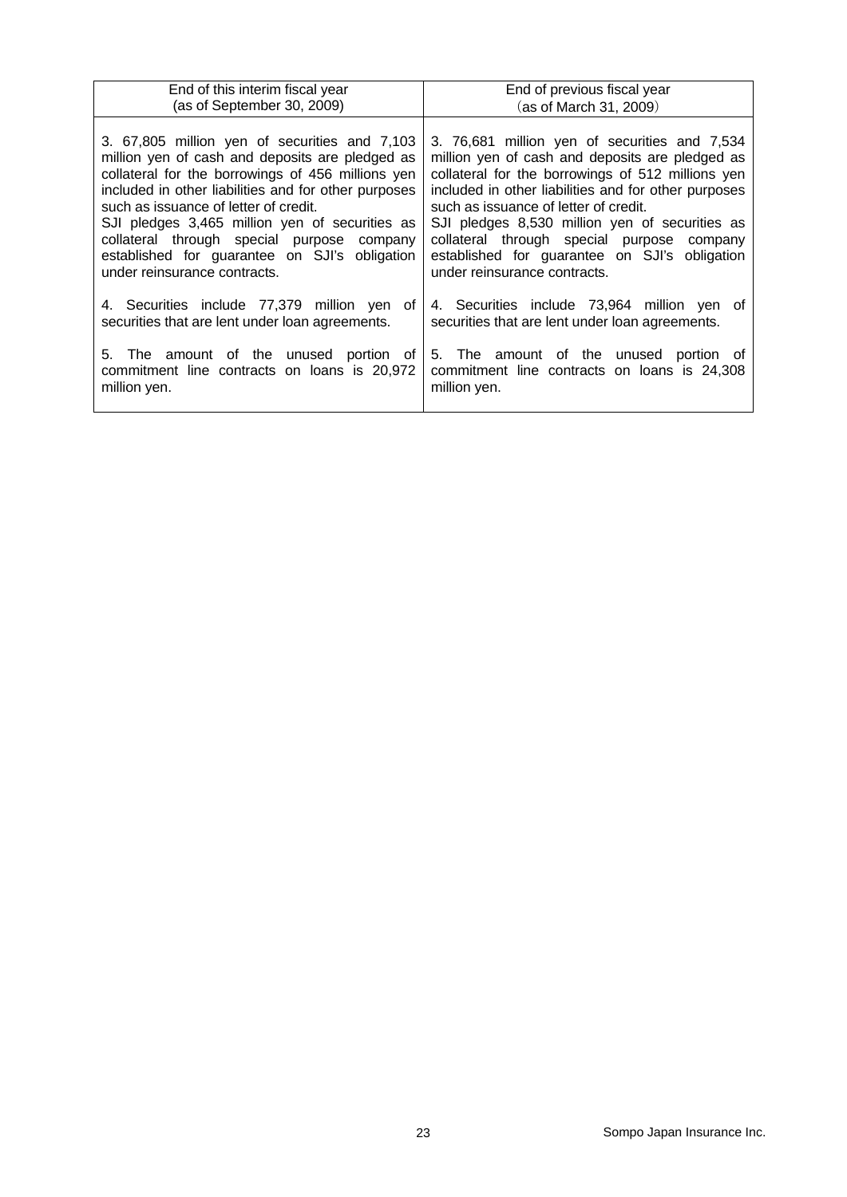| End of this interim fiscal year                                                                                                                                                                                                                                                                                                                                                                                                         | End of previous fiscal year                                                                                                                                                                                                                                                                                                                                                                                                             |
|-----------------------------------------------------------------------------------------------------------------------------------------------------------------------------------------------------------------------------------------------------------------------------------------------------------------------------------------------------------------------------------------------------------------------------------------|-----------------------------------------------------------------------------------------------------------------------------------------------------------------------------------------------------------------------------------------------------------------------------------------------------------------------------------------------------------------------------------------------------------------------------------------|
| (as of September 30, 2009)                                                                                                                                                                                                                                                                                                                                                                                                              | (as of March 31, 2009)                                                                                                                                                                                                                                                                                                                                                                                                                  |
| 3. 67,805 million yen of securities and 7,103<br>million yen of cash and deposits are pledged as<br>collateral for the borrowings of 456 millions yen<br>included in other liabilities and for other purposes<br>such as issuance of letter of credit.<br>SJI pledges 3,465 million yen of securities as<br>collateral through special purpose company<br>established for guarantee on SJI's obligation<br>under reinsurance contracts. | 3. 76,681 million yen of securities and 7,534<br>million yen of cash and deposits are pledged as<br>collateral for the borrowings of 512 millions yen<br>included in other liabilities and for other purposes<br>such as issuance of letter of credit.<br>SJI pledges 8,530 million yen of securities as<br>collateral through special purpose company<br>established for guarantee on SJI's obligation<br>under reinsurance contracts. |
| 4. Securities include 77,379 million yen of<br>securities that are lent under loan agreements.                                                                                                                                                                                                                                                                                                                                          | 4. Securities include 73,964 million yen of<br>securities that are lent under loan agreements.                                                                                                                                                                                                                                                                                                                                          |
| 5. The amount of the unused portion of<br>commitment line contracts on loans is 20,972<br>million yen.                                                                                                                                                                                                                                                                                                                                  | 5. The amount of the unused portion of<br>commitment line contracts on loans is 24,308<br>million yen.                                                                                                                                                                                                                                                                                                                                  |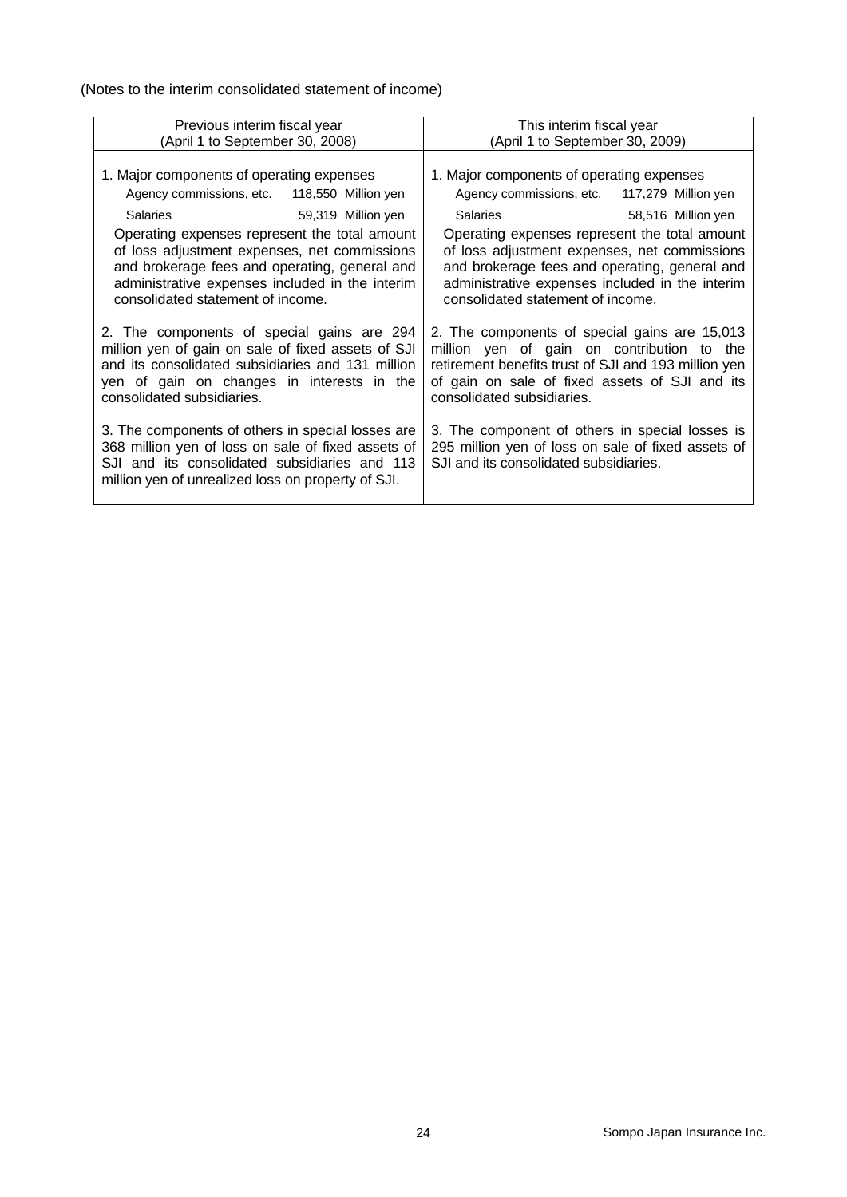(Notes to the interim consolidated statement of income)

| Previous interim fiscal year                                                                                                                                                                                                                                                                                                                                                    | This interim fiscal year                                                                                                                                                                                                                                                                                                                                                        |  |  |  |  |
|---------------------------------------------------------------------------------------------------------------------------------------------------------------------------------------------------------------------------------------------------------------------------------------------------------------------------------------------------------------------------------|---------------------------------------------------------------------------------------------------------------------------------------------------------------------------------------------------------------------------------------------------------------------------------------------------------------------------------------------------------------------------------|--|--|--|--|
| (April 1 to September 30, 2008)                                                                                                                                                                                                                                                                                                                                                 | (April 1 to September 30, 2009)                                                                                                                                                                                                                                                                                                                                                 |  |  |  |  |
| 1. Major components of operating expenses<br>Agency commissions, etc.<br>118,550 Million yen<br><b>Salaries</b><br>59,319 Million yen<br>Operating expenses represent the total amount<br>of loss adjustment expenses, net commissions<br>and brokerage fees and operating, general and<br>administrative expenses included in the interim<br>consolidated statement of income. | 1. Major components of operating expenses<br>Agency commissions, etc.<br>117,279 Million yen<br><b>Salaries</b><br>58,516 Million yen<br>Operating expenses represent the total amount<br>of loss adjustment expenses, net commissions<br>and brokerage fees and operating, general and<br>administrative expenses included in the interim<br>consolidated statement of income. |  |  |  |  |
| 2. The components of special gains are 294<br>million yen of gain on sale of fixed assets of SJI<br>and its consolidated subsidiaries and 131 million<br>yen of gain on changes in interests in the<br>consolidated subsidiaries.                                                                                                                                               | 2. The components of special gains are 15,013<br>million yen of gain on contribution to the<br>retirement benefits trust of SJI and 193 million yen<br>of gain on sale of fixed assets of SJI and its<br>consolidated subsidiaries.                                                                                                                                             |  |  |  |  |
| 3. The components of others in special losses are<br>368 million yen of loss on sale of fixed assets of<br>SJI and its consolidated subsidiaries and 113<br>million yen of unrealized loss on property of SJI.                                                                                                                                                                  | 3. The component of others in special losses is<br>295 million yen of loss on sale of fixed assets of<br>SJI and its consolidated subsidiaries.                                                                                                                                                                                                                                 |  |  |  |  |
|                                                                                                                                                                                                                                                                                                                                                                                 |                                                                                                                                                                                                                                                                                                                                                                                 |  |  |  |  |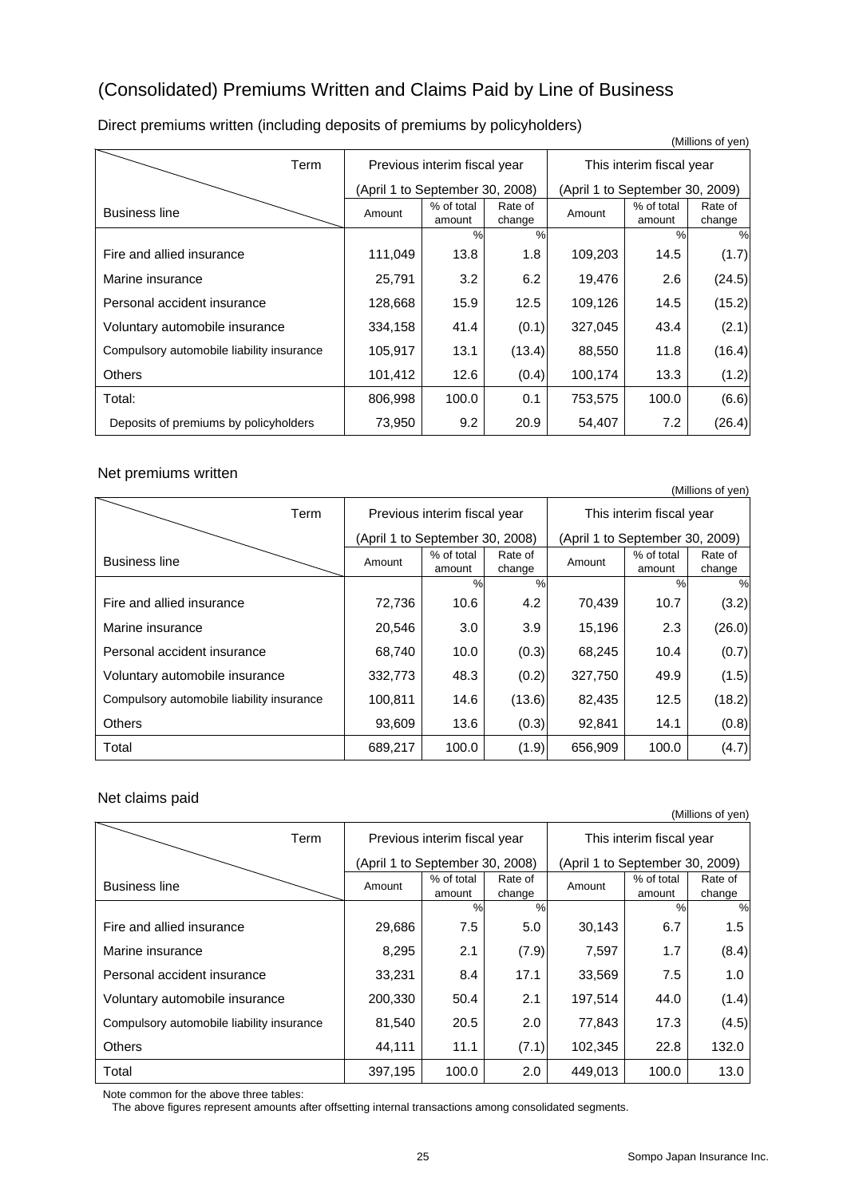# (Consolidated) Premiums Written and Claims Paid by Line of Business

|                                           |                                 |                              |                   |                                 |                          | (Millions of yen) |  |
|-------------------------------------------|---------------------------------|------------------------------|-------------------|---------------------------------|--------------------------|-------------------|--|
| Term                                      |                                 | Previous interim fiscal year |                   |                                 | This interim fiscal year |                   |  |
|                                           | (April 1 to September 30, 2008) |                              |                   | (April 1 to September 30, 2009) |                          |                   |  |
| <b>Business line</b>                      | Amount                          | % of total<br>amount         | Rate of<br>change | Amount                          | % of total<br>amount     | Rate of<br>change |  |
|                                           |                                 | $\frac{9}{6}$                | $\frac{0}{0}$     |                                 | $\frac{0}{0}$            | %                 |  |
| Fire and allied insurance                 | 111,049                         | 13.8                         | 1.8               | 109,203                         | 14.5                     | (1.7)             |  |
| Marine insurance                          | 25,791                          | 3.2                          | 6.2               | 19,476                          | 2.6                      | (24.5)            |  |
| Personal accident insurance               | 128,668                         | 15.9                         | 12.5              | 109,126                         | 14.5                     | (15.2)            |  |
| Voluntary automobile insurance            | 334,158                         | 41.4                         | (0.1)             | 327,045                         | 43.4                     | (2.1)             |  |
| Compulsory automobile liability insurance | 105,917                         | 13.1                         | (13.4)            | 88,550                          | 11.8                     | (16.4)            |  |
| <b>Others</b>                             | 101,412                         | 12.6                         | (0.4)             | 100,174                         | 13.3                     | (1.2)             |  |
| Total:                                    | 806,998                         | 100.0                        | 0.1               | 753,575                         | 100.0                    | (6.6)             |  |
| Deposits of premiums by policyholders     | 73,950                          | 9.2                          | 20.9              | 54,407                          | 7.2                      | (26.4)            |  |

Direct premiums written (including deposits of premiums by policyholders)

#### Net premiums written

|                                           |                                 |                      |                   |                                 |                      | (Millions of yen) |  |
|-------------------------------------------|---------------------------------|----------------------|-------------------|---------------------------------|----------------------|-------------------|--|
| Term                                      | Previous interim fiscal year    |                      |                   | This interim fiscal year        |                      |                   |  |
|                                           | (April 1 to September 30, 2008) |                      |                   | (April 1 to September 30, 2009) |                      |                   |  |
| <b>Business line</b>                      | Amount                          | % of total<br>amount | Rate of<br>change | Amount                          | % of total<br>amount | Rate of<br>change |  |
|                                           |                                 | $\frac{0}{2}$        | %                 |                                 | $\frac{0}{0}$        | %                 |  |
| Fire and allied insurance                 | 72,736                          | 10.6                 | 4.2               | 70,439                          | 10.7                 | (3.2)             |  |
| Marine insurance                          | 20,546                          | 3.0                  | 3.9               | 15,196                          | 2.3                  | (26.0)            |  |
| Personal accident insurance               | 68,740                          | 10.0                 | (0.3)             | 68,245                          | 10.4                 | (0.7)             |  |
| Voluntary automobile insurance            | 332,773                         | 48.3                 | (0.2)             | 327,750                         | 49.9                 | (1.5)             |  |
| Compulsory automobile liability insurance | 100,811                         | 14.6                 | (13.6)            | 82,435                          | 12.5                 | (18.2)            |  |
| <b>Others</b>                             | 93,609                          | 13.6                 | (0.3)             | 92,841                          | 14.1                 | (0.8)             |  |
| Total                                     | 689,217                         | 100.0                | (1.9)             | 656,909                         | 100.0                | (4.7)             |  |

#### Net claims paid

|                                           |                                 |                      |                   |                                 |                      | (Millions of yen) |  |
|-------------------------------------------|---------------------------------|----------------------|-------------------|---------------------------------|----------------------|-------------------|--|
| Term                                      | Previous interim fiscal year    |                      |                   | This interim fiscal year        |                      |                   |  |
|                                           | (April 1 to September 30, 2008) |                      |                   | (April 1 to September 30, 2009) |                      |                   |  |
| <b>Business line</b>                      | Amount                          | % of total<br>amount | Rate of<br>change | Amount                          | % of total<br>amount | Rate of<br>change |  |
|                                           |                                 | $\%$                 | $\frac{0}{0}$     |                                 | $\%$                 | $\frac{0}{0}$     |  |
| Fire and allied insurance                 | 29,686                          | 7.5                  | 5.0               | 30,143                          | 6.7                  | 1.5               |  |
| Marine insurance                          | 8,295                           | 2.1                  | (7.9)             | 7,597                           | 1.7                  | (8.4)             |  |
| Personal accident insurance               | 33,231                          | 8.4                  | 17.1              | 33,569                          | 7.5                  | 1.0               |  |
| Voluntary automobile insurance            | 200,330                         | 50.4                 | 2.1               | 197,514                         | 44.0                 | (1.4)             |  |
| Compulsory automobile liability insurance | 81,540                          | 20.5                 | 2.0               | 77,843                          | 17.3                 | (4.5)             |  |
| <b>Others</b>                             | 44,111                          | 11.1                 | (7.1)             | 102,345                         | 22.8                 | 132.0             |  |
| Total                                     | 397,195                         | 100.0                | 2.0               | 449,013                         | 100.0                | 13.0              |  |

Note common for the above three tables:

The above figures represent amounts after offsetting internal transactions among consolidated segments.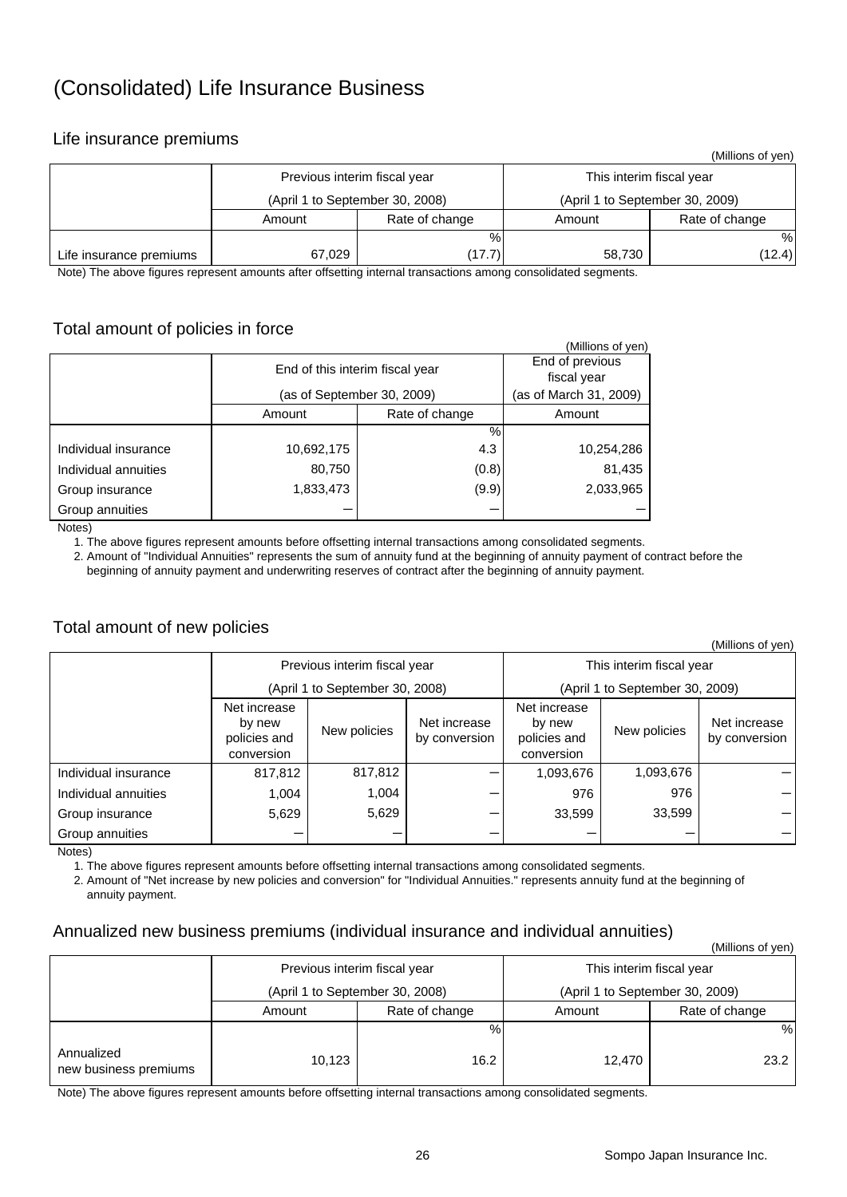# (Consolidated) Life Insurance Business

## Life insurance premiums

|                         |                                 |        |                                 | (Millions of yen) |  |  |
|-------------------------|---------------------------------|--------|---------------------------------|-------------------|--|--|
|                         | Previous interim fiscal year    |        | This interim fiscal year        |                   |  |  |
|                         | (April 1 to September 30, 2008) |        | (April 1 to September 30, 2009) |                   |  |  |
|                         | Rate of change<br>Amount        |        | Amount                          | Rate of change    |  |  |
|                         |                                 | $\%$   |                                 | %                 |  |  |
| Life insurance premiums | 67,029                          | (17.7) | 58,730                          | (12.4)            |  |  |

Note) The above figures represent amounts after offsetting internal transactions among consolidated segments.

## Total amount of policies in force

|                                                                                     |                                 |                                | (Millions of yen) |
|-------------------------------------------------------------------------------------|---------------------------------|--------------------------------|-------------------|
|                                                                                     | End of this interim fiscal year | End of previous<br>fiscal year |                   |
|                                                                                     | (as of September 30, 2009)      | (as of March 31, 2009)         |                   |
|                                                                                     | Amount                          | Amount                         |                   |
|                                                                                     |                                 | %                              |                   |
| Individual insurance                                                                | 10,692,175                      | 4.3                            | 10,254,286        |
| Individual annuities                                                                | 80,750                          | (0.8)                          | 81,435            |
| Group insurance                                                                     | 1,833,473                       | (9.9)                          | 2,033,965         |
| Group annuities<br>$\mathbf{A}$ $\mathbf{A}$ $\mathbf{A}$ $\mathbf{A}$ $\mathbf{A}$ |                                 |                                |                   |

Notes)

1. The above figures represent amounts before offsetting internal transactions among consolidated segments.

 2. Amount of "Individual Annuities" represents the sum of annuity fund at the beginning of annuity payment of contract before the beginning of annuity payment and underwriting reserves of contract after the beginning of annuity payment.

## Total amount of new policies

|                      |                                                      |              |                               |                                                      |              | (Millions of yen)             |  |
|----------------------|------------------------------------------------------|--------------|-------------------------------|------------------------------------------------------|--------------|-------------------------------|--|
|                      | Previous interim fiscal year                         |              |                               | This interim fiscal year                             |              |                               |  |
|                      | (April 1 to September 30, 2008)                      |              |                               | (April 1 to September 30, 2009)                      |              |                               |  |
|                      | Net increase<br>by new<br>policies and<br>conversion | New policies | Net increase<br>by conversion | Net increase<br>by new<br>policies and<br>conversion | New policies | Net increase<br>by conversion |  |
| Individual insurance | 817,812                                              | 817,812      |                               | 1,093,676                                            | 1,093,676    |                               |  |
| Individual annuities | 1,004                                                | 1,004        |                               | 976                                                  | 976          |                               |  |
| Group insurance      | 5,629                                                | 5,629        | -                             | 33,599                                               | 33,599       |                               |  |
| Group annuities      |                                                      |              |                               |                                                      |              |                               |  |

Notes)

1. The above figures represent amounts before offsetting internal transactions among consolidated segments.

 2. Amount of "Net increase by new policies and conversion" for "Individual Annuities." represents annuity fund at the beginning of annuity payment.

#### Annualized new business premiums (individual insurance and individual annuities)

|                                     |                              |                                 |                                 | (Millions of yen) |  |  |
|-------------------------------------|------------------------------|---------------------------------|---------------------------------|-------------------|--|--|
|                                     | Previous interim fiscal year |                                 | This interim fiscal year        |                   |  |  |
|                                     |                              | (April 1 to September 30, 2008) | (April 1 to September 30, 2009) |                   |  |  |
|                                     | Rate of change<br>Amount     |                                 | Amount                          | Rate of change    |  |  |
|                                     |                              | $\%$                            |                                 | %                 |  |  |
| Annualized<br>new business premiums | 10,123                       | 16.2                            | 12,470                          | 23.2              |  |  |

Note) The above figures represent amounts before offsetting internal transactions among consolidated segments.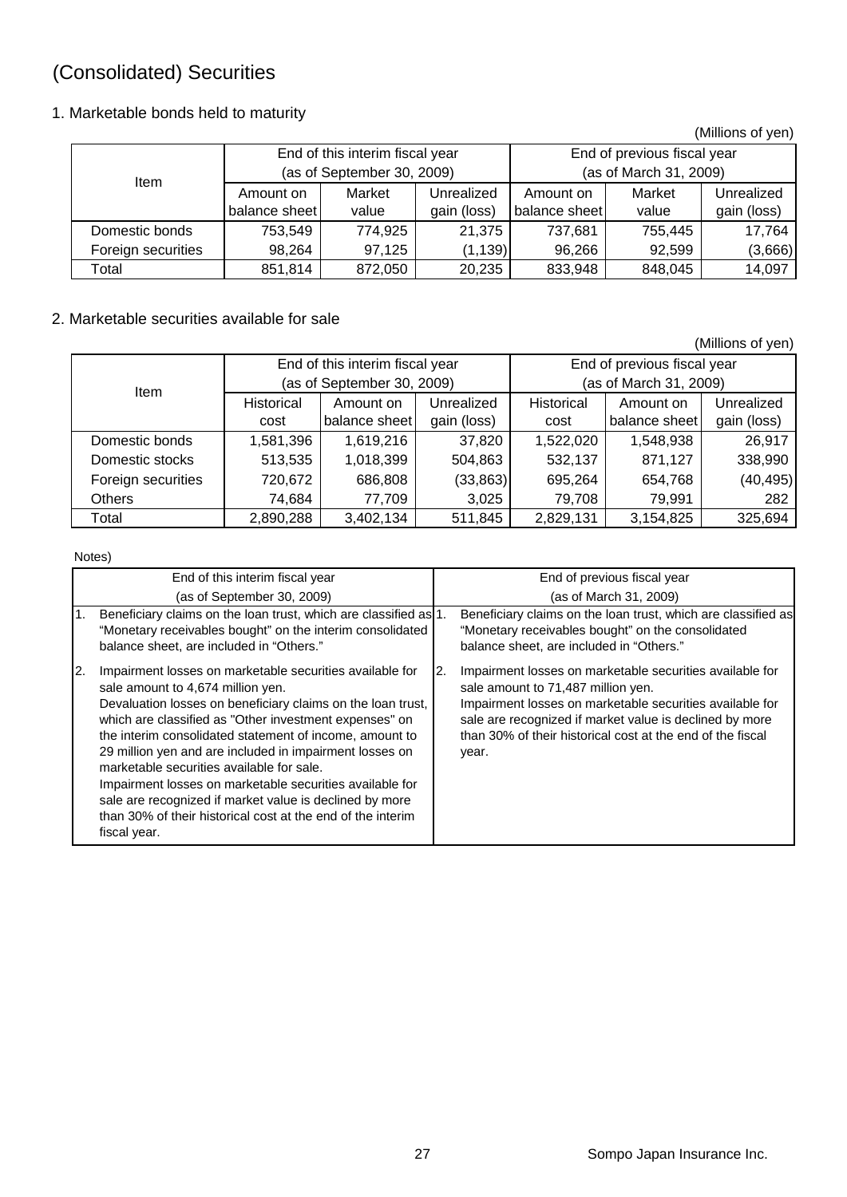# (Consolidated) Securities

## 1. Marketable bonds held to maturity

|                    |                            |                                 |             |                             |         | (Millions of yen) |  |
|--------------------|----------------------------|---------------------------------|-------------|-----------------------------|---------|-------------------|--|
|                    |                            | End of this interim fiscal year |             | End of previous fiscal year |         |                   |  |
| ltem               | (as of September 30, 2009) |                                 |             | (as of March 31, 2009)      |         |                   |  |
|                    | Amount on                  | Market                          | Unrealized  | Amount on                   | Market  | Unrealized        |  |
|                    | balance sheet              | value                           | gain (loss) | balance sheet               | value   | gain (loss)       |  |
| Domestic bonds     | 753,549                    | 774,925                         | 21.375      | 737,681                     | 755,445 | 17,764            |  |
| Foreign securities | 98,264                     | 97,125                          | (1, 139)    | 96,266                      | 92,599  | (3,666)           |  |
| Total              | 851,814                    | 872,050                         | 20,235      | 833,948                     | 848,045 | 14,097            |  |

## 2. Marketable securities available for sale

(Millions of yen)

|                    |            | End of this interim fiscal year |             | End of previous fiscal year |               |             |  |
|--------------------|------------|---------------------------------|-------------|-----------------------------|---------------|-------------|--|
| ltem               |            | (as of September 30, 2009)      |             | (as of March 31, 2009)      |               |             |  |
|                    | Historical | Amount on                       | Unrealized  | Historical                  | Amount on     | Unrealized  |  |
|                    | cost       | balance sheet                   | gain (loss) | cost                        | balance sheet | gain (loss) |  |
| Domestic bonds     | 1,581,396  | 1,619,216                       | 37,820      | 1,522,020                   | 1,548,938     | 26,917      |  |
| Domestic stocks    | 513,535    | 1,018,399                       | 504,863     | 532,137                     | 871,127       | 338,990     |  |
| Foreign securities | 720,672    | 686,808                         | (33, 863)   | 695,264                     | 654,768       | (40, 495)   |  |
| <b>Others</b>      | 74,684     | 77,709                          | 3,025       | 79,708                      | 79,991        | 282         |  |
| Total              | 2,890,288  | 3,402,134                       | 511,845     | 2,829,131                   | 3,154,825     | 325,694     |  |

Notes)

|    | End of this interim fiscal year                                                                                                                                                                                                                                                                                                                                                                                                                                                                                                                                                                 |    | End of previous fiscal year                                                                                                                                                                                                                                                                  |
|----|-------------------------------------------------------------------------------------------------------------------------------------------------------------------------------------------------------------------------------------------------------------------------------------------------------------------------------------------------------------------------------------------------------------------------------------------------------------------------------------------------------------------------------------------------------------------------------------------------|----|----------------------------------------------------------------------------------------------------------------------------------------------------------------------------------------------------------------------------------------------------------------------------------------------|
|    | (as of September 30, 2009)                                                                                                                                                                                                                                                                                                                                                                                                                                                                                                                                                                      |    | (as of March 31, 2009)                                                                                                                                                                                                                                                                       |
| 1. | Beneficiary claims on the loan trust, which are classified as 1.<br>"Monetary receivables bought" on the interim consolidated<br>balance sheet, are included in "Others."                                                                                                                                                                                                                                                                                                                                                                                                                       |    | Beneficiary claims on the loan trust, which are classified as<br>"Monetary receivables bought" on the consolidated<br>balance sheet, are included in "Others."                                                                                                                               |
| 2. | Impairment losses on marketable securities available for<br>sale amount to 4,674 million yen.<br>Devaluation losses on beneficiary claims on the loan trust,<br>which are classified as "Other investment expenses" on<br>the interim consolidated statement of income, amount to<br>29 million yen and are included in impairment losses on<br>marketable securities available for sale.<br>Impairment losses on marketable securities available for<br>sale are recognized if market value is declined by more<br>than 30% of their historical cost at the end of the interim<br>fiscal year. | 2. | Impairment losses on marketable securities available for<br>sale amount to 71,487 million yen.<br>Impairment losses on marketable securities available for<br>sale are recognized if market value is declined by more<br>than 30% of their historical cost at the end of the fiscal<br>year. |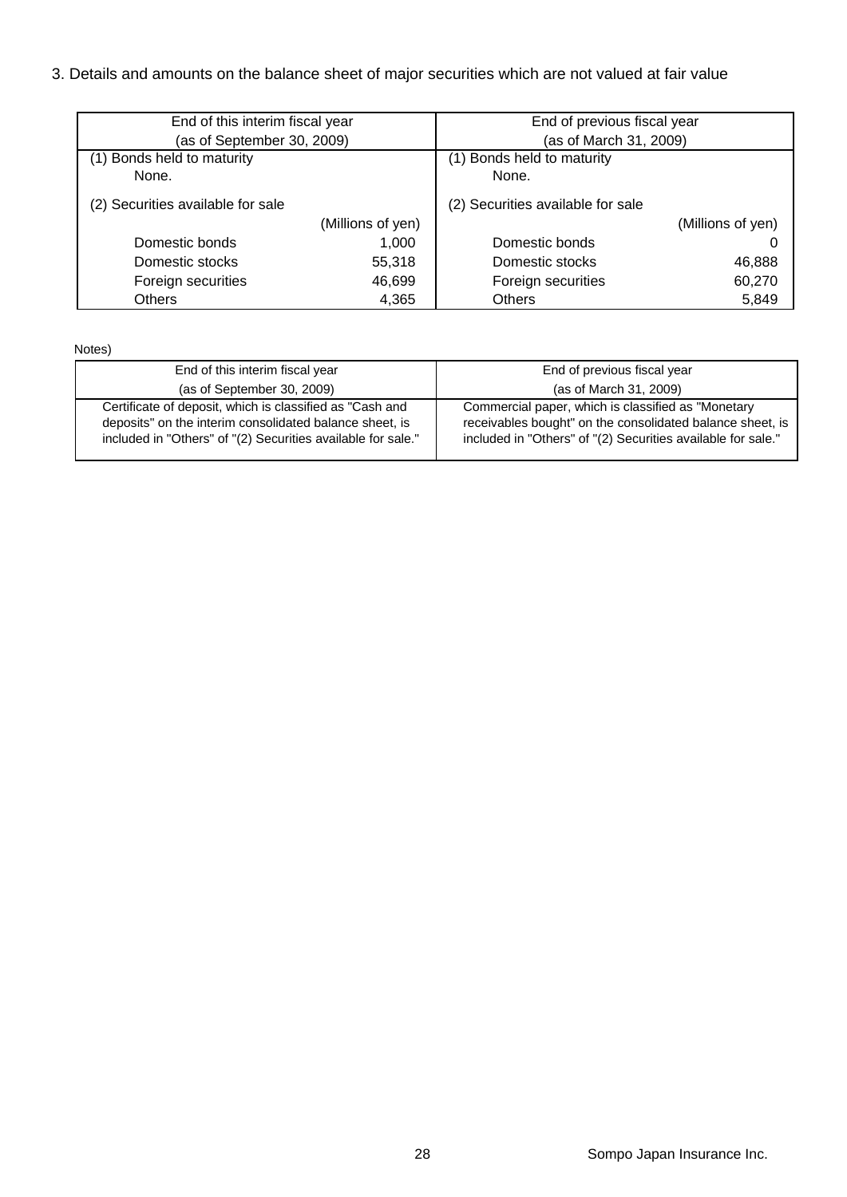## 3. Details and amounts on the balance sheet of major securities which are not valued at fair value

| End of this interim fiscal year   |                   | End of previous fiscal year       |        |  |  |
|-----------------------------------|-------------------|-----------------------------------|--------|--|--|
| (as of September 30, 2009)        |                   | (as of March 31, 2009)            |        |  |  |
| (1) Bonds held to maturity        |                   | (1) Bonds held to maturity        |        |  |  |
| None.                             |                   | None.                             |        |  |  |
| (2) Securities available for sale |                   | (2) Securities available for sale |        |  |  |
|                                   | (Millions of yen) | (Millions of yen)                 |        |  |  |
| Domestic bonds                    | 1,000             | Domestic bonds                    |        |  |  |
| Domestic stocks                   | 55,318            | Domestic stocks                   | 46,888 |  |  |
| Foreign securities                | 46,699            | Foreign securities                | 60,270 |  |  |
| <b>Others</b>                     | 4,365             | <b>Others</b>                     | 5,849  |  |  |

Notes)

| End of this interim fiscal year                                                                                                                                                     | End of previous fiscal year                                                                                                                                                     |
|-------------------------------------------------------------------------------------------------------------------------------------------------------------------------------------|---------------------------------------------------------------------------------------------------------------------------------------------------------------------------------|
| (as of September 30, 2009)                                                                                                                                                          | (as of March 31, 2009)                                                                                                                                                          |
| Certificate of deposit, which is classified as "Cash and<br>deposits" on the interim consolidated balance sheet, is<br>included in "Others" of "(2) Securities available for sale." | Commercial paper, which is classified as "Monetary<br>receivables bought" on the consolidated balance sheet, is<br>included in "Others" of "(2) Securities available for sale." |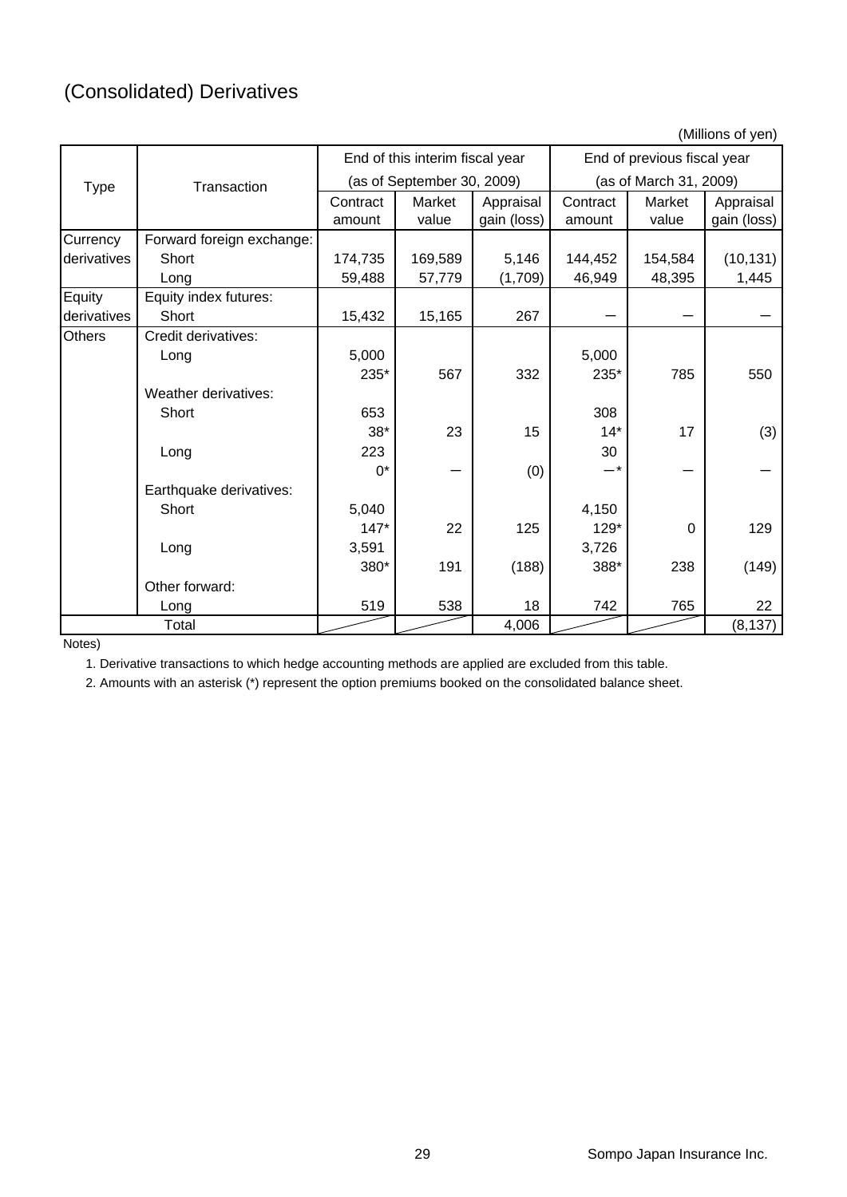(Millions of yen)

|               |                           |          | End of this interim fiscal year |             |                        | End of previous fiscal year |             |  |
|---------------|---------------------------|----------|---------------------------------|-------------|------------------------|-----------------------------|-------------|--|
| <b>Type</b>   | Transaction               |          | (as of September 30, 2009)      |             | (as of March 31, 2009) |                             |             |  |
|               |                           | Contract | Market                          | Appraisal   | Contract               | Market                      | Appraisal   |  |
|               |                           | amount   | value                           | gain (loss) | amount                 | value                       | gain (loss) |  |
| Currency      | Forward foreign exchange: |          |                                 |             |                        |                             |             |  |
| derivatives   | Short                     | 174,735  | 169,589                         | 5,146       | 144,452                | 154,584                     | (10, 131)   |  |
|               | Long                      | 59,488   | 57,779                          | (1,709)     | 46,949                 | 48,395                      | 1,445       |  |
| Equity        | Equity index futures:     |          |                                 |             |                        |                             |             |  |
| derivatives   | Short                     | 15,432   | 15,165                          | 267         |                        |                             |             |  |
| <b>Others</b> | Credit derivatives:       |          |                                 |             |                        |                             |             |  |
|               | Long                      | 5,000    |                                 |             | 5,000                  |                             |             |  |
|               |                           | 235*     | 567                             | 332         | 235*                   | 785                         | 550         |  |
|               | Weather derivatives:      |          |                                 |             |                        |                             |             |  |
|               | Short                     | 653      |                                 |             | 308                    |                             |             |  |
|               |                           | $38*$    | 23                              | 15          | $14*$                  | 17                          | (3)         |  |
|               | Long                      | 223      |                                 |             | 30                     |                             |             |  |
|               |                           | $0^*$    |                                 | (0)         | $-*$                   |                             |             |  |
|               | Earthquake derivatives:   |          |                                 |             |                        |                             |             |  |
|               | Short                     | 5,040    |                                 |             | 4,150                  |                             |             |  |
|               |                           | $147*$   | 22                              | 125         | 129*                   | 0                           | 129         |  |
|               | Long                      | 3,591    |                                 |             | 3,726                  |                             |             |  |
|               |                           | 380*     | 191                             | (188)       | 388*                   | 238                         | (149)       |  |
|               | Other forward:            |          |                                 |             |                        |                             |             |  |
|               | Long                      | 519      | 538                             | 18          | 742                    | 765                         | 22          |  |
|               | Total                     |          |                                 | 4,006       |                        |                             | (8, 137)    |  |

Notes)

1. Derivative transactions to which hedge accounting methods are applied are excluded from this table.

2. Amounts with an asterisk (\*) represent the option premiums booked on the consolidated balance sheet.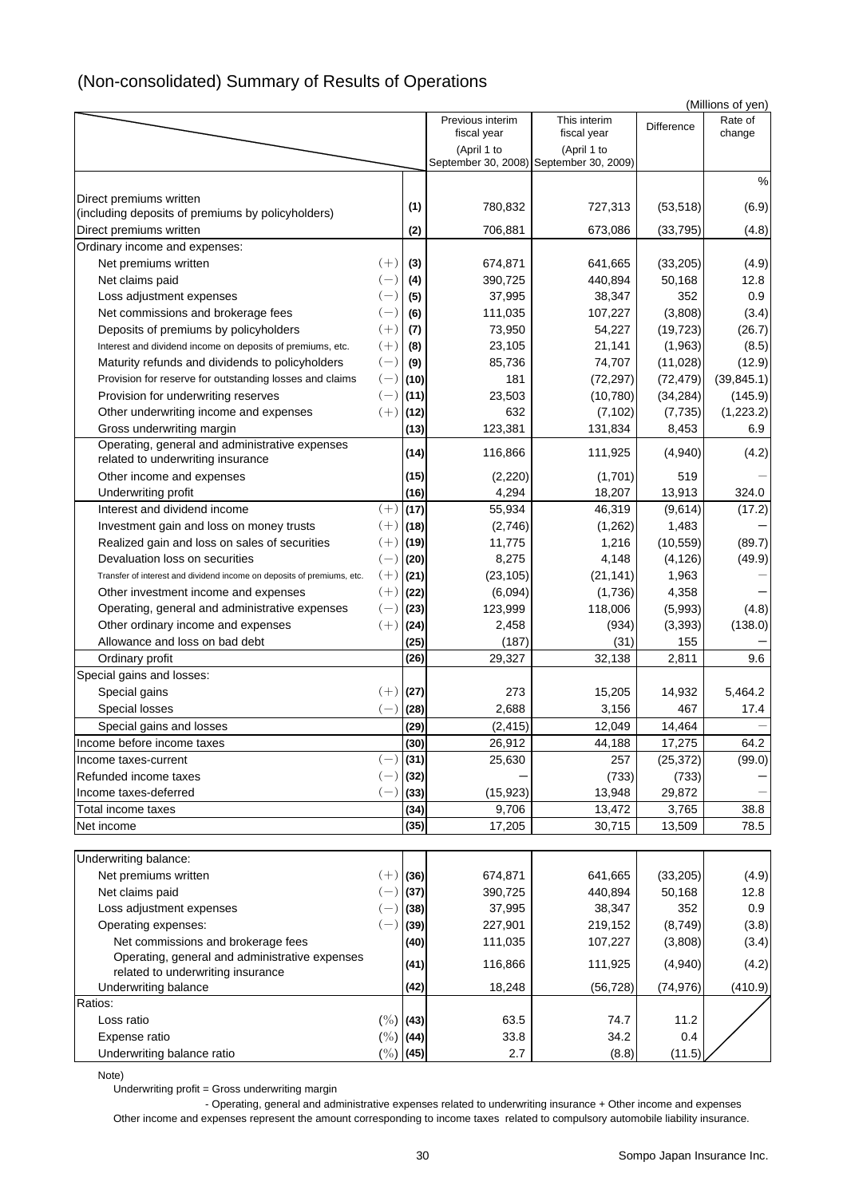# (Non-consolidated) Summary of Results of Operations

| (Millions of yen)                                                                   |                |              |                            |                                         |                 |             |  |
|-------------------------------------------------------------------------------------|----------------|--------------|----------------------------|-----------------------------------------|-----------------|-------------|--|
|                                                                                     |                |              | Previous interim           | This interim                            | Difference      | Rate of     |  |
|                                                                                     |                |              | fiscal year<br>(April 1 to | fiscal year<br>(April 1 to              |                 | change      |  |
|                                                                                     |                |              |                            | September 30, 2008) September 30, 2009) |                 |             |  |
|                                                                                     |                |              |                            |                                         |                 | %           |  |
| Direct premiums written                                                             |                |              |                            |                                         |                 |             |  |
| (including deposits of premiums by policyholders)                                   |                | (1)          | 780,832                    | 727,313                                 | (53, 518)       | (6.9)       |  |
| Direct premiums written                                                             |                | (2)          | 706,881                    | 673,086                                 | (33, 795)       | (4.8)       |  |
| Ordinary income and expenses:                                                       |                |              |                            |                                         |                 |             |  |
| Net premiums written                                                                | $(+)$          | (3)          | 674,871                    | 641,665                                 | (33, 205)       | (4.9)       |  |
| Net claims paid                                                                     | $(-)$          | (4)          | 390,725                    | 440,894                                 | 50,168          | 12.8        |  |
| Loss adjustment expenses                                                            | $(-)$          | (5)          | 37,995                     | 38,347                                  | 352             | 0.9         |  |
| Net commissions and brokerage fees                                                  | $(-)$          | (6)          | 111,035                    | 107,227                                 | (3,808)         | (3.4)       |  |
| Deposits of premiums by policyholders                                               | $(+)$          | (7)          | 73,950                     | 54,227                                  | (19, 723)       | (26.7)      |  |
| Interest and dividend income on deposits of premiums, etc.                          | $(+)$          | (8)          | 23,105                     | 21,141                                  | (1,963)         | (8.5)       |  |
| Maturity refunds and dividends to policyholders                                     | $(-)$          | (9)          | 85,736                     | 74,707                                  | (11,028)        | (12.9)      |  |
| Provision for reserve for outstanding losses and claims                             | $(-)$          | (10)         | 181                        | (72, 297)                               | (72, 479)       | (39, 845.1) |  |
| Provision for underwriting reserves                                                 | $(-)$          | (11)         | 23,503                     | (10,780)                                | (34, 284)       | (145.9)     |  |
| Other underwriting income and expenses                                              | $(+)$          | (12)         | 632                        | (7, 102)                                | (7, 735)        | (1, 223.2)  |  |
| Gross underwriting margin                                                           |                | (13)         | 123,381                    | 131,834                                 | 8,453           | 6.9         |  |
| Operating, general and administrative expenses<br>related to underwriting insurance |                | (14)         | 116,866                    | 111,925                                 | (4,940)         | (4.2)       |  |
| Other income and expenses                                                           |                | (15)         | (2,220)                    | (1,701)                                 | 519             |             |  |
| Underwriting profit                                                                 |                | (16)         | 4,294                      | 18,207                                  | 13,913          | 324.0       |  |
| Interest and dividend income                                                        | $(+)$          | (17)         | 55,934                     | 46,319                                  | (9,614)         | (17.2)      |  |
| Investment gain and loss on money trusts                                            | $(+)$          | (18)         | (2,746)                    | (1,262)                                 | 1,483           |             |  |
| Realized gain and loss on sales of securities                                       | $(+)$          | (19)         | 11,775                     | 1,216                                   | (10, 559)       | (89.7)      |  |
| Devaluation loss on securities                                                      | $(-)$          | (20)         | 8,275                      | 4,148                                   | (4, 126)        | (49.9)      |  |
| Transfer of interest and dividend income on deposits of premiums, etc.              | $(+)$          | (21)         | (23, 105)                  | (21, 141)                               | 1,963           |             |  |
| Other investment income and expenses                                                | $(+)$          | (22)         | (6,094)                    | (1,736)                                 | 4,358           |             |  |
| Operating, general and administrative expenses                                      | $(-)$          | (23)         | 123,999                    | 118,006                                 | (5,993)         | (4.8)       |  |
| Other ordinary income and expenses                                                  | $(+)$          | (24)         | 2,458                      | (934)                                   | (3, 393)        | (138.0)     |  |
| Allowance and loss on bad debt                                                      |                | (25)         | (187)                      | (31)                                    | 155             |             |  |
| Ordinary profit                                                                     |                | (26)         | 29,327                     | 32,138                                  | 2,811           | 9.6         |  |
| Special gains and losses:                                                           |                |              |                            |                                         |                 |             |  |
| Special gains                                                                       | $(+)$          | (27)         | 273                        | 15,205                                  | 14,932          | 5,464.2     |  |
| Special losses                                                                      | $(-)$          | (28)         | 2,688                      | 3,156                                   | 467             | 17.4        |  |
| Special gains and losses                                                            |                | (29)         | (2, 415)                   | 12,049                                  | 14,464          |             |  |
| Income before income taxes                                                          |                | (30)         | 26,912                     | 44,188                                  | 17,275          | 64.2        |  |
| Income taxes-current<br>Refunded income taxes                                       | $(-)$          | (31)         | 25,630                     | 257                                     | (25, 372)       | (99.0)      |  |
| Income taxes-deferred                                                               | $(-)$<br>$(-)$ | (32)         |                            | (733)                                   | (733)           |             |  |
| Total income taxes                                                                  |                | (33)<br>(34) | (15, 923)<br>9,706         | 13,948<br>13,472                        | 29,872<br>3,765 | 38.8        |  |
| Net income                                                                          |                | (35)         | 17,205                     | 30,715                                  | 13,509          | 78.5        |  |
|                                                                                     |                |              |                            |                                         |                 |             |  |
| Underwriting balance:                                                               |                |              |                            |                                         |                 |             |  |
| Net premiums written                                                                | $(+)$          | (36)         | 674,871                    | 641,665                                 | (33, 205)       | (4.9)       |  |
| Net claims paid                                                                     | $(-)$          | (37)         | 390,725                    | 440,894                                 | 50,168          | 12.8        |  |
| Loss adjustment expenses                                                            | $(-)$          | (38)         | 37,995                     | 38,347                                  | 352             | 0.9         |  |
| Operating expenses:                                                                 | $(-)$          | (39)         | 227,901                    | 219,152                                 | (8,749)         | (3.8)       |  |
| Net commissions and brokerage fees                                                  |                | (40)         | 111,035                    | 107,227                                 | (3,808)         | (3.4)       |  |
| Operating, general and administrative expenses<br>related to underwriting insurance |                | (41)         | 116,866                    | 111,925                                 | (4,940)         | (4.2)       |  |
| Underwriting balance                                                                |                | (42)         | 18,248                     | (56, 728)                               | (74, 976)       | (410.9)     |  |
| Ratios:                                                                             |                |              |                            |                                         |                 |             |  |
| Loss ratio                                                                          | $(\%)$ (43)    |              | 63.5                       | 74.7                                    | 11.2            |             |  |
| Expense ratio                                                                       | $(\%)$ (44)    |              | 33.8                       | 34.2                                    | 0.4             |             |  |
| Underwriting balance ratio                                                          | $(\%)$ (45)    |              | $2.7\,$                    | (8.8)                                   | (11.5)          |             |  |
|                                                                                     |                |              |                            |                                         |                 |             |  |

Note)

Underwriting profit = Gross underwriting margin

 - Operating, general and administrative expenses related to underwriting insurance + Other income and expenses Other income and expenses represent the amount corresponding to income taxes related to compulsory automobile liability insurance.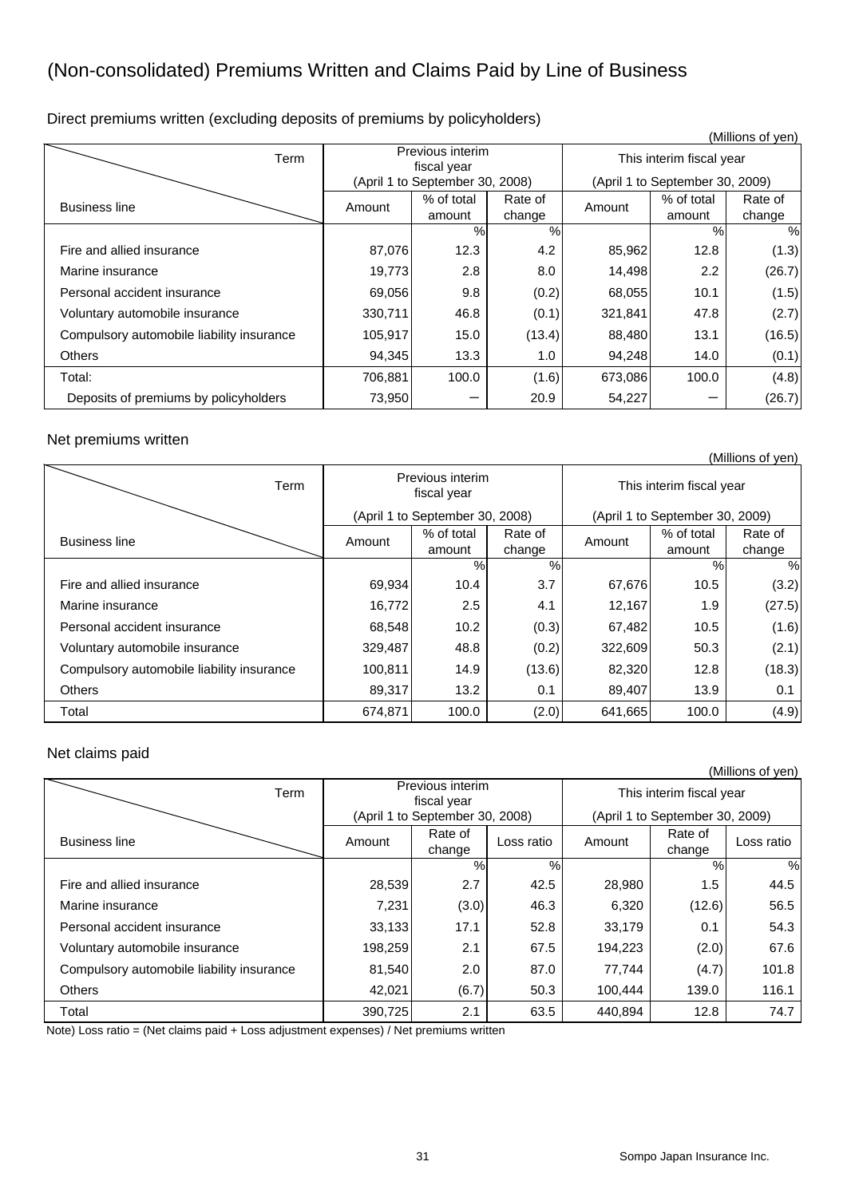# (Non-consolidated) Premiums Written and Claims Paid by Line of Business

Direct premiums written (excluding deposits of premiums by policyholders)

|                                           |         |                                 |                   |                          |                                 | (Millions of yen) |  |  |
|-------------------------------------------|---------|---------------------------------|-------------------|--------------------------|---------------------------------|-------------------|--|--|
| Term                                      |         | Previous interim<br>fiscal year |                   | This interim fiscal year |                                 |                   |  |  |
|                                           |         | (April 1 to September 30, 2008) |                   |                          | (April 1 to September 30, 2009) |                   |  |  |
| <b>Business line</b>                      | Amount  | % of total<br>amount            | Rate of<br>change | Amount                   | % of total<br>amount            | Rate of<br>change |  |  |
|                                           |         | %                               | $\%$              |                          | %                               | %                 |  |  |
| Fire and allied insurance                 | 87,076  | 12.3                            | 4.2               | 85,962                   | 12.8                            | (1.3)             |  |  |
| Marine insurance                          | 19,773  | 2.8                             | 8.0               | 14,498                   | 2.2                             | (26.7)            |  |  |
| Personal accident insurance               | 69,056  | 9.8                             | (0.2)             | 68,055                   | 10.1                            | (1.5)             |  |  |
| Voluntary automobile insurance            | 330,711 | 46.8                            | (0.1)             | 321,841                  | 47.8                            | (2.7)             |  |  |
| Compulsory automobile liability insurance | 105,917 | 15.0                            | (13.4)            | 88,480                   | 13.1                            | (16.5)            |  |  |
| <b>Others</b>                             | 94,345  | 13.3                            | 1.0               | 94,248                   | 14.0                            | (0.1)             |  |  |
| Total:                                    | 706,881 | 100.0                           | (1.6)             | 673,086                  | 100.0                           | (4.8)             |  |  |
| Deposits of premiums by policyholders     | 73,950  |                                 | 20.9              | 54,227                   |                                 | (26.7)            |  |  |

#### Net premiums written

|                                           |         |                                 |         |                          |                                 | (Millions of yen) |  |
|-------------------------------------------|---------|---------------------------------|---------|--------------------------|---------------------------------|-------------------|--|
| Term                                      |         | Previous interim<br>fiscal year |         | This interim fiscal year |                                 |                   |  |
|                                           |         | (April 1 to September 30, 2008) |         |                          | (April 1 to September 30, 2009) |                   |  |
| <b>Business line</b>                      | Amount  | % of total                      | Rate of | Amount                   | % of total                      | Rate of           |  |
|                                           |         | amount                          | change  |                          | amount                          | change            |  |
|                                           |         | $\%$                            | $\%$    |                          | %                               | $\%$              |  |
| Fire and allied insurance                 | 69,934  | 10.4                            | 3.7     | 67,676                   | 10.5                            | (3.2)             |  |
| Marine insurance                          | 16,772  | 2.5                             | 4.1     | 12,167                   | 1.9                             | (27.5)            |  |
| Personal accident insurance               | 68,548  | 10.2                            | (0.3)   | 67,482                   | 10.5                            | (1.6)             |  |
| Voluntary automobile insurance            | 329,487 | 48.8                            | (0.2)   | 322,609                  | 50.3                            | (2.1)             |  |
| Compulsory automobile liability insurance | 100,811 | 14.9                            | (13.6)  | 82,320                   | 12.8                            | (18.3)            |  |
| <b>Others</b>                             | 89,317  | 13.2                            | 0.1     | 89,407                   | 13.9                            | 0.1               |  |
| Total                                     | 674,871 | 100.0                           | (2.0)   | 641,665                  | 100.0                           | (4.9)             |  |

#### Net claims paid

|                                           |                                 |                                 |            |                          |                                 | (Millions of yen) |
|-------------------------------------------|---------------------------------|---------------------------------|------------|--------------------------|---------------------------------|-------------------|
| Term                                      | Previous interim<br>fiscal year |                                 |            | This interim fiscal year |                                 |                   |
|                                           |                                 | (April 1 to September 30, 2008) |            |                          | (April 1 to September 30, 2009) |                   |
| <b>Business line</b>                      | Amount                          | Rate of<br>change               | Loss ratio | Amount                   | Rate of<br>change               | Loss ratio        |
|                                           |                                 | %                               | %          |                          | %                               | %                 |
| Fire and allied insurance                 | 28,539                          | 2.7                             | 42.5       | 28,980                   | 1.5                             | 44.5              |
| Marine insurance                          | 7,231                           | (3.0)                           | 46.3       | 6,320                    | (12.6)                          | 56.5              |
| Personal accident insurance               | 33,133                          | 17.1                            | 52.8       | 33,179                   | 0.1                             | 54.3              |
| Voluntary automobile insurance            | 198,259                         | 2.1                             | 67.5       | 194,223                  | (2.0)                           | 67.6              |
| Compulsory automobile liability insurance | 81,540                          | 2.0                             | 87.0       | 77,744                   | (4.7)                           | 101.8             |
| <b>Others</b>                             | 42,021                          | (6.7)                           | 50.3       | 100.444                  | 139.0                           | 116.1             |
| Total                                     | 390,725                         | 2.1                             | 63.5       | 440,894                  | 12.8                            | 74.7              |

Note) Loss ratio = (Net claims paid + Loss adjustment expenses) / Net premiums written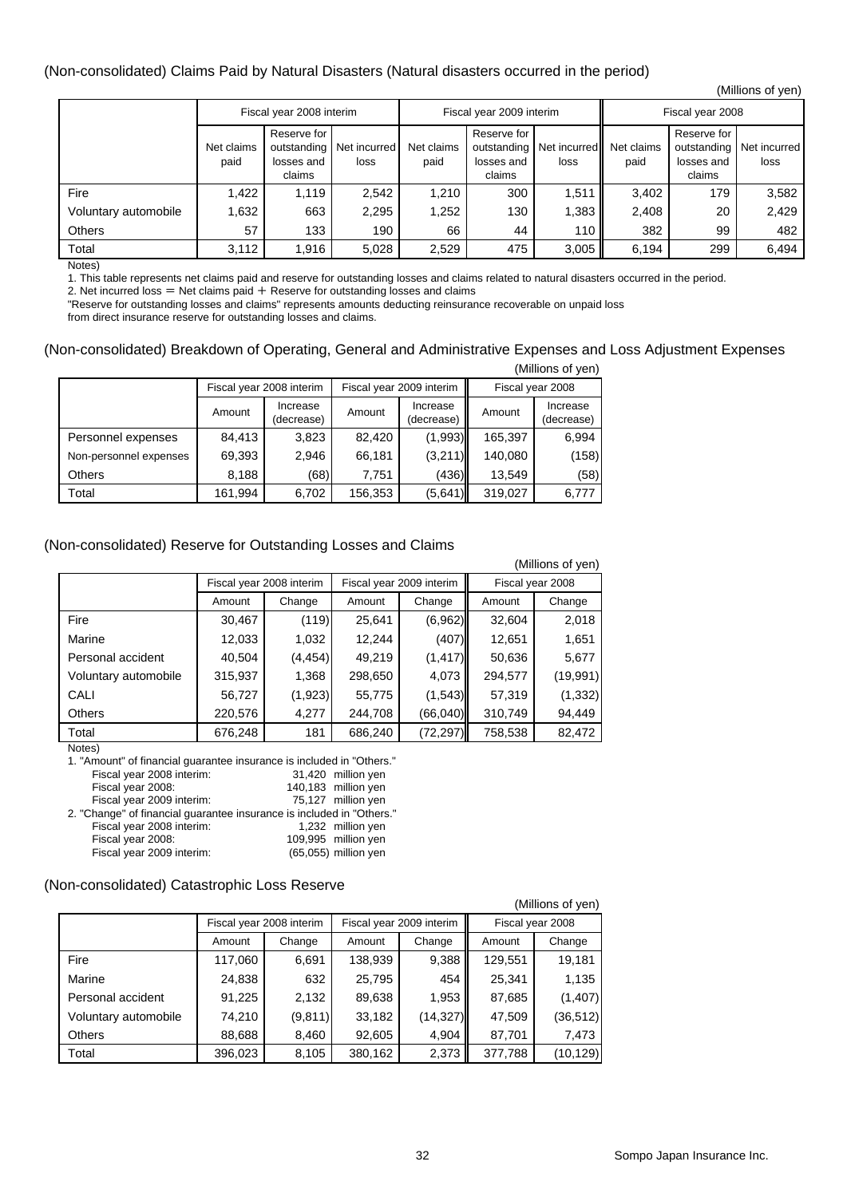#### (Non-consolidated) Claims Paid by Natural Disasters (Natural disasters occurred in the period)

|                      |                    |                                                    |                      |                    |                                                    |                      |                    |                                                    | (Millions of yen)    |
|----------------------|--------------------|----------------------------------------------------|----------------------|--------------------|----------------------------------------------------|----------------------|--------------------|----------------------------------------------------|----------------------|
|                      |                    | Fiscal year 2008 interim                           |                      |                    | Fiscal year 2009 interim                           |                      | Fiscal year 2008   |                                                    |                      |
|                      | Net claims<br>paid | Reserve for<br>outstanding<br>losses and<br>claims | Net incurred<br>loss | Net claims<br>paid | Reserve for<br>outstanding<br>losses and<br>claims | Net incurred<br>loss | Net claims<br>paid | Reserve for<br>outstanding<br>losses and<br>claims | Net incurred<br>loss |
| Fire                 | 1,422              | 1,119                                              | 2,542                | 1,210              | 300                                                | 1,511                | 3,402              | 179                                                | 3,582                |
| Voluntary automobile | 1,632              | 663                                                | 2,295                | 1,252              | 130                                                | 1,383                | 2,408              | 20                                                 | 2,429                |
| <b>Others</b>        | 57                 | 133                                                | 190                  | 66                 | 44                                                 | 110                  | 382                | 99                                                 | 482                  |
| Total                | 3,112              | 1,916                                              | 5,028                | 2,529              | 475                                                | 3,005                | 6,194              | 299                                                | 6,494                |

Notes)

1. This table represents net claims paid and reserve for outstanding losses and claims related to natural disasters occurred in the period.

2. Net incurred loss  $=$  Net claims paid  $+$  Reserve for outstanding losses and claims

"Reserve for outstanding losses and claims" represents amounts deducting reinsurance recoverable on unpaid loss

from direct insurance reserve for outstanding losses and claims.

#### (Non-consolidated) Breakdown of Operating, General and Administrative Expenses and Loss Adjustment Expenses  $(0, 0)$  is  $(0, 0)$

| (Millions of yen)      |                          |                        |         |                          |                  |                        |  |  |  |
|------------------------|--------------------------|------------------------|---------|--------------------------|------------------|------------------------|--|--|--|
|                        | Fiscal year 2008 interim |                        |         | Fiscal year 2009 interim | Fiscal year 2008 |                        |  |  |  |
|                        | Amount                   | Increase<br>(decrease) | Amount  | Increase<br>(decrease)   | Amount           | Increase<br>(decrease) |  |  |  |
| Personnel expenses     | 84,413                   | 3,823                  | 82,420  | (1,993)                  | 165,397          | 6,994                  |  |  |  |
| Non-personnel expenses | 69,393                   | 2.946                  | 66.181  | (3,211)                  | 140,080          | (158)                  |  |  |  |
| <b>Others</b>          | 8,188                    | (68)                   | 7,751   | (436)                    | 13,549           | (58)                   |  |  |  |
| Total                  | 161,994                  | 6,702                  | 156,353 | (5,641)                  | 319,027          | 6,777                  |  |  |  |

#### (Non-consolidated) Reserve for Outstanding Losses and Claims

|                      |         |                          |         |                          |                  | (Millions of yen) |  |
|----------------------|---------|--------------------------|---------|--------------------------|------------------|-------------------|--|
|                      |         | Fiscal year 2008 interim |         | Fiscal year 2009 interim | Fiscal year 2008 |                   |  |
|                      | Amount  | Change                   | Amount  | Change                   |                  | Change            |  |
| Fire                 | 30,467  | (119)                    | 25,641  | (6,962)                  | 32,604           | 2,018             |  |
| Marine               | 12,033  | 1,032                    | 12,244  | (407)                    | 12,651           | 1,651             |  |
| Personal accident    | 40,504  | (4, 454)                 | 49.219  | (1, 417)                 | 50,636           | 5,677             |  |
| Voluntary automobile | 315,937 | 1,368                    | 298,650 | 4,073                    | 294,577          | (19,991)          |  |
| CALI                 | 56,727  | (1,923)                  | 55,775  | (1,543)                  | 57,319           | (1, 332)          |  |
| <b>Others</b>        | 220,576 | 4,277                    | 244,708 | (66,040)                 | 310,749          | 94,449            |  |
| Total                | 676,248 | 181                      | 686,240 | (72, 297)                | 758,538          | 82,472            |  |

Notes)

1. "Amount" of financial guarantee insurance is included in "Others." Fiscal year 2008 interim:

| Fiscal year 2008:                                                     | 140,183 million yen  |
|-----------------------------------------------------------------------|----------------------|
| Fiscal year 2009 interim:                                             | 75,127 million yen   |
| 2. "Change" of financial guarantee insurance is included in "Others." |                      |
| Fiscal year 2008 interim:                                             | 1,232 million yen    |
| Fiscal year 2008:                                                     | 109,995 million yen  |
| Fiscal year 2009 interim:                                             | (65,055) million yen |
|                                                                       |                      |

#### (Non-consolidated) Catastrophic Loss Reserve

|                      |                          |         |                          |          |                  | (Millions of yen) |
|----------------------|--------------------------|---------|--------------------------|----------|------------------|-------------------|
|                      | Fiscal year 2008 interim |         | Fiscal year 2009 interim |          | Fiscal year 2008 |                   |
|                      | Amount                   | Change  | Amount                   | Change   | Amount           | Change            |
| Fire                 | 117,060                  | 6,691   | 138,939                  | 9,388    | 129,551          | 19,181            |
| Marine               | 24,838                   | 632     | 25,795                   | 454      | 25,341           | 1,135             |
| Personal accident    | 91,225                   | 2,132   | 89,638                   | 1,953    | 87,685           | (1, 407)          |
| Voluntary automobile | 74,210                   | (9,811) | 33,182                   | (14,327) | 47,509           | (36, 512)         |
| <b>Others</b>        | 88,688                   | 8,460   | 92,605                   | 4,904    | 87,701           | 7,473             |
| Total                | 396,023                  | 8,105   | 380,162                  | 2,373    | 377,788          | (10, 129)         |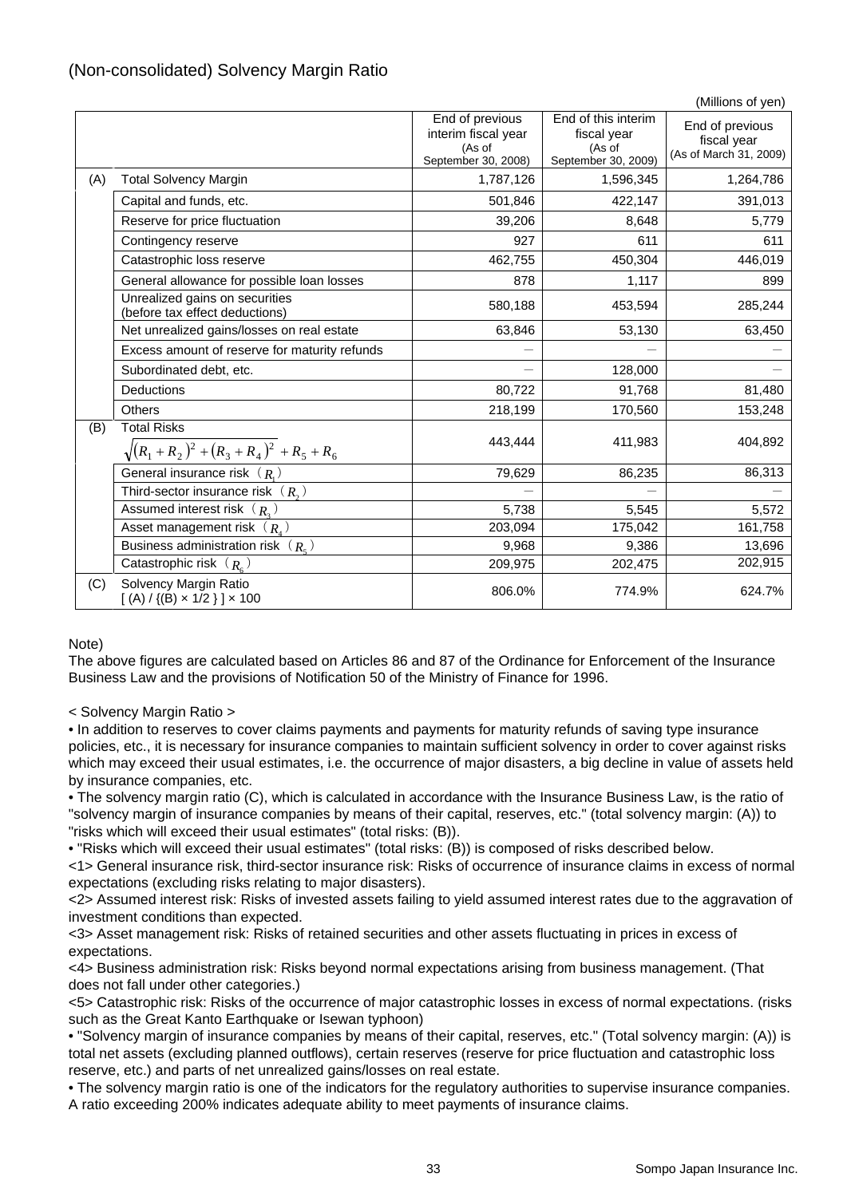| (Non-consolidated) Solvency Margin Ratio |  |  |  |
|------------------------------------------|--|--|--|
|------------------------------------------|--|--|--|

|     |                                                                  |                                                                         |                                                                     | (Millions of yen)                                        |
|-----|------------------------------------------------------------------|-------------------------------------------------------------------------|---------------------------------------------------------------------|----------------------------------------------------------|
|     |                                                                  | End of previous<br>interim fiscal year<br>(As of<br>September 30, 2008) | End of this interim<br>fiscal year<br>(As of<br>September 30, 2009) | End of previous<br>fiscal year<br>(As of March 31, 2009) |
| (A) | <b>Total Solvency Margin</b>                                     | 1,787,126                                                               | 1,596,345                                                           | 1,264,786                                                |
|     | Capital and funds, etc.                                          | 501,846                                                                 | 422,147                                                             | 391,013                                                  |
|     | Reserve for price fluctuation                                    | 39,206                                                                  | 8,648                                                               | 5,779                                                    |
|     | Contingency reserve                                              | 927                                                                     | 611                                                                 | 611                                                      |
|     | Catastrophic loss reserve                                        | 462,755                                                                 | 450,304                                                             | 446,019                                                  |
|     | General allowance for possible loan losses                       | 878                                                                     | 1,117                                                               | 899                                                      |
|     | Unrealized gains on securities<br>(before tax effect deductions) | 580,188                                                                 | 453,594                                                             | 285,244                                                  |
|     | Net unrealized gains/losses on real estate                       | 63,846                                                                  | 53,130                                                              | 63,450                                                   |
|     | Excess amount of reserve for maturity refunds                    |                                                                         |                                                                     |                                                          |
|     | Subordinated debt, etc.                                          |                                                                         | 128,000                                                             |                                                          |
|     | <b>Deductions</b>                                                | 80,722                                                                  | 91,768                                                              | 81,480                                                   |
|     | <b>Others</b>                                                    | 218,199                                                                 | 170,560                                                             | 153,248                                                  |
| (B) | <b>Total Risks</b><br>$\sqrt{(R_1+R_2)^2+(R_3+R_4)^2+R_5+R_6}$   | 443,444                                                                 | 411,983                                                             | 404,892                                                  |
|     | General insurance risk $(R_n)$                                   | 79,629                                                                  | 86,235                                                              | 86,313                                                   |
|     | Third-sector insurance risk $(R_2)$                              |                                                                         |                                                                     |                                                          |
|     | Assumed interest risk $(R_n)$                                    | 5,738                                                                   | 5,545                                                               | 5,572                                                    |
|     | Asset management risk $(R_i)$                                    | 203,094                                                                 | 175,042                                                             | 161,758                                                  |
|     | Business administration risk $(R_{\epsilon})$                    | 9,968                                                                   | 9,386                                                               | 13,696                                                   |
|     | Catastrophic risk $(R_{c})$                                      | 209,975                                                                 | 202,475                                                             | 202,915                                                  |
| (C) | Solvency Margin Ratio<br>$[(A) / {(B) \times 1/2}] \times 100$   | 806.0%                                                                  | 774.9%                                                              | 624.7%                                                   |

#### Note)

The above figures are calculated based on Articles 86 and 87 of the Ordinance for Enforcement of the Insurance Business Law and the provisions of Notification 50 of the Ministry of Finance for 1996.

#### < Solvency Margin Ratio >

• In addition to reserves to cover claims payments and payments for maturity refunds of saving type insurance policies, etc., it is necessary for insurance companies to maintain sufficient solvency in order to cover against risks which may exceed their usual estimates, i.e. the occurrence of major disasters, a big decline in value of assets held by insurance companies, etc.

• The solvency margin ratio (C), which is calculated in accordance with the Insurance Business Law, is the ratio of "solvency margin of insurance companies by means of their capital, reserves, etc." (total solvency margin: (A)) to "risks which will exceed their usual estimates" (total risks: (B)).

• "Risks which will exceed their usual estimates" (total risks: (B)) is composed of risks described below.

<1> General insurance risk, third-sector insurance risk: Risks of occurrence of insurance claims in excess of normal expectations (excluding risks relating to major disasters).

<2> Assumed interest risk: Risks of invested assets failing to yield assumed interest rates due to the aggravation of investment conditions than expected.

<3> Asset management risk: Risks of retained securities and other assets fluctuating in prices in excess of expectations.

<4> Business administration risk: Risks beyond normal expectations arising from business management. (That does not fall under other categories.)

<5> Catastrophic risk: Risks of the occurrence of major catastrophic losses in excess of normal expectations. (risks such as the Great Kanto Earthquake or Isewan typhoon)

• "Solvency margin of insurance companies by means of their capital, reserves, etc." (Total solvency margin: (A)) is total net assets (excluding planned outflows), certain reserves (reserve for price fluctuation and catastrophic loss reserve, etc.) and parts of net unrealized gains/losses on real estate.

• The solvency margin ratio is one of the indicators for the regulatory authorities to supervise insurance companies. A ratio exceeding 200% indicates adequate ability to meet payments of insurance claims.